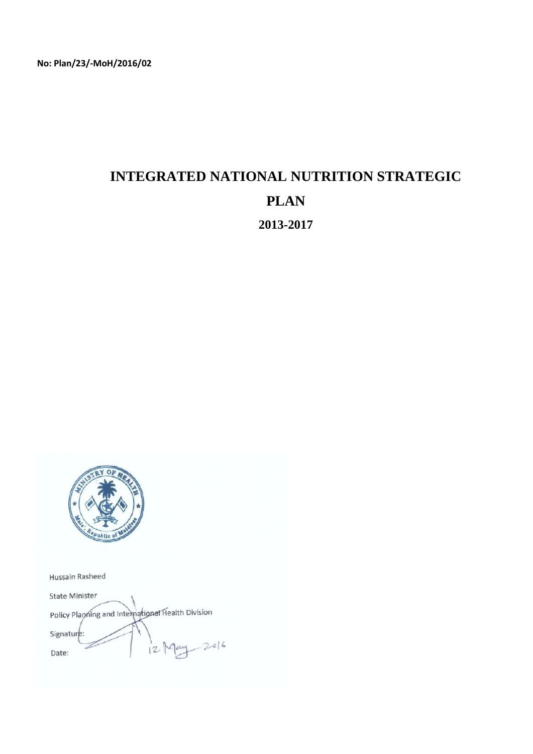# **INTEGRATED NATIONAL NUTRITION STRATEGIC PLAN 2013-2017**



Hussain Rasheed

State Minister Policy Planning and International Health Division Signature  $-2016$  $12$ Date: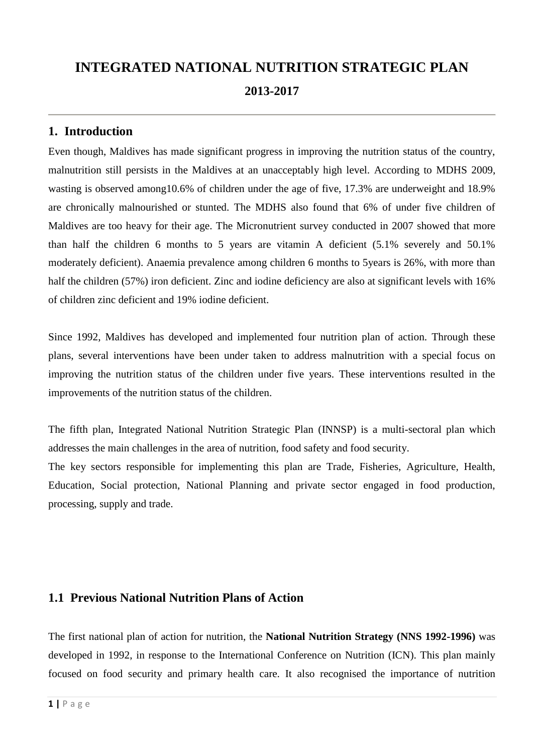# **INTEGRATED NATIONAL NUTRITION STRATEGIC PLAN 2013-2017**

# **1. Introduction**

Even though, Maldives has made significant progress in improving the nutrition status of the country, malnutrition still persists in the Maldives at an unacceptably high level. According to MDHS 2009, wasting is observed among10.6% of children under the age of five, 17.3% are underweight and 18.9% are chronically malnourished or stunted. The MDHS also found that 6% of under five children of Maldives are too heavy for their age. The Micronutrient survey conducted in 2007 showed that more than half the children 6 months to 5 years are vitamin A deficient (5.1% severely and 50.1% moderately deficient). Anaemia prevalence among children 6 months to 5years is 26%, with more than half the children (57%) iron deficient. Zinc and iodine deficiency are also at significant levels with 16% of children zinc deficient and 19% iodine deficient.

Since 1992, Maldives has developed and implemented four nutrition plan of action. Through these plans, several interventions have been under taken to address malnutrition with a special focus on improving the nutrition status of the children under five years. These interventions resulted in the improvements of the nutrition status of the children.

The fifth plan, Integrated National Nutrition Strategic Plan (INNSP) is a multi-sectoral plan which addresses the main challenges in the area of nutrition, food safety and food security.

The key sectors responsible for implementing this plan are Trade, Fisheries, Agriculture, Health, Education, Social protection, National Planning and private sector engaged in food production, processing, supply and trade.

## **1.1 Previous National Nutrition Plans of Action**

The first national plan of action for nutrition, the **National Nutrition Strategy (NNS 1992-1996)** was developed in 1992, in response to the International Conference on Nutrition (ICN). This plan mainly focused on food security and primary health care. It also recognised the importance of nutrition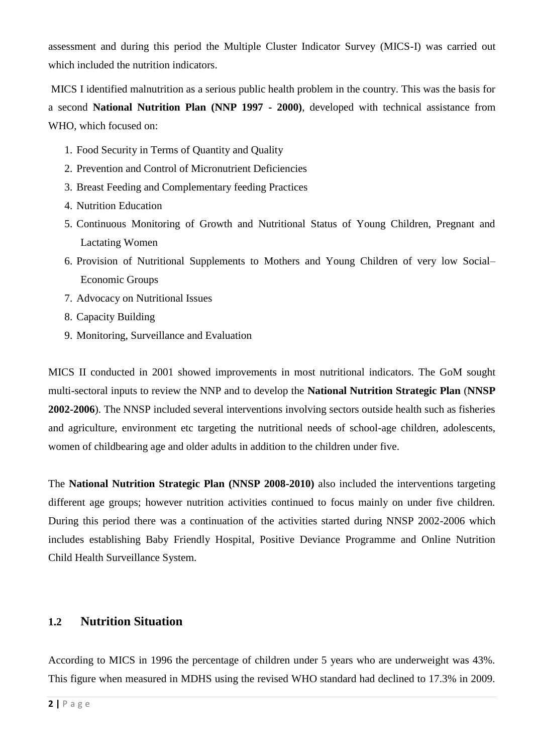assessment and during this period the Multiple Cluster Indicator Survey (MICS-I) was carried out which included the nutrition indicators.

MICS I identified malnutrition as a serious public health problem in the country. This was the basis for a second **National Nutrition Plan (NNP 1997 - 2000)**, developed with technical assistance from WHO, which focused on:

- 1. Food Security in Terms of Quantity and Quality
- 2. Prevention and Control of Micronutrient Deficiencies
- 3. Breast Feeding and Complementary feeding Practices
- 4. Nutrition Education
- 5. Continuous Monitoring of Growth and Nutritional Status of Young Children, Pregnant and Lactating Women
- 6. Provision of Nutritional Supplements to Mothers and Young Children of very low Social– Economic Groups
- 7. Advocacy on Nutritional Issues
- 8. Capacity Building
- 9. Monitoring, Surveillance and Evaluation

MICS II conducted in 2001 showed improvements in most nutritional indicators. The GoM sought multi-sectoral inputs to review the NNP and to develop the **National Nutrition Strategic Plan** (**NNSP 2002-2006**). The NNSP included several interventions involving sectors outside health such as fisheries and agriculture, environment etc targeting the nutritional needs of school-age children, adolescents, women of childbearing age and older adults in addition to the children under five.

The **National Nutrition Strategic Plan (NNSP 2008-2010)** also included the interventions targeting different age groups; however nutrition activities continued to focus mainly on under five children. During this period there was a continuation of the activities started during NNSP 2002-2006 which includes establishing Baby Friendly Hospital, Positive Deviance Programme and Online Nutrition Child Health Surveillance System.

## **1.2 Nutrition Situation**

According to MICS in 1996 the percentage of children under 5 years who are underweight was 43%. This figure when measured in MDHS using the revised WHO standard had declined to 17.3% in 2009.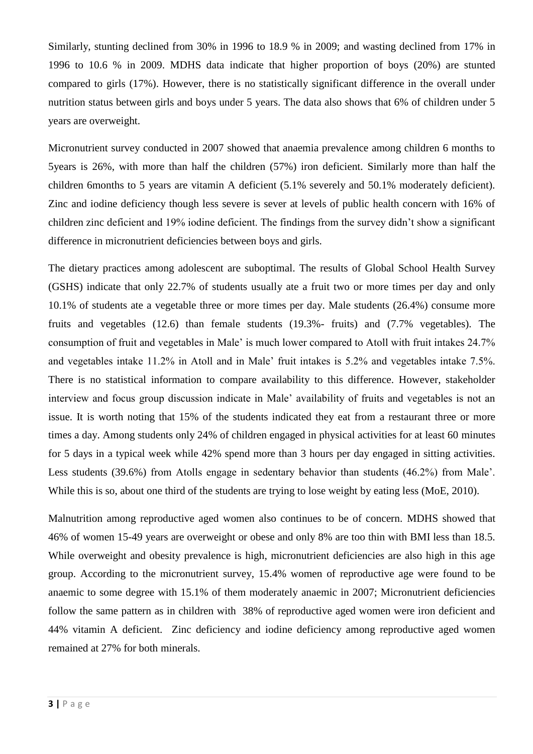Similarly, stunting declined from 30% in 1996 to 18.9 % in 2009; and wasting declined from 17% in 1996 to 10.6 % in 2009. MDHS data indicate that higher proportion of boys (20%) are stunted compared to girls (17%). However, there is no statistically significant difference in the overall under nutrition status between girls and boys under 5 years. The data also shows that 6% of children under 5 years are overweight.

Micronutrient survey conducted in 2007 showed that anaemia prevalence among children 6 months to 5years is 26%, with more than half the children (57%) iron deficient. Similarly more than half the children 6months to 5 years are vitamin A deficient (5.1% severely and 50.1% moderately deficient). Zinc and iodine deficiency though less severe is sever at levels of public health concern with 16% of children zinc deficient and 19% iodine deficient. The findings from the survey didn't show a significant difference in micronutrient deficiencies between boys and girls.

The dietary practices among adolescent are suboptimal. The results of Global School Health Survey (GSHS) indicate that only 22.7% of students usually ate a fruit two or more times per day and only 10.1% of students ate a vegetable three or more times per day. Male students (26.4%) consume more fruits and vegetables (12.6) than female students (19.3%- fruits) and (7.7% vegetables). The consumption of fruit and vegetables in Male' is much lower compared to Atoll with fruit intakes 24.7% and vegetables intake 11.2% in Atoll and in Male' fruit intakes is 5.2% and vegetables intake 7.5%. There is no statistical information to compare availability to this difference. However, stakeholder interview and focus group discussion indicate in Male' availability of fruits and vegetables is not an issue. It is worth noting that 15% of the students indicated they eat from a restaurant three or more times a day. Among students only 24% of children engaged in physical activities for at least 60 minutes for 5 days in a typical week while 42% spend more than 3 hours per day engaged in sitting activities. Less students (39.6%) from Atolls engage in sedentary behavior than students (46.2%) from Male'. While this is so, about one third of the students are trying to lose weight by eating less (MoE, 2010).

Malnutrition among reproductive aged women also continues to be of concern. MDHS showed that 46% of women 15-49 years are overweight or obese and only 8% are too thin with BMI less than 18.5. While overweight and obesity prevalence is high, micronutrient deficiencies are also high in this age group. According to the micronutrient survey, 15.4% women of reproductive age were found to be anaemic to some degree with 15.1% of them moderately anaemic in 2007; Micronutrient deficiencies follow the same pattern as in children with 38% of reproductive aged women were iron deficient and 44% vitamin A deficient. Zinc deficiency and iodine deficiency among reproductive aged women remained at 27% for both minerals.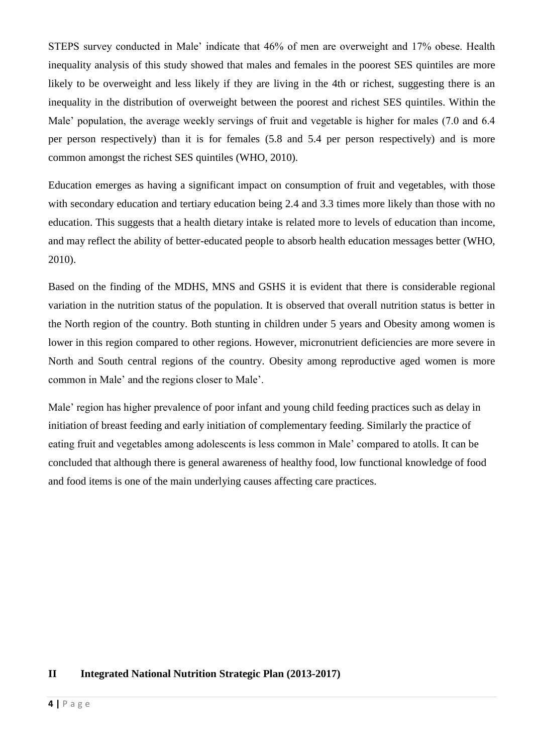STEPS survey conducted in Male' indicate that 46% of men are overweight and 17% obese. Health inequality analysis of this study showed that males and females in the poorest SES quintiles are more likely to be overweight and less likely if they are living in the 4th or richest, suggesting there is an inequality in the distribution of overweight between the poorest and richest SES quintiles. Within the Male' population, the average weekly servings of fruit and vegetable is higher for males (7.0 and 6.4) per person respectively) than it is for females (5.8 and 5.4 per person respectively) and is more common amongst the richest SES quintiles (WHO, 2010).

Education emerges as having a significant impact on consumption of fruit and vegetables, with those with secondary education and tertiary education being 2.4 and 3.3 times more likely than those with no education. This suggests that a health dietary intake is related more to levels of education than income, and may reflect the ability of better-educated people to absorb health education messages better (WHO, 2010).

Based on the finding of the MDHS, MNS and GSHS it is evident that there is considerable regional variation in the nutrition status of the population. It is observed that overall nutrition status is better in the North region of the country. Both stunting in children under 5 years and Obesity among women is lower in this region compared to other regions. However, micronutrient deficiencies are more severe in North and South central regions of the country. Obesity among reproductive aged women is more common in Male' and the regions closer to Male'.

Male' region has higher prevalence of poor infant and young child feeding practices such as delay in initiation of breast feeding and early initiation of complementary feeding. Similarly the practice of eating fruit and vegetables among adolescents is less common in Male' compared to atolls. It can be concluded that although there is general awareness of healthy food, low functional knowledge of food and food items is one of the main underlying causes affecting care practices.

### **II Integrated National Nutrition Strategic Plan (2013-2017)**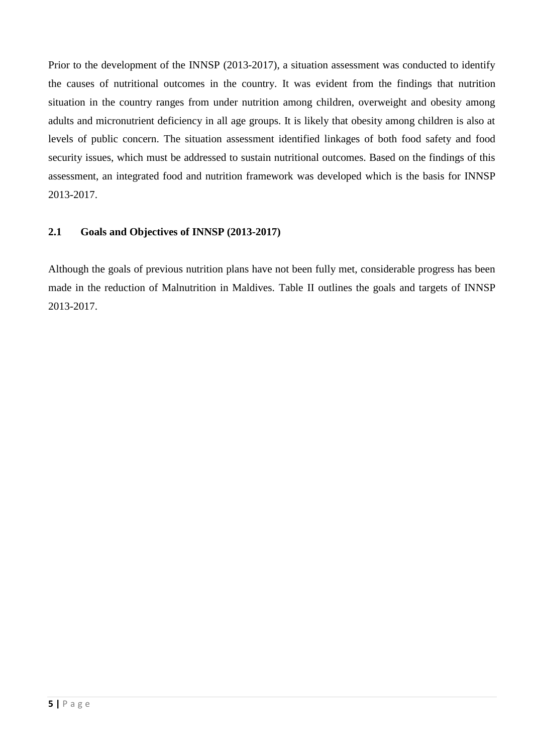Prior to the development of the INNSP (2013-2017), a situation assessment was conducted to identify the causes of nutritional outcomes in the country. It was evident from the findings that nutrition situation in the country ranges from under nutrition among children, overweight and obesity among adults and micronutrient deficiency in all age groups. It is likely that obesity among children is also at levels of public concern. The situation assessment identified linkages of both food safety and food security issues, which must be addressed to sustain nutritional outcomes. Based on the findings of this assessment, an integrated food and nutrition framework was developed which is the basis for INNSP 2013-2017.

### **2.1 Goals and Objectives of INNSP (2013-2017)**

Although the goals of previous nutrition plans have not been fully met, considerable progress has been made in the reduction of Malnutrition in Maldives. Table II outlines the goals and targets of INNSP 2013-2017.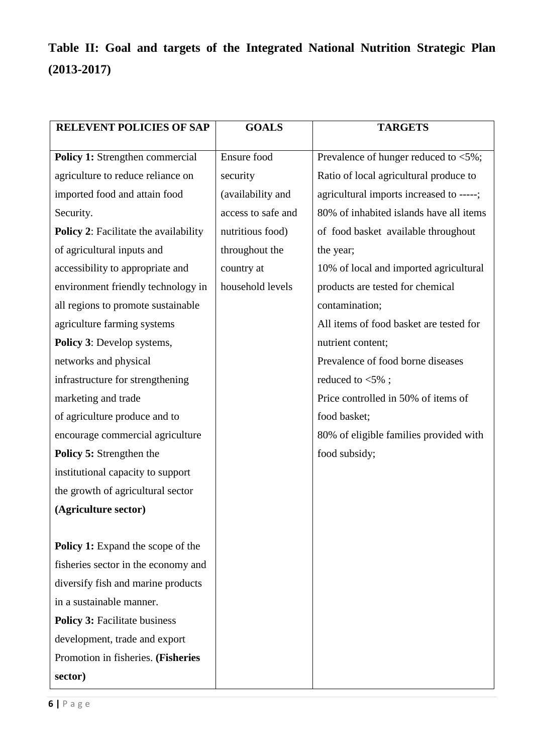# **Table II: Goal and targets of the Integrated National Nutrition Strategic Plan (2013-2017)**

| <b>RELEVENT POLICIES OF SAP</b>              | <b>GOALS</b>       | <b>TARGETS</b>                           |
|----------------------------------------------|--------------------|------------------------------------------|
|                                              |                    |                                          |
| Policy 1: Strengthen commercial              | Ensure food        | Prevalence of hunger reduced to <5%;     |
| agriculture to reduce reliance on            | security           | Ratio of local agricultural produce to   |
| imported food and attain food                | (availability and  | agricultural imports increased to -----; |
| Security.                                    | access to safe and | 80% of inhabited islands have all items  |
| <b>Policy 2:</b> Facilitate the availability | nutritious food)   | of food basket available throughout      |
| of agricultural inputs and                   | throughout the     | the year;                                |
| accessibility to appropriate and             | country at         | 10% of local and imported agricultural   |
| environment friendly technology in           | household levels   | products are tested for chemical         |
| all regions to promote sustainable           |                    | contamination;                           |
| agriculture farming systems                  |                    | All items of food basket are tested for  |
| Policy 3: Develop systems,                   |                    | nutrient content;                        |
| networks and physical                        |                    | Prevalence of food borne diseases        |
| infrastructure for strengthening             |                    | reduced to $<$ 5%;                       |
| marketing and trade                          |                    | Price controlled in 50% of items of      |
| of agriculture produce and to                |                    | food basket;                             |
| encourage commercial agriculture             |                    | 80% of eligible families provided with   |
| <b>Policy 5: Strengthen the</b>              |                    | food subsidy;                            |
| institutional capacity to support            |                    |                                          |
| the growth of agricultural sector            |                    |                                          |
| (Agriculture sector)                         |                    |                                          |
|                                              |                    |                                          |
| Policy 1: Expand the scope of the            |                    |                                          |
| fisheries sector in the economy and          |                    |                                          |
| diversify fish and marine products           |                    |                                          |
| in a sustainable manner.                     |                    |                                          |
| <b>Policy 3: Facilitate business</b>         |                    |                                          |
| development, trade and export                |                    |                                          |
| Promotion in fisheries. (Fisheries           |                    |                                          |
| sector)                                      |                    |                                          |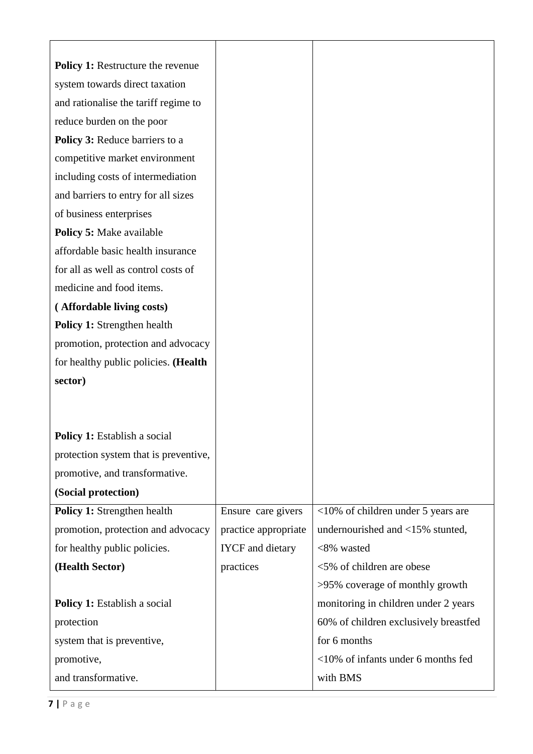| <b>Policy 1:</b> Restructure the revenue |                         |                                       |
|------------------------------------------|-------------------------|---------------------------------------|
| system towards direct taxation           |                         |                                       |
| and rationalise the tariff regime to     |                         |                                       |
| reduce burden on the poor                |                         |                                       |
| Policy 3: Reduce barriers to a           |                         |                                       |
| competitive market environment           |                         |                                       |
| including costs of intermediation        |                         |                                       |
| and barriers to entry for all sizes      |                         |                                       |
| of business enterprises                  |                         |                                       |
| <b>Policy 5: Make available</b>          |                         |                                       |
| affordable basic health insurance        |                         |                                       |
| for all as well as control costs of      |                         |                                       |
| medicine and food items.                 |                         |                                       |
| (Affordable living costs)                |                         |                                       |
| Policy 1: Strengthen health              |                         |                                       |
| promotion, protection and advocacy       |                         |                                       |
| for healthy public policies. (Health     |                         |                                       |
| sector)                                  |                         |                                       |
|                                          |                         |                                       |
|                                          |                         |                                       |
| <b>Policy 1:</b> Establish a social      |                         |                                       |
| protection system that is preventive,    |                         |                                       |
| promotive, and transformative.           |                         |                                       |
| (Social protection)                      |                         |                                       |
| <b>Policy 1:</b> Strengthen health       | Ensure care givers      | $<10\%$ of children under 5 years are |
| promotion, protection and advocacy       | practice appropriate    | undernourished and <15% stunted,      |
| for healthy public policies.             | <b>IYCF</b> and dietary | <8% wasted                            |
| (Health Sector)                          | practices               | <5% of children are obese             |
|                                          |                         | >95% coverage of monthly growth       |
| <b>Policy 1:</b> Establish a social      |                         | monitoring in children under 2 years  |
| protection                               |                         | 60% of children exclusively breastfed |
| system that is preventive,               |                         | for 6 months                          |
| promotive,                               |                         | <10% of infants under 6 months fed    |
| and transformative.                      |                         | with BMS                              |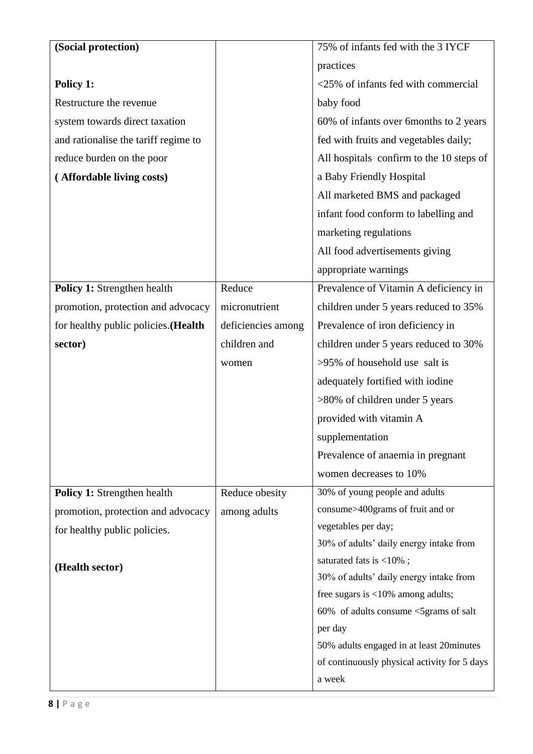| (Social protection)                  |                    | 75% of infants fed with the 3 IYCF               |
|--------------------------------------|--------------------|--------------------------------------------------|
|                                      |                    | practices                                        |
| Policy 1:                            |                    | <25% of infants fed with commercial              |
| Restructure the revenue              |                    | baby food                                        |
| system towards direct taxation       |                    | 60% of infants over 6months to 2 years           |
| and rationalise the tariff regime to |                    | fed with fruits and vegetables daily;            |
| reduce burden on the poor            |                    | All hospitals confirm to the 10 steps of         |
| (Affordable living costs)            |                    | a Baby Friendly Hospital                         |
|                                      |                    | All marketed BMS and packaged                    |
|                                      |                    | infant food conform to labelling and             |
|                                      |                    | marketing regulations                            |
|                                      |                    | All food advertisements giving                   |
|                                      |                    | appropriate warnings                             |
| Policy 1: Strengthen health          | Reduce             | Prevalence of Vitamin A deficiency in            |
| promotion, protection and advocacy   | micronutrient      | children under 5 years reduced to 35%            |
| for healthy public policies. (Health | deficiencies among | Prevalence of iron deficiency in                 |
| sector)                              | children and       | children under 5 years reduced to 30%            |
|                                      | women              | >95% of household use salt is                    |
|                                      |                    | adequately fortified with iodine                 |
|                                      |                    | >80% of children under 5 years                   |
|                                      |                    | provided with vitamin A                          |
|                                      |                    | supplementation                                  |
|                                      |                    | Prevalence of anaemia in pregnant                |
|                                      |                    | women decreases to 10%                           |
| Policy 1: Strengthen health          | Reduce obesity     | 30% of young people and adults                   |
| promotion, protection and advocacy   | among adults       | consume>400grams of fruit and or                 |
| for healthy public policies.         |                    | vegetables per day;                              |
|                                      |                    | 30% of adults' daily energy intake from          |
| (Health sector)                      |                    | saturated fats is <10%;                          |
|                                      |                    | 30% of adults' daily energy intake from          |
|                                      |                    | free sugars is $<10\%$ among adults;             |
|                                      |                    | 60% of adults consume <5grams of salt<br>per day |
|                                      |                    | 50% adults engaged in at least 20 minutes        |
|                                      |                    | of continuously physical activity for 5 days     |
|                                      |                    | a week                                           |
|                                      |                    |                                                  |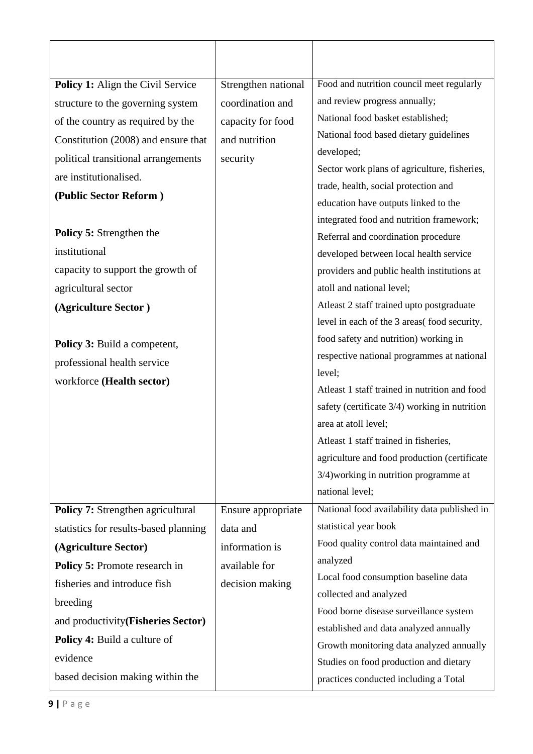| Policy 1: Align the Civil Service     | Strengthen national | Food and nutrition council meet regularly     |
|---------------------------------------|---------------------|-----------------------------------------------|
| structure to the governing system     | coordination and    | and review progress annually;                 |
| of the country as required by the     | capacity for food   | National food basket established;             |
| Constitution (2008) and ensure that   | and nutrition       | National food based dietary guidelines        |
| political transitional arrangements   | security            | developed;                                    |
| are institutionalised.                |                     | Sector work plans of agriculture, fisheries,  |
| (Public Sector Reform)                |                     | trade, health, social protection and          |
|                                       |                     | education have outputs linked to the          |
|                                       |                     | integrated food and nutrition framework;      |
| <b>Policy 5: Strengthen the</b>       |                     | Referral and coordination procedure           |
| institutional                         |                     | developed between local health service        |
| capacity to support the growth of     |                     | providers and public health institutions at   |
| agricultural sector                   |                     | atoll and national level;                     |
| (Agriculture Sector)                  |                     | Atleast 2 staff trained upto postgraduate     |
|                                       |                     | level in each of the 3 areas(food security,   |
| Policy 3: Build a competent,          |                     | food safety and nutrition) working in         |
| professional health service           |                     | respective national programmes at national    |
| workforce (Health sector)             |                     | level;                                        |
|                                       |                     | Atleast 1 staff trained in nutrition and food |
|                                       |                     | safety (certificate 3/4) working in nutrition |
|                                       |                     | area at atoll level;                          |
|                                       |                     | Atleast 1 staff trained in fisheries,         |
|                                       |                     | agriculture and food production (certificate  |
|                                       |                     | 3/4) working in nutrition programme at        |
|                                       |                     | national level;                               |
| Policy 7: Strengthen agricultural     | Ensure appropriate  | National food availability data published in  |
| statistics for results-based planning | data and            | statistical year book                         |
| (Agriculture Sector)                  | information is      | Food quality control data maintained and      |
| Policy 5: Promote research in         | available for       | analyzed                                      |
| fisheries and introduce fish          | decision making     | Local food consumption baseline data          |
| breeding                              |                     | collected and analyzed                        |
| and productivity(Fisheries Sector)    |                     | Food borne disease surveillance system        |
| Policy 4: Build a culture of          |                     | established and data analyzed annually        |
| evidence                              |                     | Growth monitoring data analyzed annually      |
| based decision making within the      |                     | Studies on food production and dietary        |
|                                       |                     | practices conducted including a Total         |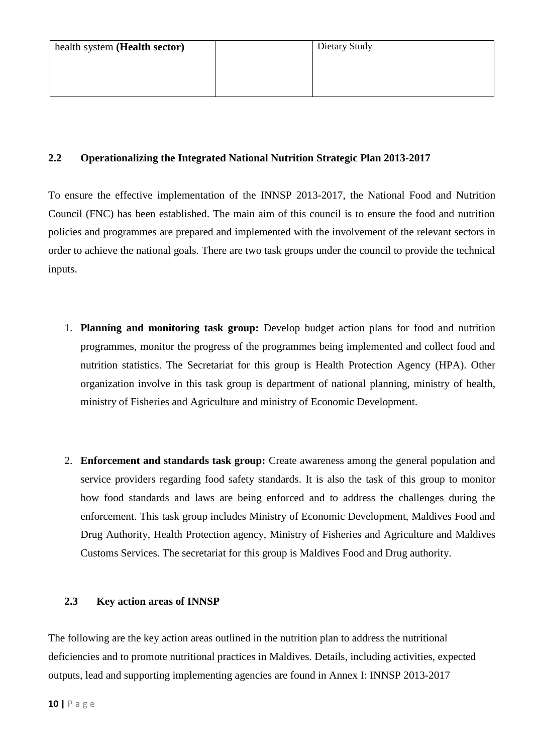#### **2.2 Operationalizing the Integrated National Nutrition Strategic Plan 2013-2017**

To ensure the effective implementation of the INNSP 2013-2017, the National Food and Nutrition Council (FNC) has been established. The main aim of this council is to ensure the food and nutrition policies and programmes are prepared and implemented with the involvement of the relevant sectors in order to achieve the national goals. There are two task groups under the council to provide the technical inputs.

- 1. **Planning and monitoring task group:** Develop budget action plans for food and nutrition programmes, monitor the progress of the programmes being implemented and collect food and nutrition statistics. The Secretariat for this group is Health Protection Agency (HPA). Other organization involve in this task group is department of national planning, ministry of health, ministry of Fisheries and Agriculture and ministry of Economic Development.
- 2. **Enforcement and standards task group:** Create awareness among the general population and service providers regarding food safety standards. It is also the task of this group to monitor how food standards and laws are being enforced and to address the challenges during the enforcement. This task group includes Ministry of Economic Development, Maldives Food and Drug Authority, Health Protection agency, Ministry of Fisheries and Agriculture and Maldives Customs Services. The secretariat for this group is Maldives Food and Drug authority.

#### **2.3 Key action areas of INNSP**

The following are the key action areas outlined in the nutrition plan to address the nutritional deficiencies and to promote nutritional practices in Maldives. Details, including activities, expected outputs, lead and supporting implementing agencies are found in Annex I: INNSP 2013-2017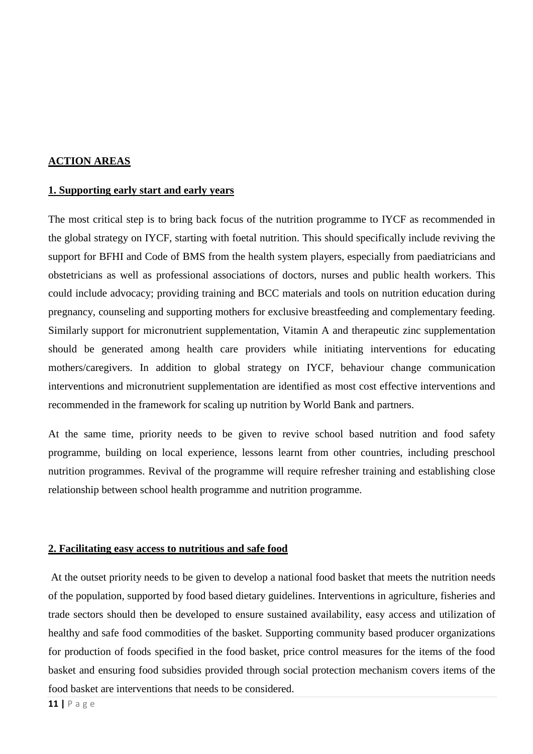#### **ACTION AREAS**

#### **1. Supporting early start and early years**

The most critical step is to bring back focus of the nutrition programme to IYCF as recommended in the global strategy on IYCF, starting with foetal nutrition. This should specifically include reviving the support for BFHI and Code of BMS from the health system players, especially from paediatricians and obstetricians as well as professional associations of doctors, nurses and public health workers. This could include advocacy; providing training and BCC materials and tools on nutrition education during pregnancy, counseling and supporting mothers for exclusive breastfeeding and complementary feeding. Similarly support for micronutrient supplementation, Vitamin A and therapeutic zinc supplementation should be generated among health care providers while initiating interventions for educating mothers/caregivers. In addition to global strategy on IYCF, behaviour change communication interventions and micronutrient supplementation are identified as most cost effective interventions and recommended in the framework for scaling up nutrition by World Bank and partners.

At the same time, priority needs to be given to revive school based nutrition and food safety programme, building on local experience, lessons learnt from other countries, including preschool nutrition programmes. Revival of the programme will require refresher training and establishing close relationship between school health programme and nutrition programme.

#### **2. Facilitating easy access to nutritious and safe food**

At the outset priority needs to be given to develop a national food basket that meets the nutrition needs of the population, supported by food based dietary guidelines. Interventions in agriculture, fisheries and trade sectors should then be developed to ensure sustained availability, easy access and utilization of healthy and safe food commodities of the basket. Supporting community based producer organizations for production of foods specified in the food basket, price control measures for the items of the food basket and ensuring food subsidies provided through social protection mechanism covers items of the food basket are interventions that needs to be considered.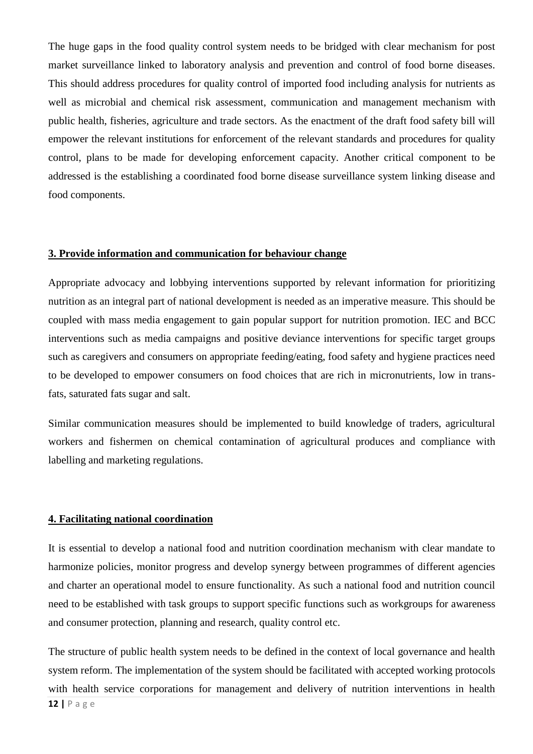The huge gaps in the food quality control system needs to be bridged with clear mechanism for post market surveillance linked to laboratory analysis and prevention and control of food borne diseases. This should address procedures for quality control of imported food including analysis for nutrients as well as microbial and chemical risk assessment, communication and management mechanism with public health, fisheries, agriculture and trade sectors. As the enactment of the draft food safety bill will empower the relevant institutions for enforcement of the relevant standards and procedures for quality control, plans to be made for developing enforcement capacity. Another critical component to be addressed is the establishing a coordinated food borne disease surveillance system linking disease and food components.

#### **3. Provide information and communication for behaviour change**

Appropriate advocacy and lobbying interventions supported by relevant information for prioritizing nutrition as an integral part of national development is needed as an imperative measure. This should be coupled with mass media engagement to gain popular support for nutrition promotion. IEC and BCC interventions such as media campaigns and positive deviance interventions for specific target groups such as caregivers and consumers on appropriate feeding/eating, food safety and hygiene practices need to be developed to empower consumers on food choices that are rich in micronutrients, low in transfats, saturated fats sugar and salt.

Similar communication measures should be implemented to build knowledge of traders, agricultural workers and fishermen on chemical contamination of agricultural produces and compliance with labelling and marketing regulations.

#### **4. Facilitating national coordination**

It is essential to develop a national food and nutrition coordination mechanism with clear mandate to harmonize policies, monitor progress and develop synergy between programmes of different agencies and charter an operational model to ensure functionality. As such a national food and nutrition council need to be established with task groups to support specific functions such as workgroups for awareness and consumer protection, planning and research, quality control etc.

The structure of public health system needs to be defined in the context of local governance and health system reform. The implementation of the system should be facilitated with accepted working protocols with health service corporations for management and delivery of nutrition interventions in health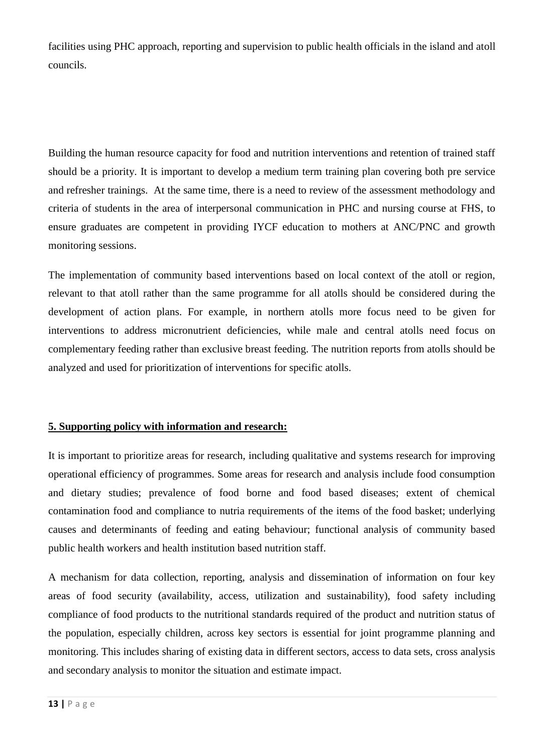facilities using PHC approach, reporting and supervision to public health officials in the island and atoll councils.

Building the human resource capacity for food and nutrition interventions and retention of trained staff should be a priority. It is important to develop a medium term training plan covering both pre service and refresher trainings. At the same time, there is a need to review of the assessment methodology and criteria of students in the area of interpersonal communication in PHC and nursing course at FHS, to ensure graduates are competent in providing IYCF education to mothers at ANC/PNC and growth monitoring sessions.

The implementation of community based interventions based on local context of the atoll or region, relevant to that atoll rather than the same programme for all atolls should be considered during the development of action plans. For example, in northern atolls more focus need to be given for interventions to address micronutrient deficiencies, while male and central atolls need focus on complementary feeding rather than exclusive breast feeding. The nutrition reports from atolls should be analyzed and used for prioritization of interventions for specific atolls.

### **5. Supporting policy with information and research:**

It is important to prioritize areas for research, including qualitative and systems research for improving operational efficiency of programmes. Some areas for research and analysis include food consumption and dietary studies; prevalence of food borne and food based diseases; extent of chemical contamination food and compliance to nutria requirements of the items of the food basket; underlying causes and determinants of feeding and eating behaviour; functional analysis of community based public health workers and health institution based nutrition staff.

A mechanism for data collection, reporting, analysis and dissemination of information on four key areas of food security (availability, access, utilization and sustainability), food safety including compliance of food products to the nutritional standards required of the product and nutrition status of the population, especially children, across key sectors is essential for joint programme planning and monitoring. This includes sharing of existing data in different sectors, access to data sets, cross analysis and secondary analysis to monitor the situation and estimate impact.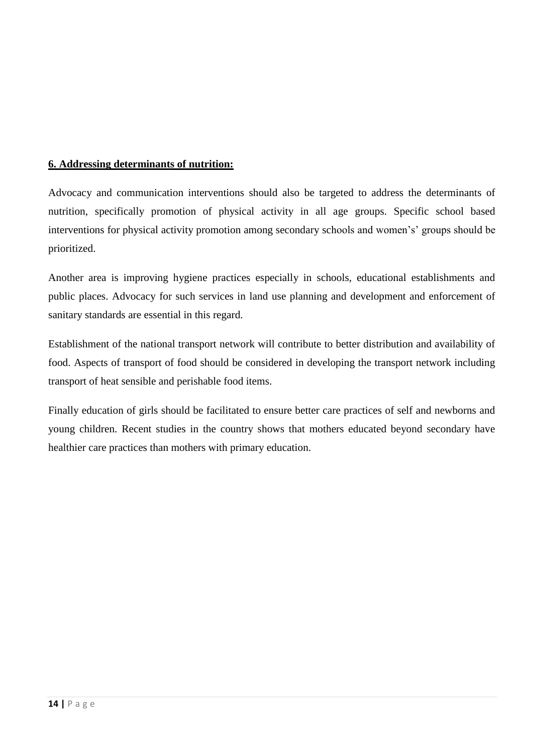## **6. Addressing determinants of nutrition:**

Advocacy and communication interventions should also be targeted to address the determinants of nutrition, specifically promotion of physical activity in all age groups. Specific school based interventions for physical activity promotion among secondary schools and women's' groups should be prioritized.

Another area is improving hygiene practices especially in schools, educational establishments and public places. Advocacy for such services in land use planning and development and enforcement of sanitary standards are essential in this regard.

Establishment of the national transport network will contribute to better distribution and availability of food. Aspects of transport of food should be considered in developing the transport network including transport of heat sensible and perishable food items.

Finally education of girls should be facilitated to ensure better care practices of self and newborns and young children. Recent studies in the country shows that mothers educated beyond secondary have healthier care practices than mothers with primary education.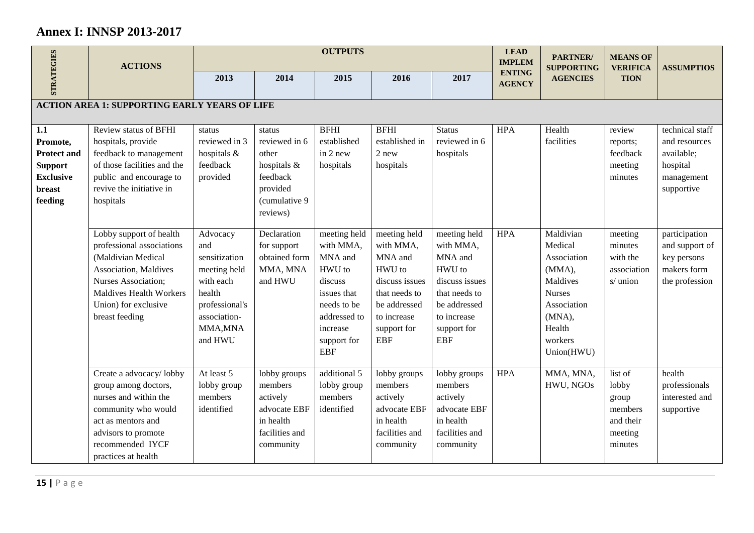# **Annex I: INNSP 2013-2017**

|                                                                                                  | <b>ACTIONS</b>                                                                                                                                                                                         |                                                                                                                                  |                                                                                                       | <b>OUTPUTS</b>                                                                                                                                   |                                                                                                                                               |                                                                                                                                               | <b>LEAD</b><br><b>IMPLEM</b>   | PARTNER/<br><b>SUPPORTING</b>                                                                                                          | <b>MEANS OF</b><br><b>VERIFICA</b>                                      | <b>ASSUMPTIOS</b>                                                                      |
|--------------------------------------------------------------------------------------------------|--------------------------------------------------------------------------------------------------------------------------------------------------------------------------------------------------------|----------------------------------------------------------------------------------------------------------------------------------|-------------------------------------------------------------------------------------------------------|--------------------------------------------------------------------------------------------------------------------------------------------------|-----------------------------------------------------------------------------------------------------------------------------------------------|-----------------------------------------------------------------------------------------------------------------------------------------------|--------------------------------|----------------------------------------------------------------------------------------------------------------------------------------|-------------------------------------------------------------------------|----------------------------------------------------------------------------------------|
| <b>STRATEGIES</b>                                                                                |                                                                                                                                                                                                        | 2013                                                                                                                             | 2014                                                                                                  | 2015                                                                                                                                             | 2016                                                                                                                                          | 2017                                                                                                                                          | <b>ENTING</b><br><b>AGENCY</b> | <b>AGENCIES</b>                                                                                                                        | <b>TION</b>                                                             |                                                                                        |
|                                                                                                  | <b>ACTION AREA 1: SUPPORTING EARLY YEARS OF LIFE</b>                                                                                                                                                   |                                                                                                                                  |                                                                                                       |                                                                                                                                                  |                                                                                                                                               |                                                                                                                                               |                                |                                                                                                                                        |                                                                         |                                                                                        |
| 1.1<br>Promote,<br><b>Protect and</b><br><b>Support</b><br><b>Exclusive</b><br>breast<br>feeding | Review status of BFHI<br>hospitals, provide<br>feedback to management<br>of those facilities and the<br>public and encourage to<br>revive the initiative in<br>hospitals                               | status<br>reviewed in 3<br>hospitals &<br>feedback<br>provided                                                                   | status<br>reviewed in 6<br>other<br>hospitals &<br>feedback<br>provided<br>(cumulative 9)<br>reviews) | <b>BFHI</b><br>established<br>in $2$ new<br>hospitals                                                                                            | <b>BFHI</b><br>established in<br>2 new<br>hospitals                                                                                           | <b>Status</b><br>reviewed in 6<br>hospitals                                                                                                   | <b>HPA</b>                     | Health<br>facilities                                                                                                                   | review<br>reports;<br>feedback<br>meeting<br>minutes                    | technical staff<br>and resources<br>available;<br>hospital<br>management<br>supportive |
|                                                                                                  | Lobby support of health<br>professional associations<br>(Maldivian Medical<br>Association, Maldives<br>Nurses Association;<br><b>Maldives Health Workers</b><br>Union) for exclusive<br>breast feeding | Advocacy<br>and<br>sensitization<br>meeting held<br>with each<br>health<br>professional's<br>association-<br>MMA, MNA<br>and HWU | Declaration<br>for support<br>obtained form<br>MMA, MNA<br>and HWU                                    | meeting held<br>with MMA,<br>MNA and<br>HWU to<br>discuss<br>issues that<br>needs to be<br>addressed to<br>increase<br>support for<br><b>EBF</b> | meeting held<br>with MMA,<br>MNA and<br>HWU to<br>discuss issues<br>that needs to<br>be addressed<br>to increase<br>support for<br><b>EBF</b> | meeting held<br>with MMA,<br>MNA and<br>HWU to<br>discuss issues<br>that needs to<br>be addressed<br>to increase<br>support for<br><b>EBF</b> | <b>HPA</b>                     | Maldivian<br>Medical<br>Association<br>(MMA),<br>Maldives<br><b>Nurses</b><br>Association<br>(MNA),<br>Health<br>workers<br>Union(HWU) | meeting<br>minutes<br>with the<br>association<br>s/ union               | participation<br>and support of<br>key persons<br>makers form<br>the profession        |
|                                                                                                  | Create a advocacy/lobby<br>group among doctors,<br>nurses and within the<br>community who would<br>act as mentors and<br>advisors to promote<br>recommended IYCF<br>practices at health                | At least 5<br>lobby group<br>members<br>identified                                                                               | lobby groups<br>members<br>actively<br>advocate EBF<br>in health<br>facilities and<br>community       | additional 5<br>lobby group<br>members<br>identified                                                                                             | lobby groups<br>members<br>actively<br>advocate EBF<br>in health<br>facilities and<br>community                                               | lobby groups<br>members<br>actively<br>advocate EBF<br>in health<br>facilities and<br>community                                               | <b>HPA</b>                     | MMA, MNA,<br>HWU, NGOs                                                                                                                 | list of<br>lobby<br>group<br>members<br>and their<br>meeting<br>minutes | health<br>professionals<br>interested and<br>supportive                                |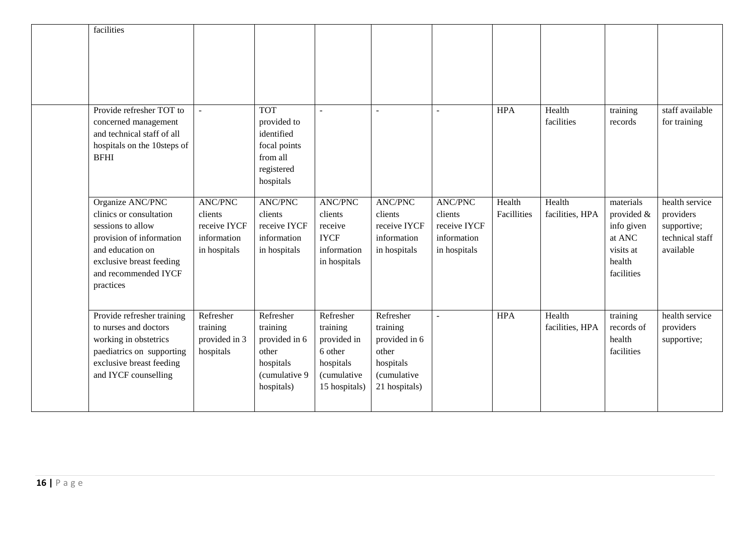| facilities                                                                                                                                                                        |                                                                          |                                                                                                |                                                                                              |                                                                                                      |                                                                          |                       |                           |                                                                                      |                                                                            |
|-----------------------------------------------------------------------------------------------------------------------------------------------------------------------------------|--------------------------------------------------------------------------|------------------------------------------------------------------------------------------------|----------------------------------------------------------------------------------------------|------------------------------------------------------------------------------------------------------|--------------------------------------------------------------------------|-----------------------|---------------------------|--------------------------------------------------------------------------------------|----------------------------------------------------------------------------|
| Provide refresher TOT to<br>concerned management<br>and technical staff of all<br>hospitals on the 10steps of<br><b>BFHI</b>                                                      |                                                                          | <b>TOT</b><br>provided to<br>identified<br>focal points<br>from all<br>registered<br>hospitals | $\overline{a}$                                                                               |                                                                                                      |                                                                          | <b>HPA</b>            | Health<br>facilities      | training<br>records                                                                  | staff available<br>for training                                            |
| Organize ANC/PNC<br>clinics or consultation<br>sessions to allow<br>provision of information<br>and education on<br>exclusive breast feeding<br>and recommended IYCF<br>practices | <b>ANC/PNC</b><br>clients<br>receive IYCF<br>information<br>in hospitals | <b>ANC/PNC</b><br>clients<br>receive IYCF<br>information<br>in hospitals                       | <b>ANC/PNC</b><br>clients<br>receive<br><b>IYCF</b><br>information<br>in hospitals           | <b>ANC/PNC</b><br>clients<br>receive IYCF<br>information<br>in hospitals                             | <b>ANC/PNC</b><br>clients<br>receive IYCF<br>information<br>in hospitals | Health<br>Facillities | Health<br>facilities, HPA | materials<br>provided &<br>info given<br>at ANC<br>visits at<br>health<br>facilities | health service<br>providers<br>supportive;<br>technical staff<br>available |
| Provide refresher training<br>to nurses and doctors<br>working in obstetrics<br>paediatrics on supporting<br>exclusive breast feeding<br>and IYCF counselling                     | Refresher<br>training<br>provided in 3<br>hospitals                      | Refresher<br>training<br>provided in 6<br>other<br>hospitals<br>(cumulative 9<br>hospitals)    | Refresher<br>training<br>provided in<br>6 other<br>hospitals<br>(cumulative<br>15 hospitals) | Refresher<br>training<br>provided in 6<br>other<br>hospitals<br><i>(cumulative)</i><br>21 hospitals) | ÷.                                                                       | <b>HPA</b>            | Health<br>facilities, HPA | training<br>records of<br>health<br>facilities                                       | health service<br>providers<br>supportive;                                 |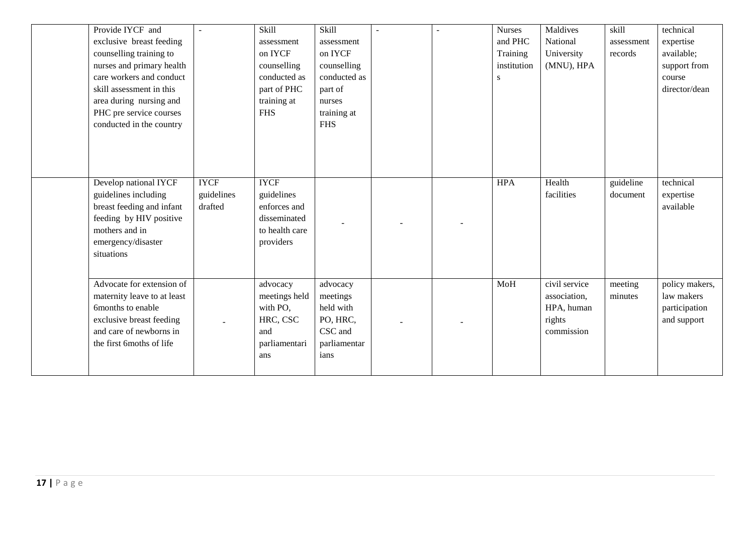| Provide IYCF and<br>exclusive breast feeding<br>counselling training to<br>nurses and primary health<br>care workers and conduct<br>skill assessment in this<br>area during nursing and<br>PHC pre service courses | $\ddot{\phantom{1}}$  | Skill<br>assessment<br>on IYCF<br>counselling<br>conducted as<br>part of PHC<br>training at<br><b>FHS</b> | Skill<br>assessment<br>on IYCF<br>counselling<br>conducted as<br>part of<br>nurses<br>training at |  | <b>Nurses</b><br>and PHC<br>Training<br>institution<br>S | Maldives<br>National<br>University<br>(MNU), HPA                    | skill<br>assessment<br>records | technical<br>expertise<br>available;<br>support from<br>course<br>director/dean |
|--------------------------------------------------------------------------------------------------------------------------------------------------------------------------------------------------------------------|-----------------------|-----------------------------------------------------------------------------------------------------------|---------------------------------------------------------------------------------------------------|--|----------------------------------------------------------|---------------------------------------------------------------------|--------------------------------|---------------------------------------------------------------------------------|
| conducted in the country<br>Develop national IYCF                                                                                                                                                                  | <b>IYCF</b>           | <b>IYCF</b>                                                                                               | <b>FHS</b>                                                                                        |  | <b>HPA</b>                                               | Health                                                              | guideline                      | technical                                                                       |
| guidelines including<br>breast feeding and infant<br>feeding by HIV positive<br>mothers and in<br>emergency/disaster<br>situations                                                                                 | guidelines<br>drafted | guidelines<br>enforces and<br>disseminated<br>to health care<br>providers                                 |                                                                                                   |  |                                                          | facilities                                                          | document                       | expertise<br>available                                                          |
| Advocate for extension of<br>maternity leave to at least<br>6months to enable<br>exclusive breast feeding<br>and care of newborns in<br>the first 6moths of life                                                   |                       | advocacy<br>meetings held<br>with PO,<br>HRC, CSC<br>and<br>parliamentari<br>ans                          | advocacy<br>meetings<br>held with<br>PO, HRC,<br>CSC and<br>parliamentar<br>ians                  |  | MoH                                                      | civil service<br>association,<br>HPA, human<br>rights<br>commission | meeting<br>minutes             | policy makers,<br>law makers<br>participation<br>and support                    |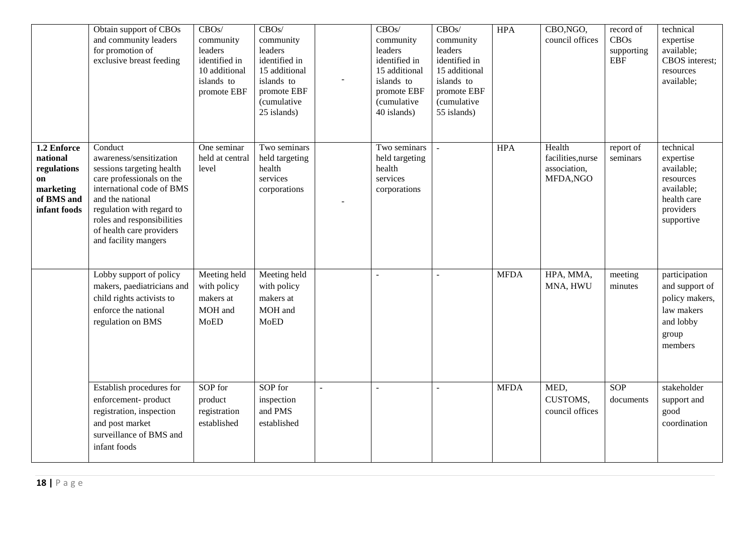|                                                                                         | Obtain support of CBOs<br>and community leaders<br>for promotion of<br>exclusive breast feeding                                                                                                                                                              | CBOS/<br>community<br>leaders<br>identified in<br>10 additional<br>islands to<br>promote EBF | CBOS/<br>community<br>leaders<br>identified in<br>15 additional<br>islands to<br>promote EBF<br>(cumulative<br>25 islands) | $\overline{\phantom{a}}$ | CBOS/<br>community<br>leaders<br>identified in<br>15 additional<br>islands to<br>promote EBF<br>(cumulative<br>40 islands) | CBOS/<br>community<br>leaders<br>identified in<br>15 additional<br>islands to<br>promote EBF<br>(cumulative<br>55 islands) | <b>HPA</b>  | CBO, NGO,<br>council offices                            | record of<br><b>CBOs</b><br>supporting<br><b>EBF</b> | technical<br>expertise<br>available;<br>CBOS interest;<br>resources<br>available;                         |
|-----------------------------------------------------------------------------------------|--------------------------------------------------------------------------------------------------------------------------------------------------------------------------------------------------------------------------------------------------------------|----------------------------------------------------------------------------------------------|----------------------------------------------------------------------------------------------------------------------------|--------------------------|----------------------------------------------------------------------------------------------------------------------------|----------------------------------------------------------------------------------------------------------------------------|-------------|---------------------------------------------------------|------------------------------------------------------|-----------------------------------------------------------------------------------------------------------|
| 1.2 Enforce<br>national<br>regulations<br>on<br>marketing<br>of BMS and<br>infant foods | Conduct<br>awareness/sensitization<br>sessions targeting health<br>care professionals on the<br>international code of BMS<br>and the national<br>regulation with regard to<br>roles and responsibilities<br>of health care providers<br>and facility mangers | One seminar<br>held at central<br>level                                                      | Two seminars<br>held targeting<br>health<br>services<br>corporations                                                       |                          | Two seminars<br>held targeting<br>health<br>services<br>corporations                                                       |                                                                                                                            | <b>HPA</b>  | Health<br>facilities, nurse<br>association,<br>MFDA,NGO | report of<br>seminars                                | technical<br>expertise<br>available;<br>resources<br>available;<br>health care<br>providers<br>supportive |
|                                                                                         | Lobby support of policy<br>makers, paediatricians and<br>child rights activists to<br>enforce the national<br>regulation on BMS                                                                                                                              | Meeting held<br>with policy<br>makers at<br>MOH and<br><b>MoED</b>                           | Meeting held<br>with policy<br>makers at<br>MOH and<br><b>MoED</b>                                                         |                          |                                                                                                                            |                                                                                                                            | <b>MFDA</b> | HPA, MMA,<br>MNA, HWU                                   | meeting<br>minutes                                   | participation<br>and support of<br>policy makers,<br>law makers<br>and lobby<br>group<br>members          |
|                                                                                         | Establish procedures for<br>enforcement-product<br>registration, inspection<br>and post market<br>surveillance of BMS and<br>infant foods                                                                                                                    | SOP for<br>product<br>registration<br>established                                            | SOP for<br>inspection<br>and PMS<br>established                                                                            |                          |                                                                                                                            |                                                                                                                            | <b>MFDA</b> | MED,<br>CUSTOMS,<br>council offices                     | <b>SOP</b><br>documents                              | stakeholder<br>support and<br>good<br>coordination                                                        |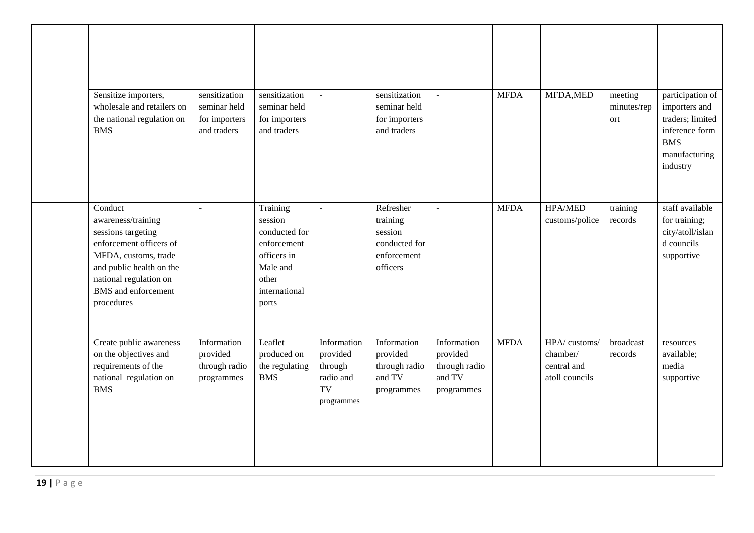| Sensitize importers,<br>wholesale and retailers on<br>the national regulation on<br><b>BMS</b>                                                                                                           | sensitization<br>seminar held<br>for importers<br>and traders | sensitization<br>seminar held<br>for importers<br>and traders                                                     |                                                                     | sensitization<br>seminar held<br>for importers<br>and traders                |                                                                  | <b>MFDA</b> | MFDA, MED                                                 | meeting<br>minutes/rep<br>ort | participation of<br>importers and<br>traders; limited<br>inference form<br><b>BMS</b><br>manufacturing<br>industry |
|----------------------------------------------------------------------------------------------------------------------------------------------------------------------------------------------------------|---------------------------------------------------------------|-------------------------------------------------------------------------------------------------------------------|---------------------------------------------------------------------|------------------------------------------------------------------------------|------------------------------------------------------------------|-------------|-----------------------------------------------------------|-------------------------------|--------------------------------------------------------------------------------------------------------------------|
| Conduct<br>awareness/training<br>sessions targeting<br>enforcement officers of<br>MFDA, customs, trade<br>and public health on the<br>national regulation on<br><b>BMS</b> and enforcement<br>procedures | $\blacksquare$                                                | Training<br>session<br>conducted for<br>enforcement<br>officers in<br>Male and<br>other<br>international<br>ports | $\blacksquare$                                                      | Refresher<br>training<br>session<br>conducted for<br>enforcement<br>officers | $\sim$                                                           | <b>MFDA</b> | <b>HPA/MED</b><br>customs/police                          | training<br>records           | staff available<br>for training;<br>city/atoll/islan<br>d councils<br>supportive                                   |
| Create public awareness<br>on the objectives and<br>requirements of the<br>national regulation on<br><b>BMS</b>                                                                                          | Information<br>provided<br>through radio<br>programmes        | Leaflet<br>produced on<br>the regulating<br><b>BMS</b>                                                            | Information<br>provided<br>through<br>radio and<br>TV<br>programmes | Information<br>provided<br>through radio<br>and TV<br>programmes             | Information<br>provided<br>through radio<br>and TV<br>programmes | <b>MFDA</b> | HPA/customs/<br>chamber/<br>central and<br>atoll councils | broadcast<br>records          | resources<br>available;<br>media<br>supportive                                                                     |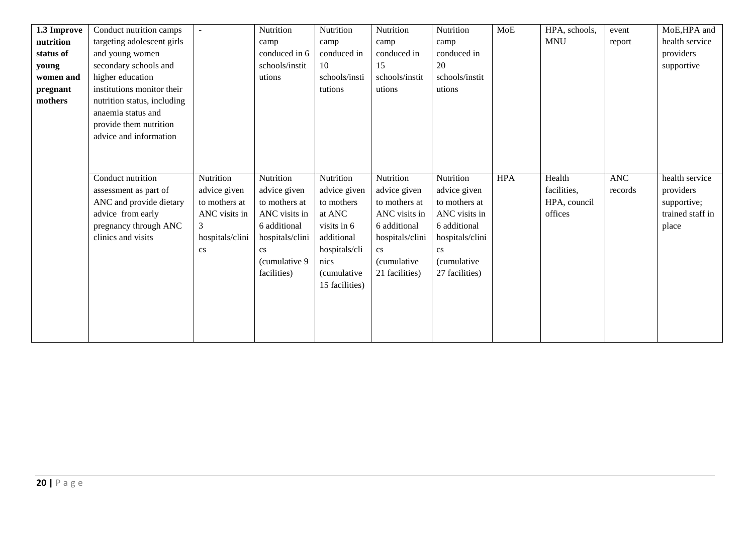| 1.3 Improve | Conduct nutrition camps     | $\blacksquare$  | Nutrition              | Nutrition      | Nutrition              | Nutrition              | MoE        | HPA, schools, | event   | MoE,HPA and      |
|-------------|-----------------------------|-----------------|------------------------|----------------|------------------------|------------------------|------------|---------------|---------|------------------|
| nutrition   | targeting adolescent girls  |                 | camp                   | camp           | camp                   | camp                   |            | <b>MNU</b>    | report  | health service   |
| status of   | and young women             |                 | conduced in 6          | conduced in    | conduced in            | conduced in            |            |               |         | providers        |
| young       | secondary schools and       |                 | schools/instit         | 10             | 15                     | 20                     |            |               |         | supportive       |
| women and   | higher education            |                 | utions                 | schools/insti  | schools/instit         | schools/instit         |            |               |         |                  |
| pregnant    | institutions monitor their  |                 |                        | tutions        | utions                 | utions                 |            |               |         |                  |
| mothers     | nutrition status, including |                 |                        |                |                        |                        |            |               |         |                  |
|             | anaemia status and          |                 |                        |                |                        |                        |            |               |         |                  |
|             | provide them nutrition      |                 |                        |                |                        |                        |            |               |         |                  |
|             | advice and information      |                 |                        |                |                        |                        |            |               |         |                  |
|             |                             |                 |                        |                |                        |                        |            |               |         |                  |
|             |                             |                 |                        |                |                        |                        |            |               |         |                  |
|             | Conduct nutrition           | Nutrition       | Nutrition              | Nutrition      | Nutrition              | Nutrition              | <b>HPA</b> | Health        | ANC     | health service   |
|             | assessment as part of       | advice given    | advice given           | advice given   | advice given           | advice given           |            | facilities,   | records | providers        |
|             | ANC and provide dietary     | to mothers at   | to mothers at          | to mothers     | to mothers at          | to mothers at          |            | HPA, council  |         | supportive;      |
|             | advice from early           | ANC visits in   | ANC visits in          | at ANC         | ANC visits in          | ANC visits in          |            | offices       |         | trained staff in |
|             | pregnancy through ANC       | 3               | 6 additional           | visits in 6    | 6 additional           | 6 additional           |            |               |         | place            |
|             | clinics and visits          | hospitals/clini | hospitals/clini        | additional     | hospitals/clini        | hospitals/clini        |            |               |         |                  |
|             |                             | cs              | $\mathbf{c}\mathbf{s}$ | hospitals/cli  | $\mathbf{c}\mathbf{s}$ | $\mathbf{c}\mathbf{s}$ |            |               |         |                  |
|             |                             |                 | (cumulative 9)         | nics           | <i>(cumulative)</i>    | <i>(cumulative)</i>    |            |               |         |                  |
|             |                             |                 | facilities)            | (cumulative    | 21 facilities)         | 27 facilities)         |            |               |         |                  |
|             |                             |                 |                        | 15 facilities) |                        |                        |            |               |         |                  |
|             |                             |                 |                        |                |                        |                        |            |               |         |                  |
|             |                             |                 |                        |                |                        |                        |            |               |         |                  |
|             |                             |                 |                        |                |                        |                        |            |               |         |                  |
|             |                             |                 |                        |                |                        |                        |            |               |         |                  |
|             |                             |                 |                        |                |                        |                        |            |               |         |                  |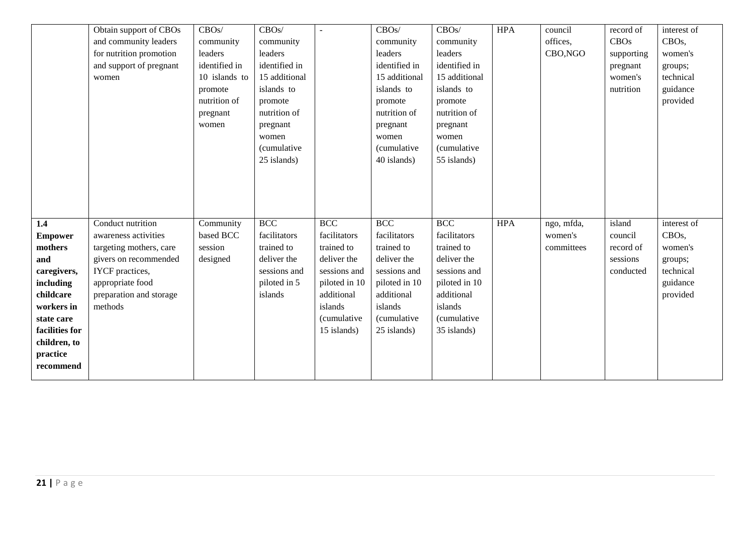|                | Obtain support of CBOs  | CBOS/         | CBOS/         |               | CBOS/               | CBOS/               | <b>HPA</b> | council    | record of  | interest of        |
|----------------|-------------------------|---------------|---------------|---------------|---------------------|---------------------|------------|------------|------------|--------------------|
|                | and community leaders   | community     | community     |               | community           | community           |            | offices,   | CBOs       | CBO <sub>s</sub> , |
|                | for nutrition promotion | leaders       | leaders       |               | leaders             | leaders             |            | CBO, NGO   | supporting | women's            |
|                | and support of pregnant | identified in | identified in |               | identified in       | identified in       |            |            | pregnant   | groups;            |
|                | women                   | 10 islands to | 15 additional |               | 15 additional       | 15 additional       |            |            | women's    | technical          |
|                |                         | promote       | islands to    |               | islands to          | islands to          |            |            | nutrition  | guidance           |
|                |                         | nutrition of  | promote       |               | promote             | promote             |            |            |            | provided           |
|                |                         | pregnant      | nutrition of  |               | nutrition of        | nutrition of        |            |            |            |                    |
|                |                         | women         | pregnant      |               | pregnant            | pregnant            |            |            |            |                    |
|                |                         |               | women         |               | women               | women               |            |            |            |                    |
|                |                         |               | (cumulative   |               | <i>(cumulative)</i> | <i>(cumulative)</i> |            |            |            |                    |
|                |                         |               | 25 islands)   |               | 40 islands)         | 55 islands)         |            |            |            |                    |
|                |                         |               |               |               |                     |                     |            |            |            |                    |
|                |                         |               |               |               |                     |                     |            |            |            |                    |
|                |                         |               |               |               |                     |                     |            |            |            |                    |
|                |                         |               |               |               |                     |                     |            |            |            |                    |
| 1.4            | Conduct nutrition       | Community     | <b>BCC</b>    | <b>BCC</b>    | <b>BCC</b>          | <b>BCC</b>          | <b>HPA</b> | ngo, mfda, | island     | interest of        |
| <b>Empower</b> | awareness activities    | based BCC     | facilitators  | facilitators  | facilitators        | facilitators        |            | women's    | council    | CBO <sub>s</sub> , |
| mothers        | targeting mothers, care | session       | trained to    | trained to    | trained to          | trained to          |            | committees | record of  | women's            |
| and            | givers on recommended   | designed      | deliver the   | deliver the   | deliver the         | deliver the         |            |            | sessions   | groups;            |
| caregivers,    | IYCF practices,         |               | sessions and  | sessions and  | sessions and        | sessions and        |            |            | conducted  | technical          |
| including      | appropriate food        |               | piloted in 5  | piloted in 10 | piloted in 10       | piloted in 10       |            |            |            | guidance           |
| childcare      | preparation and storage |               | islands       | additional    | additional          | additional          |            |            |            | provided           |
| workers in     | methods                 |               |               | islands       | islands             | islands             |            |            |            |                    |
| state care     |                         |               |               | (cumulative   | <i>(cumulative</i>  | (cumulative         |            |            |            |                    |
| facilities for |                         |               |               | 15 islands)   | 25 islands)         | 35 islands)         |            |            |            |                    |
| children, to   |                         |               |               |               |                     |                     |            |            |            |                    |
| practice       |                         |               |               |               |                     |                     |            |            |            |                    |
| recommend      |                         |               |               |               |                     |                     |            |            |            |                    |
|                |                         |               |               |               |                     |                     |            |            |            |                    |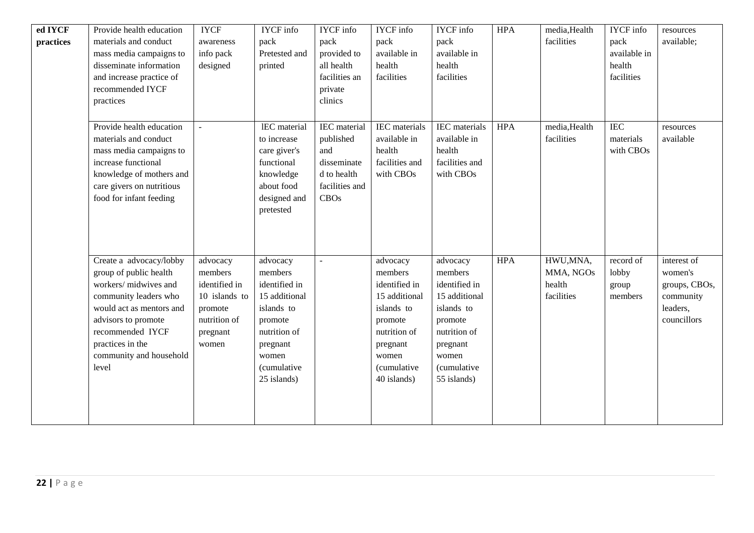| ed IYCF   | Provide health education  | <b>IYCF</b>              | <b>IYCF</b> info | <b>IYCF</b> info   | <b>IYCF</b> info | <b>IYCF</b> info     | <b>HPA</b> | media, Health | <b>IYCF</b> info | resources              |
|-----------|---------------------------|--------------------------|------------------|--------------------|------------------|----------------------|------------|---------------|------------------|------------------------|
| practices | materials and conduct     | awareness                | pack             | pack               | pack             | pack                 |            | facilities    | pack             | available;             |
|           | mass media campaigns to   | info pack                | Pretested and    | provided to        | available in     | available in         |            |               | available in     |                        |
|           | disseminate information   | designed                 | printed          | all health         | health           | health               |            |               | health           |                        |
|           | and increase practice of  |                          |                  | facilities an      | facilities       | facilities           |            |               | facilities       |                        |
|           | recommended IYCF          |                          |                  | private<br>clinics |                  |                      |            |               |                  |                        |
|           | practices                 |                          |                  |                    |                  |                      |            |               |                  |                        |
|           | Provide health education  | $\overline{\phantom{a}}$ | IEC material     | IEC material       | IEC materials    | <b>IEC</b> materials | <b>HPA</b> | media, Health | <b>IEC</b>       |                        |
|           | materials and conduct     |                          | to increase      | published          | available in     | available in         |            | facilities    | materials        | resources<br>available |
|           | mass media campaigns to   |                          | care giver's     | and                | health           | health               |            |               | with CBOs        |                        |
|           | increase functional       |                          | functional       | disseminate        | facilities and   | facilities and       |            |               |                  |                        |
|           | knowledge of mothers and  |                          | knowledge        | d to health        | with CBOs        | with CBOs            |            |               |                  |                        |
|           | care givers on nutritious |                          | about food       | facilities and     |                  |                      |            |               |                  |                        |
|           | food for infant feeding   |                          | designed and     | <b>CBOs</b>        |                  |                      |            |               |                  |                        |
|           |                           |                          | pretested        |                    |                  |                      |            |               |                  |                        |
|           |                           |                          |                  |                    |                  |                      |            |               |                  |                        |
|           |                           |                          |                  |                    |                  |                      |            |               |                  |                        |
|           |                           |                          |                  |                    |                  |                      |            |               |                  |                        |
|           | Create a advocacy/lobby   | advocacy                 | advocacy         |                    | advocacy         | advocacy             | <b>HPA</b> | HWU,MNA,      | record of        | interest of            |
|           | group of public health    | members                  | members          |                    | members          | members              |            | MMA, NGOs     | lobby            | women's                |
|           | workers/midwives and      | identified in            | identified in    |                    | identified in    | identified in        |            | health        | group            | groups, CBOs,          |
|           | community leaders who     | 10 islands to            | 15 additional    |                    | 15 additional    | 15 additional        |            | facilities    | members          | community              |
|           | would act as mentors and  | promote                  | islands to       |                    | islands to       | islands to           |            |               |                  | leaders,               |
|           | advisors to promote       | nutrition of             | promote          |                    | promote          | promote              |            |               |                  | councillors            |
|           | recommended IYCF          | pregnant                 | nutrition of     |                    | nutrition of     | nutrition of         |            |               |                  |                        |
|           | practices in the          | women                    | pregnant         |                    | pregnant         | pregnant             |            |               |                  |                        |
|           | community and household   |                          | women            |                    | women            | women                |            |               |                  |                        |
|           | level                     |                          | (cumulative      |                    | (cumulative      | <i>(cumulative</i>   |            |               |                  |                        |
|           |                           |                          | 25 islands)      |                    | 40 islands)      | 55 islands)          |            |               |                  |                        |
|           |                           |                          |                  |                    |                  |                      |            |               |                  |                        |
|           |                           |                          |                  |                    |                  |                      |            |               |                  |                        |
|           |                           |                          |                  |                    |                  |                      |            |               |                  |                        |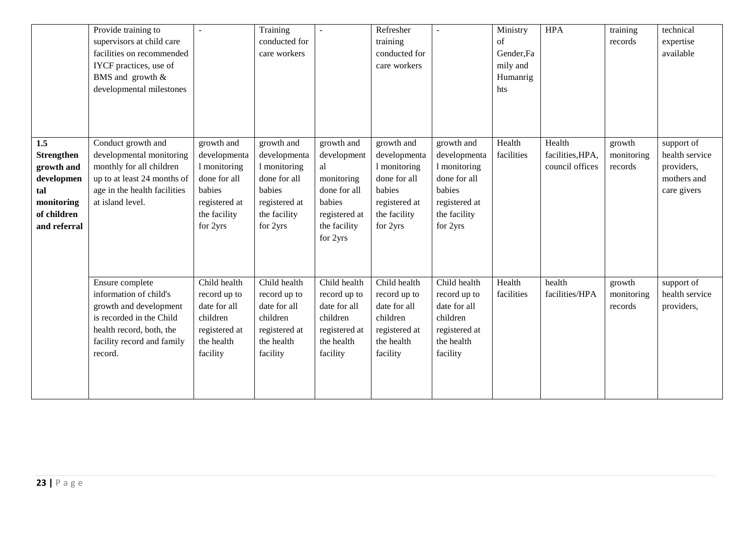|                                                                                                          | Provide training to<br>supervisors at child care<br>facilities on recommended<br>IYCF practices, use of<br>BMS and growth &<br>developmental milestones              |                                                                                                                   | Training<br>conducted for<br>care workers                                                                         |                                                                                                                      | Refresher<br>training<br>conducted for<br>care workers                                                            |                                                                                                                   | Ministry<br>of<br>Gender, Fa<br>mily and<br>Humanrig<br>hts | <b>HPA</b>                                    | training<br>records             | technical<br>expertise<br>available                                      |
|----------------------------------------------------------------------------------------------------------|----------------------------------------------------------------------------------------------------------------------------------------------------------------------|-------------------------------------------------------------------------------------------------------------------|-------------------------------------------------------------------------------------------------------------------|----------------------------------------------------------------------------------------------------------------------|-------------------------------------------------------------------------------------------------------------------|-------------------------------------------------------------------------------------------------------------------|-------------------------------------------------------------|-----------------------------------------------|---------------------------------|--------------------------------------------------------------------------|
| 1.5<br><b>Strengthen</b><br>growth and<br>developmen<br>tal<br>monitoring<br>of children<br>and referral | Conduct growth and<br>developmental monitoring<br>monthly for all children<br>up to at least 24 months of<br>age in the health facilities<br>at island level.        | growth and<br>developmenta<br>1 monitoring<br>done for all<br>babies<br>registered at<br>the facility<br>for 2yrs | growth and<br>developmenta<br>1 monitoring<br>done for all<br>babies<br>registered at<br>the facility<br>for 2yrs | growth and<br>development<br>al<br>monitoring<br>done for all<br>babies<br>registered at<br>the facility<br>for 2yrs | growth and<br>developmenta<br>1 monitoring<br>done for all<br>babies<br>registered at<br>the facility<br>for 2yrs | growth and<br>developmenta<br>1 monitoring<br>done for all<br>babies<br>registered at<br>the facility<br>for 2yrs | Health<br>facilities                                        | Health<br>facilities, HPA,<br>council offices | growth<br>monitoring<br>records | support of<br>health service<br>providers,<br>mothers and<br>care givers |
|                                                                                                          | Ensure complete<br>information of child's<br>growth and development<br>is recorded in the Child<br>health record, both, the<br>facility record and family<br>record. | Child health<br>record up to<br>date for all<br>children<br>registered at<br>the health<br>facility               | Child health<br>record up to<br>date for all<br>children<br>registered at<br>the health<br>facility               | Child health<br>record up to<br>date for all<br>children<br>registered at<br>the health<br>facility                  | Child health<br>record up to<br>date for all<br>children<br>registered at<br>the health<br>facility               | Child health<br>record up to<br>date for all<br>children<br>registered at<br>the health<br>facility               | Health<br>facilities                                        | health<br>facilities/HPA                      | growth<br>monitoring<br>records | support of<br>health service<br>providers,                               |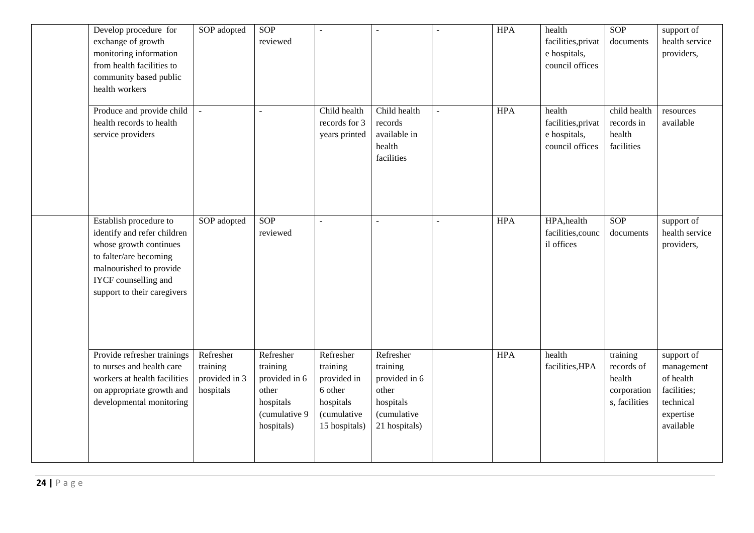| Develop procedure for<br>exchange of growth<br>monitoring information<br>from health facilities to<br>community based public<br>health workers                                                     | SOP adopted                                         | SOP<br>reviewed                                                                             | $\overline{a}$                                                                               | $\overline{a}$                                                                                      | $\overline{a}$ | <b>HPA</b> | health<br>facilities, privat<br>e hospitals,<br>council offices | SOP<br>documents                                                 | support of<br>health service<br>providers,                                                  |
|----------------------------------------------------------------------------------------------------------------------------------------------------------------------------------------------------|-----------------------------------------------------|---------------------------------------------------------------------------------------------|----------------------------------------------------------------------------------------------|-----------------------------------------------------------------------------------------------------|----------------|------------|-----------------------------------------------------------------|------------------------------------------------------------------|---------------------------------------------------------------------------------------------|
| Produce and provide child<br>health records to health<br>service providers                                                                                                                         | $\frac{1}{2}$                                       |                                                                                             | Child health<br>records for 3<br>years printed                                               | Child health<br>records<br>available in<br>health<br>facilities                                     |                | <b>HPA</b> | health<br>facilities, privat<br>e hospitals,<br>council offices | child health<br>records in<br>health<br>facilities               | resources<br>available                                                                      |
| Establish procedure to<br>identify and refer children<br>whose growth continues<br>to falter/are becoming<br>malnourished to provide<br><b>IYCF</b> counselling and<br>support to their caregivers | SOP adopted                                         | SOP<br>reviewed                                                                             | $\sim$                                                                                       | $\overline{a}$                                                                                      |                | <b>HPA</b> | HPA, health<br>facilities, counc<br>il offices                  | SOP<br>documents                                                 | support of<br>health service<br>providers,                                                  |
| Provide refresher trainings<br>to nurses and health care<br>workers at health facilities<br>on appropriate growth and<br>developmental monitoring                                                  | Refresher<br>training<br>provided in 3<br>hospitals | Refresher<br>training<br>provided in 6<br>other<br>hospitals<br>(cumulative 9<br>hospitals) | Refresher<br>training<br>provided in<br>6 other<br>hospitals<br>(cumulative<br>15 hospitals) | Refresher<br>training<br>provided in 6<br>other<br>hospitals<br><i>(cumulative</i><br>21 hospitals) |                | <b>HPA</b> | health<br>facilities, HPA                                       | training<br>records of<br>health<br>corporation<br>s, facilities | support of<br>management<br>of health<br>facilities;<br>technical<br>expertise<br>available |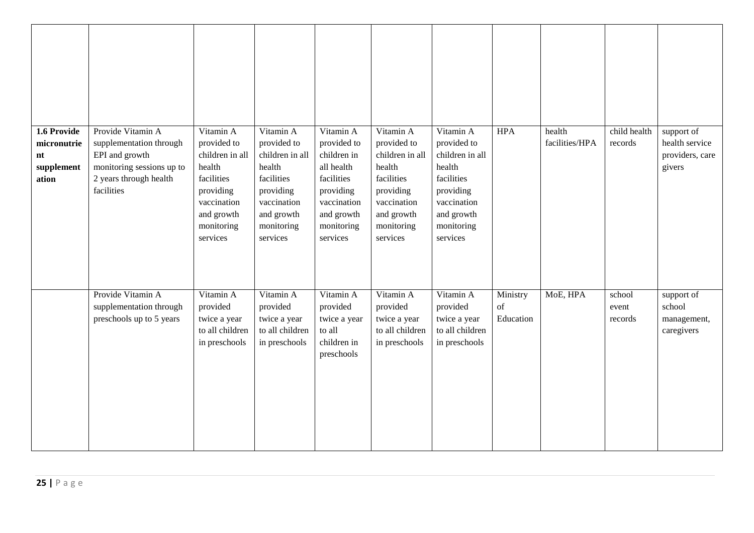| 1.6 Provide<br>micronutrie<br>nt<br>supplement<br>ation | Provide Vitamin A<br>supplementation through<br>EPI and growth<br>monitoring sessions up to<br>2 years through health<br>facilities | Vitamin A<br>provided to<br>children in all<br>health<br>facilities<br>providing<br>vaccination<br>and growth<br>monitoring<br>services | Vitamin A<br>provided to<br>children in all<br>health<br>facilities<br>providing<br>vaccination<br>and growth<br>monitoring<br>services | Vitamin A<br>provided to<br>children in<br>all health<br>facilities<br>providing<br>vaccination<br>and growth<br>monitoring<br>services | Vitamin A<br>provided to<br>children in all<br>health<br>facilities<br>providing<br>vaccination<br>and growth<br>monitoring<br>services | Vitamin A<br>provided to<br>children in all<br>health<br>facilities<br>providing<br>vaccination<br>and growth<br>monitoring<br>services | <b>HPA</b>                  | health<br>facilities/HPA | child health<br>records    | support of<br>health service<br>providers, care<br>givers |
|---------------------------------------------------------|-------------------------------------------------------------------------------------------------------------------------------------|-----------------------------------------------------------------------------------------------------------------------------------------|-----------------------------------------------------------------------------------------------------------------------------------------|-----------------------------------------------------------------------------------------------------------------------------------------|-----------------------------------------------------------------------------------------------------------------------------------------|-----------------------------------------------------------------------------------------------------------------------------------------|-----------------------------|--------------------------|----------------------------|-----------------------------------------------------------|
|                                                         | Provide Vitamin A<br>supplementation through<br>preschools up to 5 years                                                            | Vitamin A<br>provided<br>twice a year<br>to all children<br>in preschools                                                               | Vitamin A<br>provided<br>twice a year<br>to all children<br>in preschools                                                               | Vitamin A<br>provided<br>twice a year<br>to all<br>children in<br>preschools                                                            | Vitamin A<br>provided<br>twice a year<br>to all children<br>in preschools                                                               | Vitamin A<br>provided<br>twice a year<br>to all children<br>in preschools                                                               | Ministry<br>of<br>Education | MoE, HPA                 | school<br>event<br>records | support of<br>school<br>management,<br>caregivers         |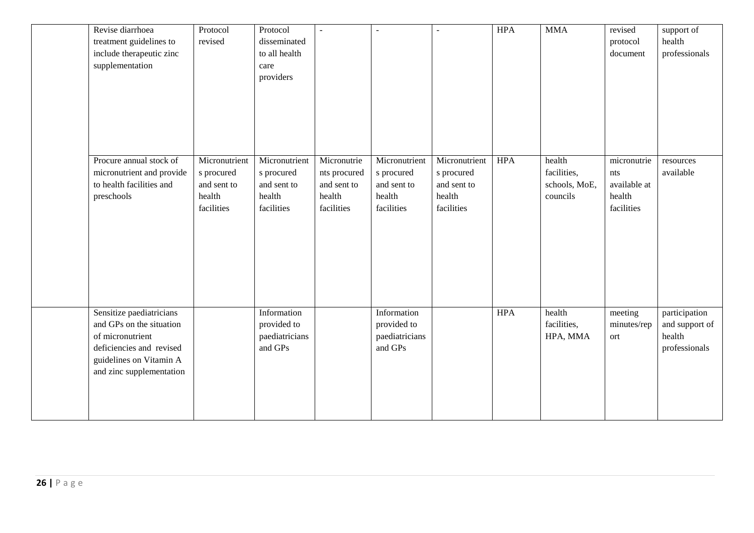| Revise diarrhoea<br>treatment guidelines to<br>include therapeutic zinc<br>supplementation                                                                  | Protocol<br>revised                                                | Protocol<br>disseminated<br>to all health<br>care<br>providers     |                                                                    |                                                                    | $\sim$                                                             | <b>HPA</b> | <b>MMA</b>                                         | revised<br>protocol<br>document                            | support of<br>health<br>professionals                      |
|-------------------------------------------------------------------------------------------------------------------------------------------------------------|--------------------------------------------------------------------|--------------------------------------------------------------------|--------------------------------------------------------------------|--------------------------------------------------------------------|--------------------------------------------------------------------|------------|----------------------------------------------------|------------------------------------------------------------|------------------------------------------------------------|
| Procure annual stock of<br>micronutrient and provide<br>to health facilities and<br>preschools                                                              | Micronutrient<br>s procured<br>and sent to<br>health<br>facilities | Micronutrient<br>s procured<br>and sent to<br>health<br>facilities | Micronutrie<br>nts procured<br>and sent to<br>health<br>facilities | Micronutrient<br>s procured<br>and sent to<br>health<br>facilities | Micronutrient<br>s procured<br>and sent to<br>health<br>facilities | <b>HPA</b> | health<br>facilities,<br>schools, MoE,<br>councils | micronutrie<br>nts<br>available at<br>health<br>facilities | resources<br>available                                     |
| Sensitize paediatricians<br>and GPs on the situation<br>of micronutrient<br>deficiencies and revised<br>guidelines on Vitamin A<br>and zinc supplementation |                                                                    | Information<br>provided to<br>paediatricians<br>and GPs            |                                                                    | Information<br>provided to<br>paediatricians<br>and GPs            |                                                                    | <b>HPA</b> | health<br>facilities,<br>HPA, MMA                  | meeting<br>minutes/rep<br>ort                              | participation<br>and support of<br>health<br>professionals |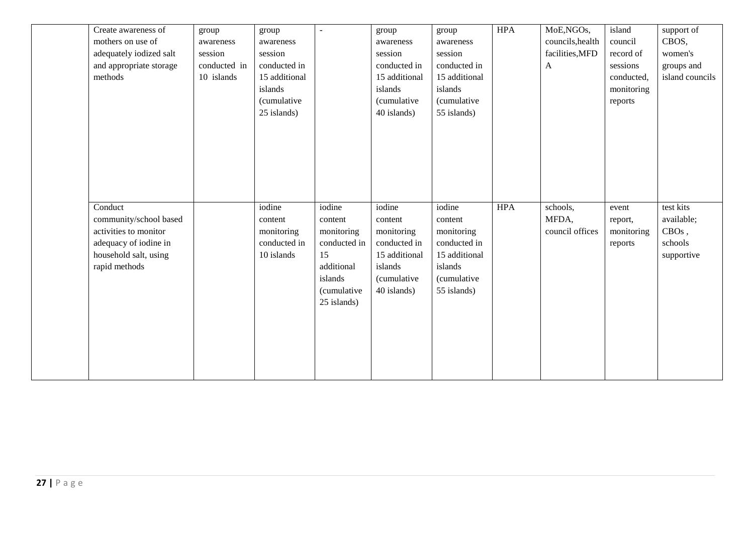| Create awareness of<br>mothers on use of<br>adequately iodized salt<br>and appropriate storage<br>methods                     | group<br>awareness<br>session<br>conducted in<br>10 islands | group<br>awareness<br>session<br>conducted in<br>15 additional<br>islands<br><i>(cumulative</i><br>25 islands) | $\blacksquare$                                                      | group<br>awareness<br>session<br>conducted in<br>15 additional<br>islands<br>(cumulative<br>40 islands) | group<br>awareness<br>session<br>conducted in<br>15 additional<br>islands<br><i>(cumulative</i><br>55 islands) | <b>HPA</b> | MoE,NGOs,<br>councils, health<br>facilities, MFD<br>$\mathbf{A}$ | island<br>council<br>record of<br>sessions<br>conducted,<br>monitoring<br>reports | support of<br>CBOS,<br>women's<br>groups and<br>island councils |
|-------------------------------------------------------------------------------------------------------------------------------|-------------------------------------------------------------|----------------------------------------------------------------------------------------------------------------|---------------------------------------------------------------------|---------------------------------------------------------------------------------------------------------|----------------------------------------------------------------------------------------------------------------|------------|------------------------------------------------------------------|-----------------------------------------------------------------------------------|-----------------------------------------------------------------|
| Conduct<br>community/school based<br>activities to monitor<br>adequacy of iodine in<br>household salt, using<br>rapid methods |                                                             | iodine<br>content<br>monitoring<br>conducted in<br>10 islands                                                  | iodine<br>content<br>monitoring<br>conducted in<br>15<br>additional | iodine<br>content<br>monitoring<br>conducted in<br>15 additional<br>islands                             | iodine<br>content<br>monitoring<br>conducted in<br>15 additional<br>islands                                    | <b>HPA</b> | schools,<br>MFDA,<br>council offices                             | event<br>report,<br>monitoring<br>reports                                         | test kits<br>available;<br>$CBOs$ ,<br>schools<br>supportive    |
|                                                                                                                               |                                                             |                                                                                                                | islands<br>(cumulative<br>25 islands)                               | (cumulative<br>40 islands)                                                                              | <i>(cumulative</i><br>55 islands)                                                                              |            |                                                                  |                                                                                   |                                                                 |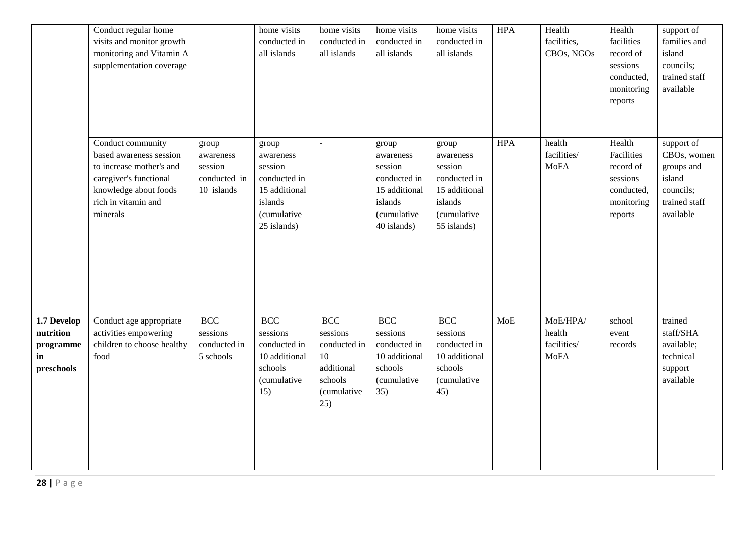|                                                           | Conduct regular home<br>visits and monitor growth<br>monitoring and Vitamin A<br>supplementation coverage                                                      |                                                             | home visits<br>conducted in<br>all islands                                                              | home visits<br>conducted in<br>all islands                                                         | home visits<br>conducted in<br>all islands                                                              | home visits<br>conducted in<br>all islands                                                              | <b>HPA</b> | Health<br>facilities,<br>CBOs, NGOs              | Health<br>facilities<br>record of<br>sessions<br>conducted,<br>monitoring<br>reports | support of<br>families and<br>island<br>councils;<br>trained staff<br>available              |
|-----------------------------------------------------------|----------------------------------------------------------------------------------------------------------------------------------------------------------------|-------------------------------------------------------------|---------------------------------------------------------------------------------------------------------|----------------------------------------------------------------------------------------------------|---------------------------------------------------------------------------------------------------------|---------------------------------------------------------------------------------------------------------|------------|--------------------------------------------------|--------------------------------------------------------------------------------------|----------------------------------------------------------------------------------------------|
|                                                           | Conduct community<br>based awareness session<br>to increase mother's and<br>caregiver's functional<br>knowledge about foods<br>rich in vitamin and<br>minerals | group<br>awareness<br>session<br>conducted in<br>10 islands | group<br>awareness<br>session<br>conducted in<br>15 additional<br>islands<br>(cumulative<br>25 islands) | $\overline{a}$                                                                                     | group<br>awareness<br>session<br>conducted in<br>15 additional<br>islands<br>(cumulative<br>40 islands) | group<br>awareness<br>session<br>conducted in<br>15 additional<br>islands<br>(cumulative<br>55 islands) | <b>HPA</b> | health<br>facilities/<br><b>MoFA</b>             | Health<br>Facilities<br>record of<br>sessions<br>conducted,<br>monitoring<br>reports | support of<br>CBOs, women<br>groups and<br>island<br>councils;<br>trained staff<br>available |
| 1.7 Develop<br>nutrition<br>programme<br>in<br>preschools | Conduct age appropriate<br>activities empowering<br>children to choose healthy<br>food                                                                         | <b>BCC</b><br>sessions<br>conducted in<br>5 schools         | <b>BCC</b><br>sessions<br>conducted in<br>10 additional<br>schools<br>(cumulative<br>15)                | <b>BCC</b><br>sessions<br>conducted in<br>10<br>additional<br>schools<br><i>(cumulative</i><br>25) | <b>BCC</b><br>sessions<br>conducted in<br>10 additional<br>schools<br>(cumulative<br>35)                | <b>BCC</b><br>sessions<br>conducted in<br>10 additional<br>schools<br><i>(cumulative</i><br>45)         | <b>MoE</b> | MoE/HPA/<br>health<br>facilities/<br><b>MoFA</b> | school<br>event<br>records                                                           | trained<br>staff/SHA<br>available;<br>technical<br>support<br>available                      |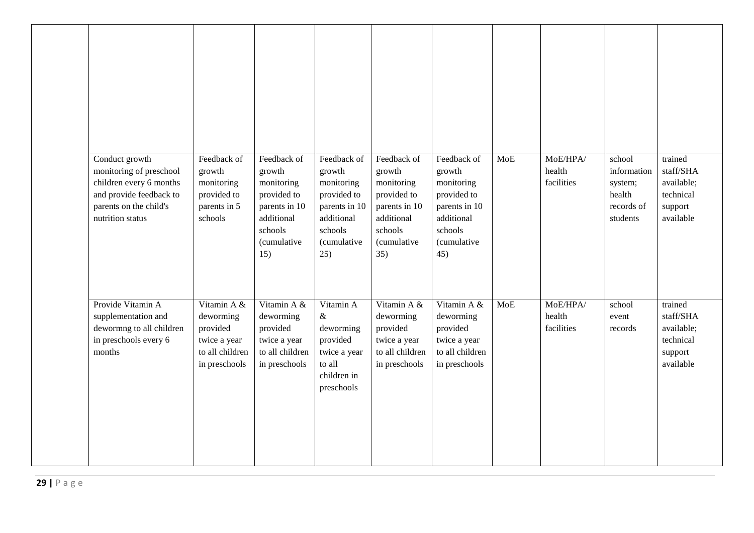| Conduct growth<br>monitoring of preschool<br>children every 6 months<br>and provide feedback to<br>parents on the child's<br>nutrition status | Feedback of<br>growth<br>monitoring<br>provided to<br>parents in 5<br>schools            | Feedback of<br>growth<br>monitoring<br>provided to<br>parents in 10<br>additional<br>schools<br>(cumulative<br>15) | Feedback of<br>growth<br>monitoring<br>provided to<br>parents in 10<br>additional<br>schools<br>(cumulative<br>25) | Feedback of<br>growth<br>monitoring<br>provided to<br>parents in 10<br>additional<br>schools<br><i>(cumulative</i><br>35) | Feedback of<br>growth<br>monitoring<br>provided to<br>parents in 10<br>additional<br>schools<br><i>(cumulative</i><br>45) | <b>MoE</b> | MoE/HPA/<br>health<br>facilities | school<br>information<br>system;<br>health<br>records of<br>students | trained<br>staff/SHA<br>available;<br>technical<br>support<br>available |
|-----------------------------------------------------------------------------------------------------------------------------------------------|------------------------------------------------------------------------------------------|--------------------------------------------------------------------------------------------------------------------|--------------------------------------------------------------------------------------------------------------------|---------------------------------------------------------------------------------------------------------------------------|---------------------------------------------------------------------------------------------------------------------------|------------|----------------------------------|----------------------------------------------------------------------|-------------------------------------------------------------------------|
| Provide Vitamin A<br>supplementation and<br>dewormng to all children<br>in preschools every 6<br>months                                       | Vitamin A &<br>deworming<br>provided<br>twice a year<br>to all children<br>in preschools | Vitamin A &<br>deworming<br>provided<br>twice a year<br>to all children<br>in preschools                           | Vitamin A<br>$\&$<br>deworming<br>provided<br>twice a year<br>to all<br>children in<br>preschools                  | Vitamin A &<br>deworming<br>provided<br>twice a year<br>to all children<br>in preschools                                  | Vitamin A &<br>deworming<br>provided<br>twice a year<br>to all children<br>in preschools                                  | <b>MoE</b> | MoE/HPA/<br>health<br>facilities | school<br>event<br>records                                           | trained<br>staff/SHA<br>available;<br>technical<br>support<br>available |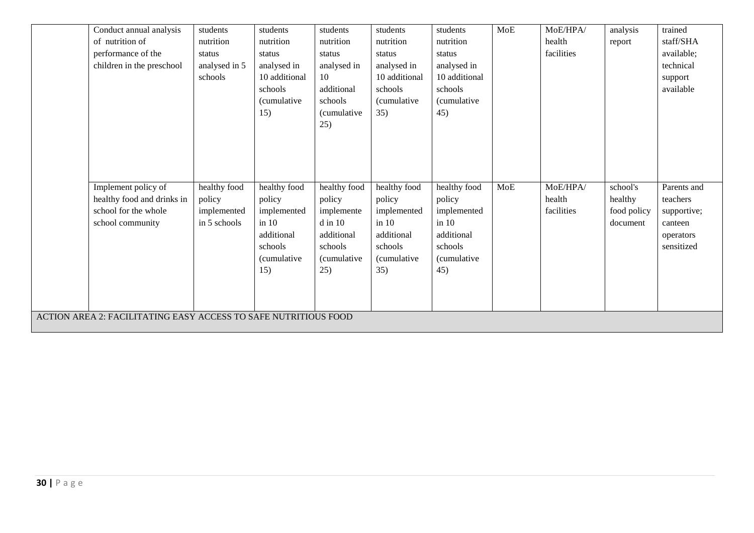| Conduct annual analysis                                         | students      | students            | students            | students            | students             | MoE | MoE/HPA/   | analysis    | trained     |
|-----------------------------------------------------------------|---------------|---------------------|---------------------|---------------------|----------------------|-----|------------|-------------|-------------|
| of nutrition of                                                 | nutrition     | nutrition           | nutrition           | nutrition           | nutrition            |     | health     | report      | staff/SHA   |
| performance of the                                              | status        | status              | status              | status              | status               |     | facilities |             | available;  |
| children in the preschool                                       | analysed in 5 | analysed in         | analysed in         | analysed in         | analysed in          |     |            |             | technical   |
|                                                                 | schools       | 10 additional       | 10                  | 10 additional       | 10 additional        |     |            |             | support     |
|                                                                 |               | schools             | additional          | schools             | schools              |     |            |             | available   |
|                                                                 |               | (cumulative         | schools             | <i>(cumulative</i>  | <i>(cumulative</i> ) |     |            |             |             |
|                                                                 |               | 15)                 | <i>(cumulative)</i> | 35)                 | 45)                  |     |            |             |             |
|                                                                 |               |                     | 25)                 |                     |                      |     |            |             |             |
|                                                                 |               |                     |                     |                     |                      |     |            |             |             |
|                                                                 |               |                     |                     |                     |                      |     |            |             |             |
|                                                                 |               |                     |                     |                     |                      |     |            |             |             |
|                                                                 |               |                     |                     |                     |                      |     |            |             |             |
| Implement policy of                                             | healthy food  | healthy food        | healthy food        | healthy food        | healthy food         | MoE | MoE/HPA/   | school's    | Parents and |
| healthy food and drinks in                                      | policy        | policy              | policy              | policy              | policy               |     | health     | healthy     | teachers    |
| school for the whole                                            | implemented   | implemented         | implemente          | implemented         | implemented          |     | facilities | food policy | supportive; |
| school community                                                | in 5 schools  | $\sin 10$           | $d$ in $10$         | $\text{in}$ 10      | $\sin 10$            |     |            | document    | canteen     |
|                                                                 |               | additional          | additional          | additional          | additional           |     |            |             | operators   |
|                                                                 |               | schools             | schools             | schools             | schools              |     |            |             | sensitized  |
|                                                                 |               | <i>(cumulative)</i> | <i>(cumulative)</i> | <i>(cumulative)</i> | (cumulative          |     |            |             |             |
|                                                                 |               | 15)                 | 25)                 | 35)                 | 45)                  |     |            |             |             |
|                                                                 |               |                     |                     |                     |                      |     |            |             |             |
|                                                                 |               |                     |                     |                     |                      |     |            |             |             |
| ACTION AREA 2: FACILITATING EASY ACCESS TO SAFE NUTRITIOUS FOOD |               |                     |                     |                     |                      |     |            |             |             |
|                                                                 |               |                     |                     |                     |                      |     |            |             |             |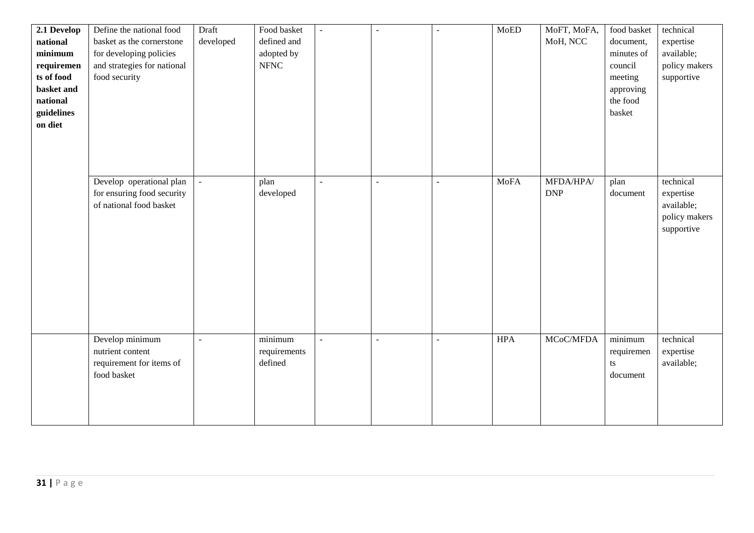| $2.1$ Develop<br>national<br>minimum<br>requiremen<br>ts of food<br>basket and<br>national<br>guidelines | Define the national food<br>basket as the cornerstone<br>for developing policies<br>and strategies for national<br>food security | Draft<br>developed | Food basket<br>defined and<br>adopted by<br>$\ensuremath{\mathsf{NFNC}}$ | $\overline{\phantom{a}}$ | $\overline{\phantom{a}}$ | $\blacksquare$ | MoED        | MoFT, MoFA,<br>MoH, NCC | food basket<br>document,<br>minutes of<br>council<br>meeting<br>approving<br>the food<br>basket | technical<br>expertise<br>available;<br>policy makers<br>supportive |
|----------------------------------------------------------------------------------------------------------|----------------------------------------------------------------------------------------------------------------------------------|--------------------|--------------------------------------------------------------------------|--------------------------|--------------------------|----------------|-------------|-------------------------|-------------------------------------------------------------------------------------------------|---------------------------------------------------------------------|
| on diet                                                                                                  | Develop operational plan<br>for ensuring food security                                                                           | $\blacksquare$     | plan<br>developed                                                        | $\blacksquare$           | $\sim$                   | $\blacksquare$ | <b>MoFA</b> | MFDA/HPA/<br><b>DNP</b> | plan<br>document                                                                                | technical<br>expertise                                              |
|                                                                                                          | of national food basket                                                                                                          |                    |                                                                          |                          |                          |                |             |                         |                                                                                                 | available;<br>policy makers<br>supportive                           |
|                                                                                                          | Develop minimum<br>nutrient content<br>requirement for items of<br>food basket                                                   | ÷,                 | minimum<br>requirements<br>defined                                       |                          |                          |                | <b>HPA</b>  | MCoC/MFDA               | minimum<br>requiremen<br>ts<br>document                                                         | technical<br>expertise<br>available;                                |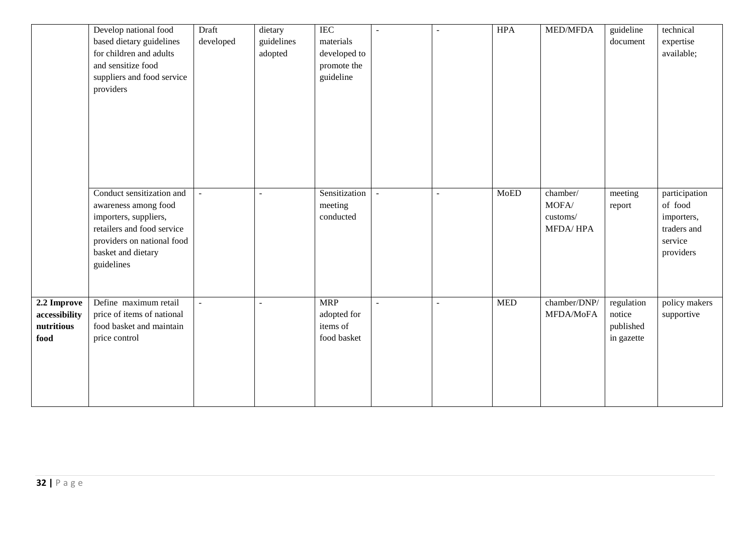|               | Develop national food<br>based dietary guidelines | Draft<br>developed       | dietary<br>guidelines | <b>IEC</b><br>materials |              |        | <b>HPA</b> | MED/MFDA        | guideline<br>document | technical<br>expertise |
|---------------|---------------------------------------------------|--------------------------|-----------------------|-------------------------|--------------|--------|------------|-----------------|-----------------------|------------------------|
|               | for children and adults                           |                          | adopted               | developed to            |              |        |            |                 |                       | available;             |
|               | and sensitize food                                |                          |                       | promote the             |              |        |            |                 |                       |                        |
|               | suppliers and food service                        |                          |                       | guideline               |              |        |            |                 |                       |                        |
|               | providers                                         |                          |                       |                         |              |        |            |                 |                       |                        |
|               |                                                   |                          |                       |                         |              |        |            |                 |                       |                        |
|               |                                                   |                          |                       |                         |              |        |            |                 |                       |                        |
|               |                                                   |                          |                       |                         |              |        |            |                 |                       |                        |
|               |                                                   |                          |                       |                         |              |        |            |                 |                       |                        |
|               |                                                   |                          |                       |                         |              |        |            |                 |                       |                        |
|               |                                                   |                          |                       |                         |              |        |            |                 |                       |                        |
|               |                                                   |                          |                       |                         |              |        |            |                 |                       |                        |
|               |                                                   |                          |                       |                         |              |        |            |                 |                       |                        |
|               | Conduct sensitization and                         | $\blacksquare$           |                       | Sensitization           |              |        | MoED       | chamber/        | meeting               | participation          |
|               | awareness among food                              |                          |                       | meeting                 |              |        |            | MOFA/           | report                | of food                |
|               | importers, suppliers,                             |                          |                       | conducted               |              |        |            | customs/        |                       | importers,             |
|               | retailers and food service                        |                          |                       |                         |              |        |            | <b>MFDA/HPA</b> |                       | traders and            |
|               | providers on national food                        |                          |                       |                         |              |        |            |                 |                       | service                |
|               | basket and dietary                                |                          |                       |                         |              |        |            |                 |                       | providers              |
|               | guidelines                                        |                          |                       |                         |              |        |            |                 |                       |                        |
|               |                                                   |                          |                       |                         |              |        |            |                 |                       |                        |
|               |                                                   |                          |                       |                         |              |        |            |                 |                       |                        |
| 2.2 Improve   | Define maximum retail                             | $\overline{\phantom{a}}$ |                       | <b>MRP</b>              | $\mathbf{r}$ | $\sim$ | <b>MED</b> | chamber/DNP/    | regulation            | policy makers          |
| accessibility | price of items of national                        |                          |                       | adopted for             |              |        |            | MFDA/MoFA       | notice                | supportive             |
| nutritious    | food basket and maintain                          |                          |                       | items of                |              |        |            |                 | published             |                        |
| food          | price control                                     |                          |                       | food basket             |              |        |            |                 | in gazette            |                        |
|               |                                                   |                          |                       |                         |              |        |            |                 |                       |                        |
|               |                                                   |                          |                       |                         |              |        |            |                 |                       |                        |
|               |                                                   |                          |                       |                         |              |        |            |                 |                       |                        |
|               |                                                   |                          |                       |                         |              |        |            |                 |                       |                        |
|               |                                                   |                          |                       |                         |              |        |            |                 |                       |                        |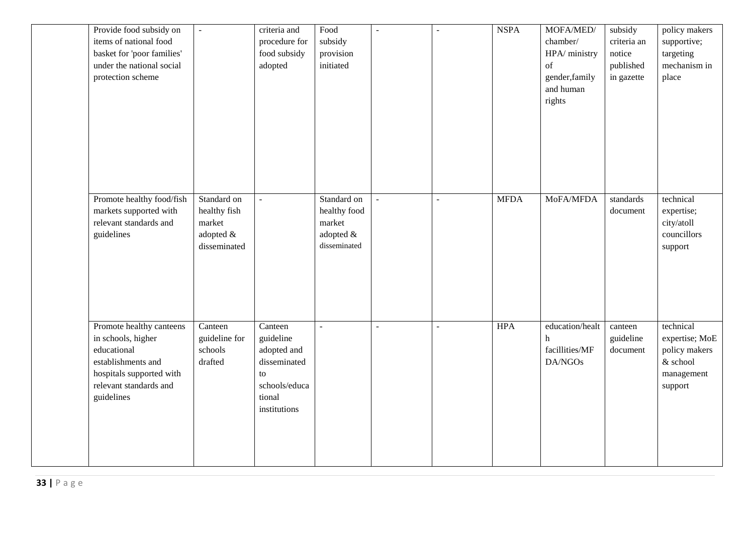| Provide food subsidy on<br>items of national food<br>basket for 'poor families'<br>under the national social<br>protection scheme                       | $\Box$                                                             | criteria and<br>procedure for<br>food subsidy<br>adopted                                             | Food<br>subsidy<br>provision<br>initiated                          | $\blacksquare$ | ÷,                       | <b>NSPA</b> | MOFA/MED/<br>chamber/<br>HPA/ ministry<br>of<br>gender, family<br>and human<br>rights | subsidy<br>criteria an<br>notice<br>published<br>in gazette | policy makers<br>supportive;<br>targeting<br>mechanism in<br>place                |
|---------------------------------------------------------------------------------------------------------------------------------------------------------|--------------------------------------------------------------------|------------------------------------------------------------------------------------------------------|--------------------------------------------------------------------|----------------|--------------------------|-------------|---------------------------------------------------------------------------------------|-------------------------------------------------------------|-----------------------------------------------------------------------------------|
| Promote healthy food/fish<br>markets supported with<br>relevant standards and<br>guidelines                                                             | Standard on<br>healthy fish<br>market<br>adopted &<br>disseminated | $\omega$                                                                                             | Standard on<br>healthy food<br>market<br>adopted &<br>disseminated | $\mathbb{L}$   | $\overline{\phantom{a}}$ | <b>MFDA</b> | MoFA/MFDA                                                                             | standards<br>document                                       | technical<br>expertise;<br>city/atoll<br>councillors<br>support                   |
| Promote healthy canteens<br>in schools, higher<br>educational<br>establishments and<br>hospitals supported with<br>relevant standards and<br>guidelines | Canteen<br>guideline for<br>schools<br>drafted                     | Canteen<br>guideline<br>adopted and<br>disseminated<br>to<br>schools/educa<br>tional<br>institutions | $\sim$                                                             | $\blacksquare$ | $\overline{a}$           | <b>HPA</b>  | education/healt<br>h<br>facillities/MF<br>DA/NGOs                                     | canteen<br>guideline<br>document                            | technical<br>expertise; MoE<br>policy makers<br>& school<br>management<br>support |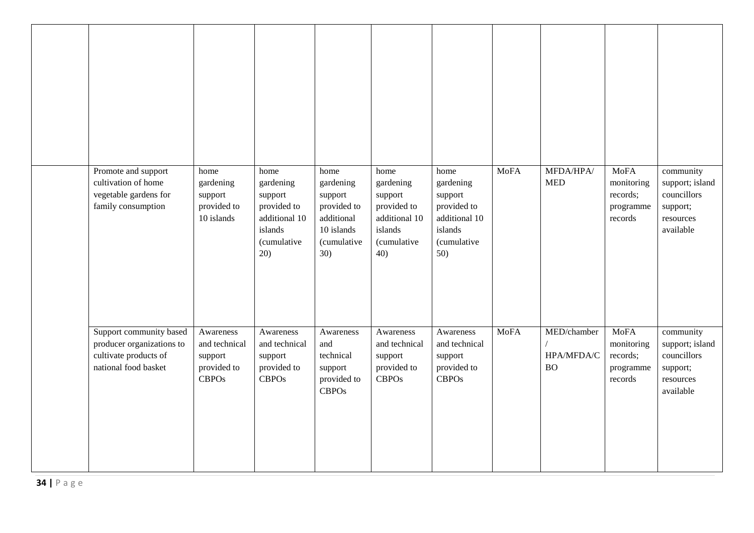| Promote and support<br>cultivation of home<br>vegetable gardens for<br>family consumption             | home<br>gardening<br>support<br>provided to<br>10 islands            | home<br>gardening<br>support<br>provided to<br>additional 10<br>islands<br><i>(cumulative</i><br>20) | home<br>gardening<br>support<br>provided to<br>additional<br>10 islands<br>(cumulative<br>30) | home<br>gardening<br>support<br>provided to<br>additional 10<br>islands<br>(cumulative<br>40) | home<br>gardening<br>support<br>provided to<br>additional 10<br>islands<br>(cumulative<br>50) | <b>MoFA</b> | MFDA/HPA/<br><b>MED</b>                | <b>MoFA</b><br>monitoring<br>records;<br>programme<br>records | community<br>support; island<br>councillors<br>support;<br>resources<br>available |
|-------------------------------------------------------------------------------------------------------|----------------------------------------------------------------------|------------------------------------------------------------------------------------------------------|-----------------------------------------------------------------------------------------------|-----------------------------------------------------------------------------------------------|-----------------------------------------------------------------------------------------------|-------------|----------------------------------------|---------------------------------------------------------------|-----------------------------------------------------------------------------------|
| Support community based<br>producer organizations to<br>cultivate products of<br>national food basket | Awareness<br>and technical<br>support<br>provided to<br><b>CBPOs</b> | Awareness<br>and technical<br>support<br>provided to<br><b>CBPOs</b>                                 | Awareness<br>and<br>technical<br>support<br>provided to<br><b>CBPOs</b>                       | Awareness<br>and technical<br>support<br>provided to<br><b>CBPOs</b>                          | Awareness<br>and technical<br>support<br>provided to<br><b>CBPOs</b>                          | <b>MoFA</b> | MED/chamber<br>HPA/MFDA/C<br><b>BO</b> | <b>MoFA</b><br>monitoring<br>records;<br>programme<br>records | community<br>support; island<br>councillors<br>support;<br>resources<br>available |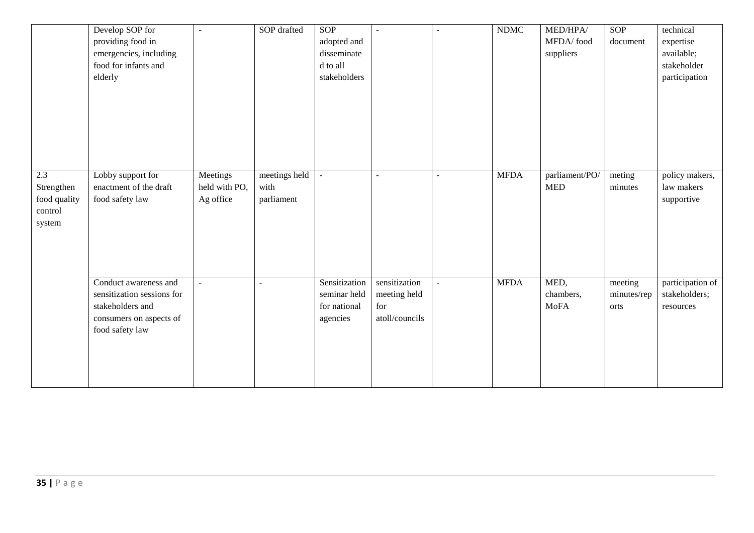|                                                        | Develop SOP for<br>providing food in<br>emergencies, including<br>food for infants and<br>elderly                     | $\overline{\phantom{a}}$               | SOP drafted                         | <b>SOP</b><br>adopted and<br>disseminate<br>d to all<br>stakeholders | $\sim$                                                 | $\overline{a}$           | <b>NDMC</b> | MED/HPA/<br>MFDA/food<br>suppliers | <b>SOP</b><br>document         | technical<br>expertise<br>available;<br>stakeholder<br>participation |
|--------------------------------------------------------|-----------------------------------------------------------------------------------------------------------------------|----------------------------------------|-------------------------------------|----------------------------------------------------------------------|--------------------------------------------------------|--------------------------|-------------|------------------------------------|--------------------------------|----------------------------------------------------------------------|
| 2.3<br>Strengthen<br>food quality<br>control<br>system | Lobby support for<br>enactment of the draft<br>food safety law                                                        | Meetings<br>held with PO,<br>Ag office | meetings held<br>with<br>parliament |                                                                      | $\overline{\phantom{a}}$                               | $\overline{\phantom{a}}$ | <b>MFDA</b> | parliament/PO/<br><b>MED</b>       | meting<br>minutes              | policy makers,<br>law makers<br>supportive                           |
|                                                        | Conduct awareness and<br>sensitization sessions for<br>stakeholders and<br>consumers on aspects of<br>food safety law |                                        | $\overline{a}$                      | Sensitization<br>seminar held<br>for national<br>agencies            | sensitization<br>meeting held<br>for<br>atoll/councils | $\overline{\phantom{a}}$ | <b>MFDA</b> | MED,<br>chambers,<br><b>MoFA</b>   | meeting<br>minutes/rep<br>orts | participation of<br>stakeholders;<br>resources                       |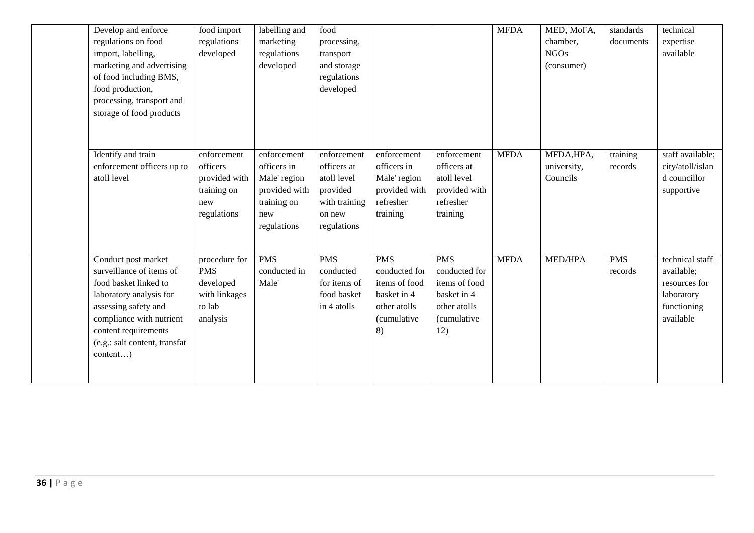| Develop and enforce<br>regulations on food<br>import, labelling,<br>marketing and advertising<br>of food including BMS,<br>food production,<br>processing, transport and<br>storage of food products                         | food import<br>regulations<br>developed                                         | labelling and<br>marketing<br>regulations<br>developed                                           | food<br>processing,<br>transport<br>and storage<br>regulations<br>developed                     |                                                                                                          |                                                                                                          | <b>MFDA</b> | MED, MoFA,<br>chamber,<br><b>NGOs</b><br>(consumer) | standards<br>documents | technical<br>expertise<br>available                                                      |
|------------------------------------------------------------------------------------------------------------------------------------------------------------------------------------------------------------------------------|---------------------------------------------------------------------------------|--------------------------------------------------------------------------------------------------|-------------------------------------------------------------------------------------------------|----------------------------------------------------------------------------------------------------------|----------------------------------------------------------------------------------------------------------|-------------|-----------------------------------------------------|------------------------|------------------------------------------------------------------------------------------|
| Identify and train<br>enforcement officers up to<br>atoll level                                                                                                                                                              | enforcement<br>officers<br>provided with<br>training on<br>new<br>regulations   | enforcement<br>officers in<br>Male' region<br>provided with<br>training on<br>new<br>regulations | enforcement<br>officers at<br>atoll level<br>provided<br>with training<br>on new<br>regulations | enforcement<br>officers in<br>Male' region<br>provided with<br>refresher<br>training                     | enforcement<br>officers at<br>atoll level<br>provided with<br>refresher<br>training                      | <b>MFDA</b> | MFDA, HPA,<br>university,<br>Councils               | training<br>records    | staff available;<br>city/atoll/islan<br>d councillor<br>supportive                       |
| Conduct post market<br>surveillance of items of<br>food basket linked to<br>laboratory analysis for<br>assessing safety and<br>compliance with nutrient<br>content requirements<br>(e.g.: salt content, transfat<br>content) | procedure for<br><b>PMS</b><br>developed<br>with linkages<br>to lab<br>analysis | $P\overline{MS}$<br>conducted in<br>Male'                                                        | <b>PMS</b><br>conducted<br>for items of<br>food basket<br>in 4 atolls                           | <b>PMS</b><br>conducted for<br>items of food<br>basket in 4<br>other atolls<br><i>(cumulative)</i><br>8) | <b>PMS</b><br>conducted for<br>items of food<br>basket in 4<br>other atolls<br><i>(cumulative</i><br>12) | <b>MFDA</b> | <b>MED/HPA</b>                                      | <b>PMS</b><br>records  | technical staff<br>available;<br>resources for<br>laboratory<br>functioning<br>available |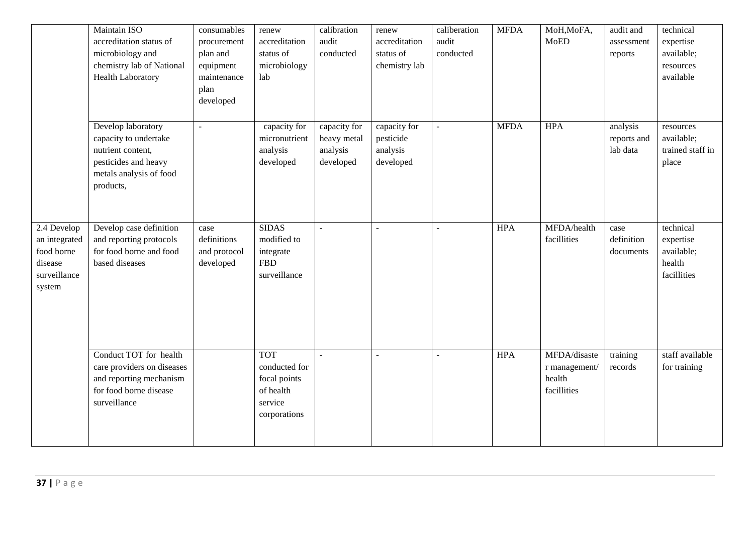|                                                                                 | Maintain ISO<br>accreditation status of<br>microbiology and<br>chemistry lab of National<br><b>Health Laboratory</b>             | consumables<br>procurement<br>plan and<br>equipment<br>maintenance<br>plan<br>developed | renew<br>accreditation<br>status of<br>microbiology<br>lab                          | calibration<br>audit<br>conducted                    | renew<br>accreditation<br>status of<br>chemistry lab | caliberation<br>audit<br>conducted | <b>MFDA</b> | MoH, MoFA,<br><b>MoED</b>                              | audit and<br>assessment<br>reports  | technical<br>expertise<br>available;<br>resources<br>available |
|---------------------------------------------------------------------------------|----------------------------------------------------------------------------------------------------------------------------------|-----------------------------------------------------------------------------------------|-------------------------------------------------------------------------------------|------------------------------------------------------|------------------------------------------------------|------------------------------------|-------------|--------------------------------------------------------|-------------------------------------|----------------------------------------------------------------|
|                                                                                 | Develop laboratory<br>capacity to undertake<br>nutrient content,<br>pesticides and heavy<br>metals analysis of food<br>products, | $\overline{\phantom{a}}$                                                                | capacity for<br>micronutrient<br>analysis<br>developed                              | capacity for<br>heavy metal<br>analysis<br>developed | capacity for<br>pesticide<br>analysis<br>developed   | ÷.                                 | <b>MFDA</b> | <b>HPA</b>                                             | analysis<br>reports and<br>lab data | resources<br>available;<br>trained staff in<br>place           |
| 2.4 Develop<br>an integrated<br>food borne<br>disease<br>surveillance<br>system | Develop case definition<br>and reporting protocols<br>for food borne and food<br>based diseases                                  | case<br>definitions<br>and protocol<br>developed                                        | <b>SIDAS</b><br>modified to<br>integrate<br><b>FBD</b><br>surveillance              |                                                      | $\overline{a}$                                       | $\overline{a}$                     | <b>HPA</b>  | MFDA/health<br>facillities                             | case<br>definition<br>documents     | technical<br>expertise<br>available;<br>health<br>facillities  |
|                                                                                 | Conduct TOT for health<br>care providers on diseases<br>and reporting mechanism<br>for food borne disease<br>surveillance        |                                                                                         | <b>TOT</b><br>conducted for<br>focal points<br>of health<br>service<br>corporations |                                                      |                                                      |                                    | <b>HPA</b>  | MFDA/disaste<br>r management/<br>health<br>facillities | training<br>records                 | staff available<br>for training                                |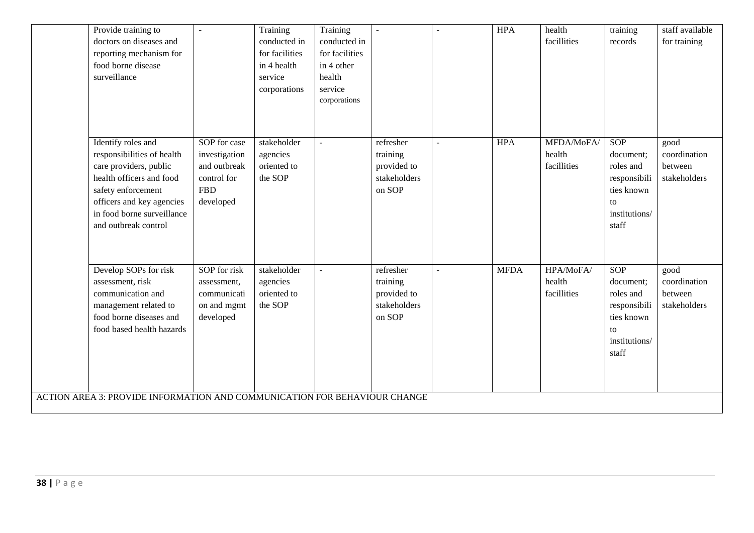| Provide training to<br>doctors on diseases and<br>reporting mechanism for<br>food borne disease<br>surveillance                                                                                                 |                                                                                         | Training<br>conducted in<br>for facilities<br>in 4 health<br>service<br>corporations | Training<br>conducted in<br>for facilities<br>in 4 other<br>health<br>service<br>corporations |                                                                | <b>HPA</b>  | health<br>facillities               | training<br>records                                                                                | staff available<br>for training                 |
|-----------------------------------------------------------------------------------------------------------------------------------------------------------------------------------------------------------------|-----------------------------------------------------------------------------------------|--------------------------------------------------------------------------------------|-----------------------------------------------------------------------------------------------|----------------------------------------------------------------|-------------|-------------------------------------|----------------------------------------------------------------------------------------------------|-------------------------------------------------|
| Identify roles and<br>responsibilities of health<br>care providers, public<br>health officers and food<br>safety enforcement<br>officers and key agencies<br>in food borne surveillance<br>and outbreak control | SOP for case<br>investigation<br>and outbreak<br>control for<br><b>FBD</b><br>developed | stakeholder<br>agencies<br>oriented to<br>the SOP                                    |                                                                                               | refresher<br>training<br>provided to<br>stakeholders<br>on SOP | <b>HPA</b>  | MFDA/MoFA/<br>health<br>facillities | <b>SOP</b><br>document;<br>roles and<br>responsibili<br>ties known<br>to<br>institutions/<br>staff | good<br>coordination<br>between<br>stakeholders |
| Develop SOPs for risk<br>assessment, risk<br>communication and<br>management related to<br>food borne diseases and<br>food based health hazards                                                                 | SOP for risk<br>assessment,<br>communicati<br>on and mgmt<br>developed                  | stakeholder<br>agencies<br>oriented to<br>the SOP                                    |                                                                                               | refresher<br>training<br>provided to<br>stakeholders<br>on SOP | <b>MFDA</b> | HPA/MoFA/<br>health<br>facillities  | <b>SOP</b><br>document:<br>roles and<br>responsibili<br>ties known<br>to<br>institutions/<br>staff | good<br>coordination<br>between<br>stakeholders |
| ACTION AREA 3: PROVIDE INFORMATION AND COMMUNICATION FOR BEHAVIOUR CHANGE                                                                                                                                       |                                                                                         |                                                                                      |                                                                                               |                                                                |             |                                     |                                                                                                    |                                                 |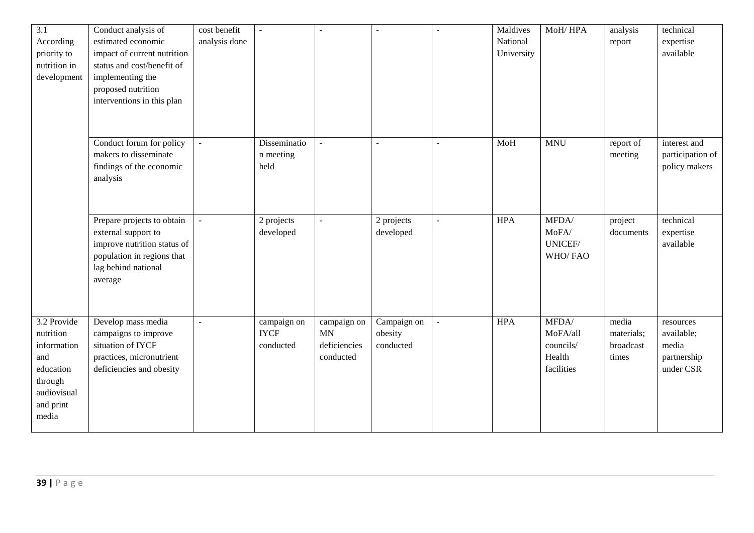| 3.1          | Conduct analysis of         | cost benefit   |              |                |             | $\sim$         | Maldives   | MoH/HPA    | analysis   | technical        |
|--------------|-----------------------------|----------------|--------------|----------------|-------------|----------------|------------|------------|------------|------------------|
| According    | estimated economic          | analysis done  |              |                |             |                | National   |            | report     | expertise        |
| priority to  | impact of current nutrition |                |              |                |             |                | University |            |            | available        |
| nutrition in | status and cost/benefit of  |                |              |                |             |                |            |            |            |                  |
| development  | implementing the            |                |              |                |             |                |            |            |            |                  |
|              | proposed nutrition          |                |              |                |             |                |            |            |            |                  |
|              | interventions in this plan  |                |              |                |             |                |            |            |            |                  |
|              |                             |                |              |                |             |                |            |            |            |                  |
|              |                             |                |              |                |             |                |            |            |            |                  |
|              | Conduct forum for policy    |                | Disseminatio |                |             |                | MoH        | <b>MNU</b> | report of  | interest and     |
|              | makers to disseminate       |                | n meeting    |                |             |                |            |            | meeting    | participation of |
|              | findings of the economic    |                | held         |                |             |                |            |            |            | policy makers    |
|              | analysis                    |                |              |                |             |                |            |            |            |                  |
|              |                             |                |              |                |             |                |            |            |            |                  |
|              |                             |                |              |                |             |                |            |            |            |                  |
|              |                             |                |              |                |             |                |            |            |            |                  |
|              | Prepare projects to obtain  |                | 2 projects   | $\overline{a}$ | 2 projects  | $\blacksquare$ | <b>HPA</b> | MFDA/      | project    | technical        |
|              | external support to         |                | developed    |                | developed   |                |            | MoFA/      | documents  | expertise        |
|              | improve nutrition status of |                |              |                |             |                |            | UNICEF/    |            | available        |
|              | population in regions that  |                |              |                |             |                |            | WHO/FAO    |            |                  |
|              | lag behind national         |                |              |                |             |                |            |            |            |                  |
|              | average                     |                |              |                |             |                |            |            |            |                  |
|              |                             |                |              |                |             |                |            |            |            |                  |
|              |                             |                |              |                |             |                |            |            |            |                  |
| 3.2 Provide  | Develop mass media          | $\overline{a}$ | campaign on  | campaign on    | Campaign on |                | <b>HPA</b> | MFDA/      | media      | resources        |
| nutrition    | campaigns to improve        |                | <b>IYCF</b>  | <b>MN</b>      | obesity     |                |            | MoFA/all   | materials; | available;       |
| information  | situation of IYCF           |                | conducted    | deficiencies   | conducted   |                |            | councils/  | broadcast  | media            |
| and          | practices, micronutrient    |                |              | conducted      |             |                |            | Health     | times      | partnership      |
| education    | deficiencies and obesity    |                |              |                |             |                |            | facilities |            | under CSR        |
| through      |                             |                |              |                |             |                |            |            |            |                  |
| audiovisual  |                             |                |              |                |             |                |            |            |            |                  |
| and print    |                             |                |              |                |             |                |            |            |            |                  |
| media        |                             |                |              |                |             |                |            |            |            |                  |
|              |                             |                |              |                |             |                |            |            |            |                  |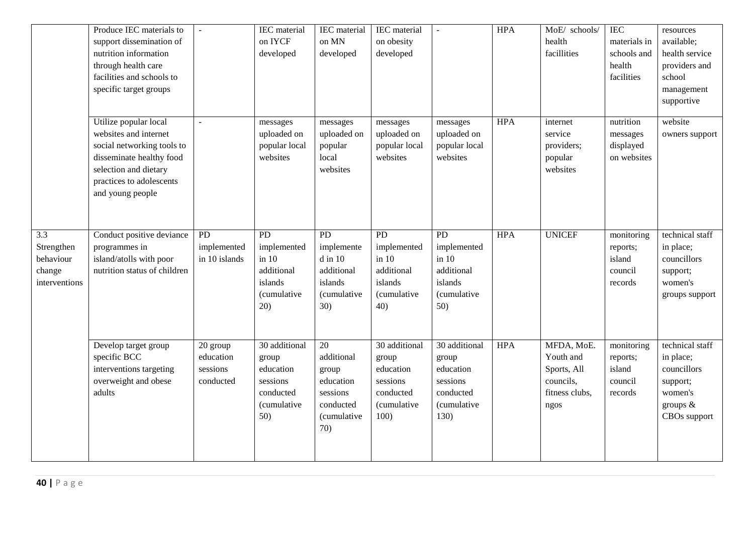|                                                                        | Produce IEC materials to<br>support dissemination of<br>nutrition information<br>through health care<br>facilities and schools to<br>specific target groups                       | $\sim$                                         | <b>IEC</b> material<br>on IYCF<br>developed                                            | IEC material<br>on MN<br>developed                                                          | IEC material<br>on obesity<br>developed                                             | $\mathbf{L}$                                                                        | <b>HPA</b> | MoE/ schools/<br>health<br>facillities                                        | <b>IEC</b><br>materials in<br>schools and<br>health<br>facilities | resources<br>available;<br>health service<br>providers and<br>school<br>management<br>supportive |
|------------------------------------------------------------------------|-----------------------------------------------------------------------------------------------------------------------------------------------------------------------------------|------------------------------------------------|----------------------------------------------------------------------------------------|---------------------------------------------------------------------------------------------|-------------------------------------------------------------------------------------|-------------------------------------------------------------------------------------|------------|-------------------------------------------------------------------------------|-------------------------------------------------------------------|--------------------------------------------------------------------------------------------------|
|                                                                        | Utilize popular local<br>websites and internet<br>social networking tools to<br>disseminate healthy food<br>selection and dietary<br>practices to adolescents<br>and young people | ÷,                                             | messages<br>uploaded on<br>popular local<br>websites                                   | messages<br>uploaded on<br>popular<br>local<br>websites                                     | messages<br>uploaded on<br>popular local<br>websites                                | messages<br>uploaded on<br>popular local<br>websites                                | <b>HPA</b> | internet<br>service<br>providers;<br>popular<br>websites                      | nutrition<br>messages<br>displayed<br>on websites                 | website<br>owners support                                                                        |
| $\overline{3.3}$<br>Strengthen<br>behaviour<br>change<br>interventions | Conduct positive deviance<br>programmes in<br>island/atolls with poor<br>nutrition status of children                                                                             | PD<br>implemented<br>in 10 islands             | $\overline{PD}$<br>implemented<br>in 10<br>additional<br>islands<br>(cumulative<br>20) | $\overline{PD}$<br>implemente<br>$d$ in $10$<br>additional<br>islands<br>(cumulative<br>30) | PD<br>implemented<br>in 10<br>additional<br>islands<br>(cumulative<br>40)           | PD<br>implemented<br>in 10<br>additional<br>islands<br>(cumulative<br>50)           | <b>HPA</b> | <b>UNICEF</b>                                                                 | monitoring<br>reports;<br>island<br>council<br>records            | technical staff<br>in place;<br>councillors<br>support;<br>women's<br>groups support             |
|                                                                        | Develop target group<br>specific BCC<br>interventions targeting<br>overweight and obese<br>adults                                                                                 | 20 group<br>education<br>sessions<br>conducted | 30 additional<br>group<br>education<br>sessions<br>conducted<br>(cumulative<br>50)     | 20<br>additional<br>group<br>education<br>sessions<br>conducted<br>(cumulative<br>70)       | 30 additional<br>group<br>education<br>sessions<br>conducted<br>(cumulative<br>100) | 30 additional<br>group<br>education<br>sessions<br>conducted<br>(cumulative<br>130) | <b>HPA</b> | MFDA, MoE.<br>Youth and<br>Sports, All<br>councils,<br>fitness clubs,<br>ngos | monitoring<br>reports;<br>island<br>council<br>records            | technical staff<br>in place;<br>councillors<br>support;<br>women's<br>groups &<br>CBOs support   |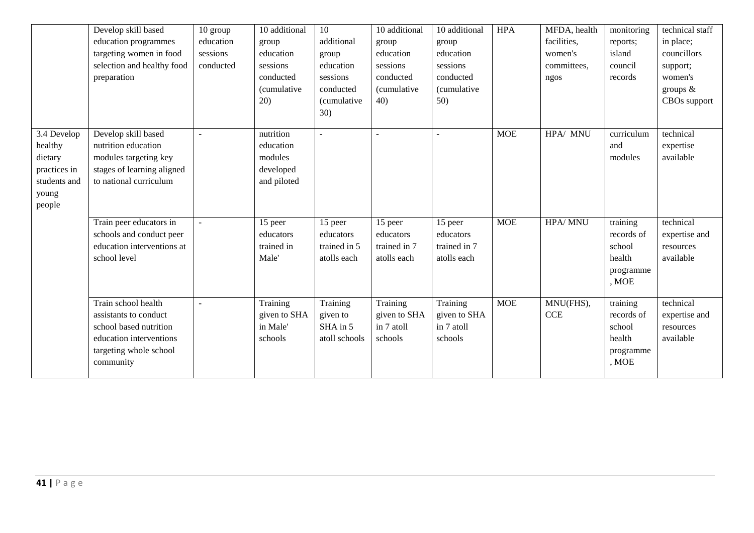|                                                                                      | Develop skill based<br>education programmes<br>targeting women in food<br>selection and healthy food<br>preparation                      | 10 group<br>education<br>sessions<br>conducted | 10 additional<br>group<br>education<br>sessions<br>conducted<br>(cumulative<br>20) | 10<br>additional<br>group<br>education<br>sessions<br>conducted<br><i>(cumulative)</i><br>30) | 10 additional<br>group<br>education<br>sessions<br>conducted<br><i>(cumulative</i><br>40) | 10 additional<br>group<br>education<br>sessions<br>conducted<br><i>(cumulative</i><br>50) | <b>HPA</b> | MFDA, health<br>facilities,<br>women's<br>committees,<br>ngos | monitoring<br>reports;<br>island<br>council<br>records           | technical staff<br>in place;<br>councillors<br>support;<br>women's<br>groups $\&$<br>CBOs support |
|--------------------------------------------------------------------------------------|------------------------------------------------------------------------------------------------------------------------------------------|------------------------------------------------|------------------------------------------------------------------------------------|-----------------------------------------------------------------------------------------------|-------------------------------------------------------------------------------------------|-------------------------------------------------------------------------------------------|------------|---------------------------------------------------------------|------------------------------------------------------------------|---------------------------------------------------------------------------------------------------|
| 3.4 Develop<br>healthy<br>dietary<br>practices in<br>students and<br>young<br>people | Develop skill based<br>nutrition education<br>modules targeting key<br>stages of learning aligned<br>to national curriculum              |                                                | nutrition<br>education<br>modules<br>developed<br>and piloted                      |                                                                                               | ÷,                                                                                        | $\overline{a}$                                                                            | <b>MOE</b> | HPA/ MNU                                                      | curriculum<br>and<br>modules                                     | technical<br>expertise<br>available                                                               |
|                                                                                      | Train peer educators in<br>schools and conduct peer<br>education interventions at<br>school level                                        |                                                | 15 peer<br>educators<br>trained in<br>Male'                                        | 15 peer<br>educators<br>trained in 5<br>atolls each                                           | 15 peer<br>educators<br>trained in 7<br>atolls each                                       | 15 peer<br>educators<br>trained in 7<br>atolls each                                       | <b>MOE</b> | HPA/MNU                                                       | training<br>records of<br>school<br>health<br>programme<br>, MOE | technical<br>expertise and<br>resources<br>available                                              |
|                                                                                      | Train school health<br>assistants to conduct<br>school based nutrition<br>education interventions<br>targeting whole school<br>community |                                                | Training<br>given to SHA<br>in Male'<br>schools                                    | Training<br>given to<br>SHA in 5<br>atoll schools                                             | Training<br>given to SHA<br>in 7 atoll<br>schools                                         | Training<br>given to SHA<br>in 7 atoll<br>schools                                         | <b>MOE</b> | MNU(FHS),<br><b>CCE</b>                                       | training<br>records of<br>school<br>health<br>programme<br>, MOE | technical<br>expertise and<br>resources<br>available                                              |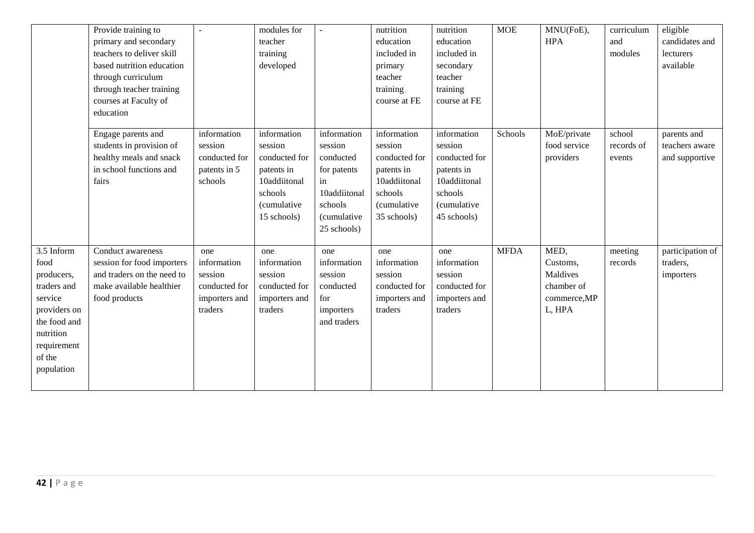|                                                                                                                                                | Provide training to<br>primary and secondary<br>teachers to deliver skill<br>based nutrition education<br>through curriculum<br>through teacher training<br>courses at Faculty of<br>education |                                                                            | modules for<br>teacher<br>training<br>developed                                                                |                                                                                                                          | nutrition<br>education<br>included in<br>primary<br>teacher<br>training<br>course at FE                        | nutrition<br>education<br>included in<br>secondary<br>teacher<br>training<br>course at FE                      | <b>MOE</b>  | MNU(FoE),<br><b>HPA</b>                                              | curriculum<br>and<br>modules   | eligible<br>candidates and<br>lecturers<br>available |
|------------------------------------------------------------------------------------------------------------------------------------------------|------------------------------------------------------------------------------------------------------------------------------------------------------------------------------------------------|----------------------------------------------------------------------------|----------------------------------------------------------------------------------------------------------------|--------------------------------------------------------------------------------------------------------------------------|----------------------------------------------------------------------------------------------------------------|----------------------------------------------------------------------------------------------------------------|-------------|----------------------------------------------------------------------|--------------------------------|------------------------------------------------------|
|                                                                                                                                                | Engage parents and<br>students in provision of<br>healthy meals and snack<br>in school functions and<br>fairs                                                                                  | information<br>session<br>conducted for<br>patents in 5<br>schools         | information<br>session<br>conducted for<br>patents in<br>10addiitonal<br>schools<br>(cumulative<br>15 schools) | information<br>session<br>conducted<br>for patents<br>in<br>10addiitonal<br>schools<br><i>(cumulative</i><br>25 schools) | information<br>session<br>conducted for<br>patents in<br>10addiitonal<br>schools<br>(cumulative<br>35 schools) | information<br>session<br>conducted for<br>patents in<br>10addiitonal<br>schools<br>(cumulative<br>45 schools) | Schools     | MoE/private<br>food service<br>providers                             | school<br>records of<br>events | parents and<br>teachers aware<br>and supportive      |
| 3.5 Inform<br>food<br>producers,<br>traders and<br>service<br>providers on<br>the food and<br>nutrition<br>requirement<br>of the<br>population | Conduct awareness<br>session for food importers<br>and traders on the need to<br>make available healthier<br>food products                                                                     | one<br>information<br>session<br>conducted for<br>importers and<br>traders | one<br>information<br>session<br>conducted for<br>importers and<br>traders                                     | one<br>information<br>session<br>conducted<br>for<br>importers<br>and traders                                            | one<br>information<br>session<br>conducted for<br>importers and<br>traders                                     | one<br>information<br>session<br>conducted for<br>importers and<br>traders                                     | <b>MFDA</b> | MED,<br>Customs,<br>Maldives<br>chamber of<br>commerce, MP<br>L, HPA | meeting<br>records             | participation of<br>traders,<br>importers            |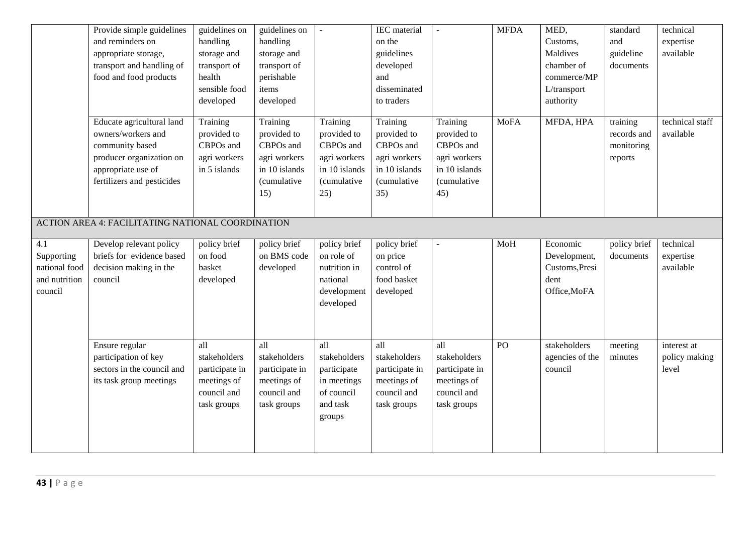|                                                                             | Provide simple guidelines<br>and reminders on<br>appropriate storage,<br>transport and handling of<br>food and food products                       | guidelines on<br>handling<br>storage and<br>transport of<br>health<br>sensible food<br>developed | guidelines on<br>handling<br>storage and<br>transport of<br>perishable<br>items<br>developed | $\sim$                                                                                      | <b>IEC</b> material<br>on the<br>guidelines<br>developed<br>and<br>disseminated<br>to traders | $\omega$                                                                                    | <b>MFDA</b> | MED,<br>Customs,<br>Maldives<br>chamber of<br>commerce/MP<br>L/transport<br>authority | standard<br>and<br>guideline<br>documents        | technical<br>expertise<br>available   |
|-----------------------------------------------------------------------------|----------------------------------------------------------------------------------------------------------------------------------------------------|--------------------------------------------------------------------------------------------------|----------------------------------------------------------------------------------------------|---------------------------------------------------------------------------------------------|-----------------------------------------------------------------------------------------------|---------------------------------------------------------------------------------------------|-------------|---------------------------------------------------------------------------------------|--------------------------------------------------|---------------------------------------|
|                                                                             | Educate agricultural land<br>owners/workers and<br>community based<br>producer organization on<br>appropriate use of<br>fertilizers and pesticides | Training<br>provided to<br>CBPOs and<br>agri workers<br>in 5 islands                             | Training<br>provided to<br>CBPOs and<br>agri workers<br>in 10 islands<br>(cumulative<br>15)  | Training<br>provided to<br>CBPOs and<br>agri workers<br>in 10 islands<br>(cumulative<br>25) | Training<br>provided to<br>CBPOs and<br>agri workers<br>in 10 islands<br>(cumulative<br>35)   | Training<br>provided to<br>CBPOs and<br>agri workers<br>in 10 islands<br>(cumulative<br>45) | <b>MoFA</b> | MFDA, HPA                                                                             | training<br>records and<br>monitoring<br>reports | technical staff<br>available          |
|                                                                             | ACTION AREA 4: FACILITATING NATIONAL COORDINATION                                                                                                  |                                                                                                  |                                                                                              |                                                                                             |                                                                                               |                                                                                             |             |                                                                                       |                                                  |                                       |
| $\overline{4.1}$<br>Supporting<br>national food<br>and nutrition<br>council | Develop relevant policy<br>briefs for evidence based<br>decision making in the<br>council                                                          | policy brief<br>on food<br>basket<br>developed                                                   | policy brief<br>on BMS code<br>developed                                                     | policy brief<br>on role of<br>nutrition in<br>national<br>development<br>developed          | policy brief<br>on price<br>control of<br>food basket<br>developed                            | $\overline{\phantom{a}}$                                                                    | MoH         | Economic<br>Development,<br>Customs, Presi<br>dent<br>Office, MoFA                    | policy brief<br>documents                        | technical<br>expertise<br>available   |
|                                                                             | Ensure regular<br>participation of key<br>sectors in the council and<br>its task group meetings                                                    | all<br>stakeholders<br>participate in<br>meetings of<br>council and<br>task groups               | all<br>stakeholders<br>participate in<br>meetings of<br>council and<br>task groups           | all<br>stakeholders<br>participate<br>in meetings<br>of council<br>and task<br>groups       | all<br>stakeholders<br>participate in<br>meetings of<br>council and<br>task groups            | all<br>stakeholders<br>participate in<br>meetings of<br>council and<br>task groups          | PO          | stakeholders<br>agencies of the<br>council                                            | meeting<br>minutes                               | interest at<br>policy making<br>level |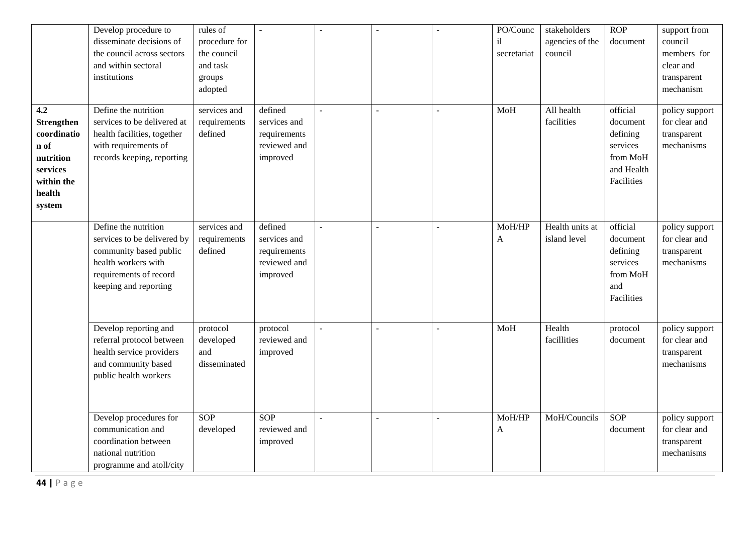|                                                                                                            | Develop procedure to<br>disseminate decisions of<br>the council across sectors<br>and within sectoral<br>institutions                                   | rules of<br>procedure for<br>the council<br>and task<br>groups<br>adopted |                                                                     |                | $\sim$         |        | PO/Counc<br>il<br>secretariat | stakeholders<br>agencies of the<br>council | ROP<br>document                                                                      | support from<br>council<br>members for<br>clear and<br>transparent<br>mechanism |
|------------------------------------------------------------------------------------------------------------|---------------------------------------------------------------------------------------------------------------------------------------------------------|---------------------------------------------------------------------------|---------------------------------------------------------------------|----------------|----------------|--------|-------------------------------|--------------------------------------------|--------------------------------------------------------------------------------------|---------------------------------------------------------------------------------|
| 4.2<br><b>Strengthen</b><br>coordinatio<br>n of<br>nutrition<br>services<br>within the<br>health<br>system | Define the nutrition<br>services to be delivered at<br>health facilities, together<br>with requirements of<br>records keeping, reporting                | services and<br>requirements<br>defined                                   | defined<br>services and<br>requirements<br>reviewed and<br>improved | $\overline{a}$ | $\overline{a}$ |        | MoH                           | All health<br>facilities                   | official<br>document<br>defining<br>services<br>from MoH<br>and Health<br>Facilities | policy support<br>for clear and<br>transparent<br>mechanisms                    |
|                                                                                                            | Define the nutrition<br>services to be delivered by<br>community based public<br>health workers with<br>requirements of record<br>keeping and reporting | services and<br>requirements<br>defined                                   | defined<br>services and<br>requirements<br>reviewed and<br>improved |                |                |        | MoH/HP<br>A                   | Health units at<br>island level            | official<br>document<br>defining<br>services<br>from MoH<br>and<br>Facilities        | policy support<br>for clear and<br>transparent<br>mechanisms                    |
|                                                                                                            | Develop reporting and<br>referral protocol between<br>health service providers<br>and community based<br>public health workers                          | protocol<br>developed<br>and<br>disseminated                              | protocol<br>reviewed and<br>improved                                |                |                |        | MoH                           | Health<br>facillities                      | protocol<br>document                                                                 | policy support<br>for clear and<br>transparent<br>mechanisms                    |
|                                                                                                            | Develop procedures for<br>communication and<br>coordination between<br>national nutrition<br>programme and atoll/city                                   | <b>SOP</b><br>developed                                                   | <b>SOP</b><br>reviewed and<br>improved                              | $\mathbf{r}$   | $\overline{a}$ | $\sim$ | MoH/HP<br>$\mathbf{A}$        | MoH/Councils                               | <b>SOP</b><br>document                                                               | policy support<br>for clear and<br>transparent<br>mechanisms                    |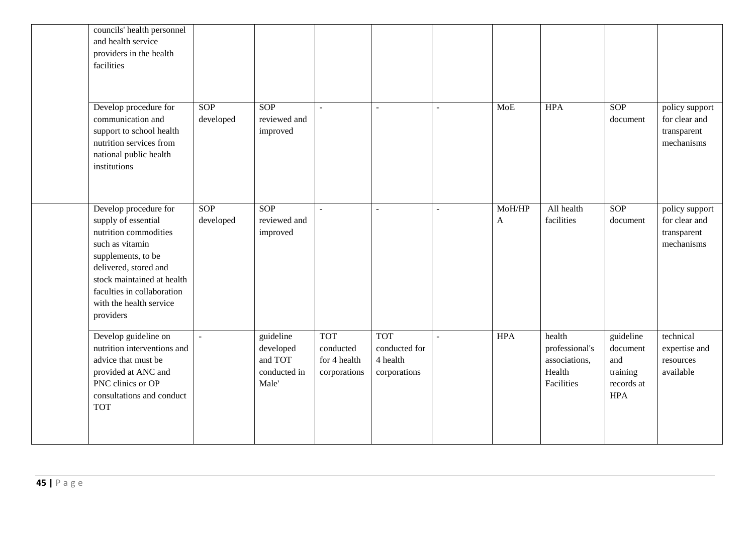| councils' health personnel<br>and health service<br>providers in the health<br>facilities                                                                                                                                                   |                  |                                                            |                                                         |                                                         |                          |             |                                                                   |                                                                      |                                                              |
|---------------------------------------------------------------------------------------------------------------------------------------------------------------------------------------------------------------------------------------------|------------------|------------------------------------------------------------|---------------------------------------------------------|---------------------------------------------------------|--------------------------|-------------|-------------------------------------------------------------------|----------------------------------------------------------------------|--------------------------------------------------------------|
| Develop procedure for<br>communication and<br>support to school health<br>nutrition services from<br>national public health<br>institutions                                                                                                 | SOP<br>developed | SOP<br>reviewed and<br>improved                            | $\omega$                                                | $\sim$                                                  | $\overline{\phantom{a}}$ | MoE         | <b>HPA</b>                                                        | SOP<br>document                                                      | policy support<br>for clear and<br>transparent<br>mechanisms |
| Develop procedure for<br>supply of essential<br>nutrition commodities<br>such as vitamin<br>supplements, to be<br>delivered, stored and<br>stock maintained at health<br>faculties in collaboration<br>with the health service<br>providers | SOP<br>developed | SOP<br>reviewed and<br>improved                            | $\omega$                                                | $\sim$                                                  | $\overline{a}$           | MoH/HP<br>A | All health<br>facilities                                          | SOP<br>document                                                      | policy support<br>for clear and<br>transparent<br>mechanisms |
| Develop guideline on<br>nutrition interventions and<br>advice that must be<br>provided at ANC and<br>PNC clinics or OP<br>consultations and conduct<br><b>TOT</b>                                                                           |                  | guideline<br>developed<br>and TOT<br>conducted in<br>Male' | <b>TOT</b><br>conducted<br>for 4 health<br>corporations | <b>TOT</b><br>conducted for<br>4 health<br>corporations |                          | <b>HPA</b>  | health<br>professional's<br>associations,<br>Health<br>Facilities | guideline<br>document<br>and<br>training<br>records at<br><b>HPA</b> | technical<br>expertise and<br>resources<br>available         |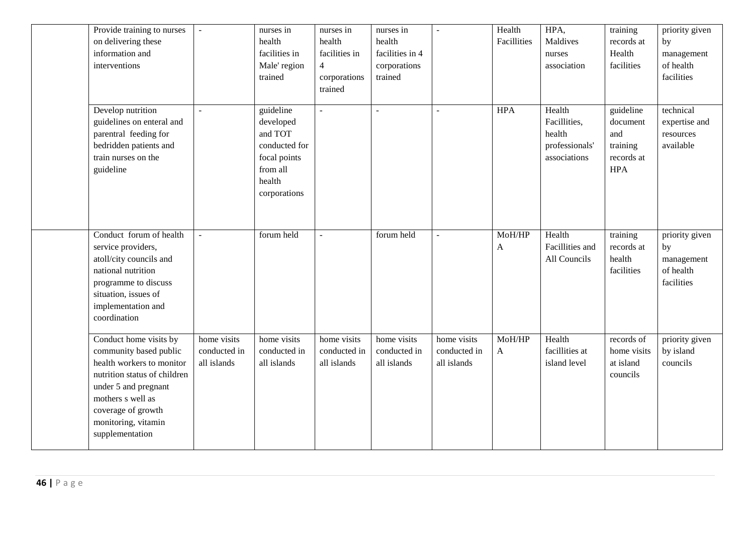| Provide training to nurses<br>on delivering these<br>information and<br>interventions                                                                                                                                      |                                            | nurses in<br>health<br>facilities in<br>Male' region<br>trained                                          | nurses in<br>health<br>facilities in<br>$\overline{4}$<br>corporations<br>trained | nurses in<br>health<br>facilities in 4<br>corporations<br>trained | $\sim$                                     | Health<br>Facillities | HPA,<br>Maldives<br>nurses<br>association                          | training<br>records at<br>Health<br>facilities                       | priority given<br>by<br>management<br>of health<br>facilities |
|----------------------------------------------------------------------------------------------------------------------------------------------------------------------------------------------------------------------------|--------------------------------------------|----------------------------------------------------------------------------------------------------------|-----------------------------------------------------------------------------------|-------------------------------------------------------------------|--------------------------------------------|-----------------------|--------------------------------------------------------------------|----------------------------------------------------------------------|---------------------------------------------------------------|
| Develop nutrition<br>guidelines on enteral and<br>parentral feeding for<br>bedridden patients and<br>train nurses on the<br>guideline                                                                                      | $\blacksquare$                             | guideline<br>developed<br>and TOT<br>conducted for<br>focal points<br>from all<br>health<br>corporations | $\sim$                                                                            |                                                                   | $\sim$                                     | <b>HPA</b>            | Health<br>Facillities,<br>health<br>professionals'<br>associations | guideline<br>document<br>and<br>training<br>records at<br><b>HPA</b> | technical<br>expertise and<br>resources<br>available          |
| Conduct forum of health<br>service providers,<br>atoll/city councils and<br>national nutrition<br>programme to discuss<br>situation, issues of<br>implementation and<br>coordination                                       |                                            | forum held                                                                                               |                                                                                   | forum held                                                        | $\sim$                                     | MoH/HP<br>A           | Health<br>Facillities and<br>All Councils                          | training<br>records at<br>health<br>facilities                       | priority given<br>by<br>management<br>of health<br>facilities |
| Conduct home visits by<br>community based public<br>health workers to monitor<br>nutrition status of children<br>under 5 and pregnant<br>mothers s well as<br>coverage of growth<br>monitoring, vitamin<br>supplementation | home visits<br>conducted in<br>all islands | home visits<br>conducted in<br>all islands                                                               | home visits<br>conducted in<br>all islands                                        | home visits<br>conducted in<br>all islands                        | home visits<br>conducted in<br>all islands | MoH/HP<br>A           | Health<br>facillities at<br>island level                           | records of<br>home visits<br>at island<br>councils                   | priority given<br>by island<br>councils                       |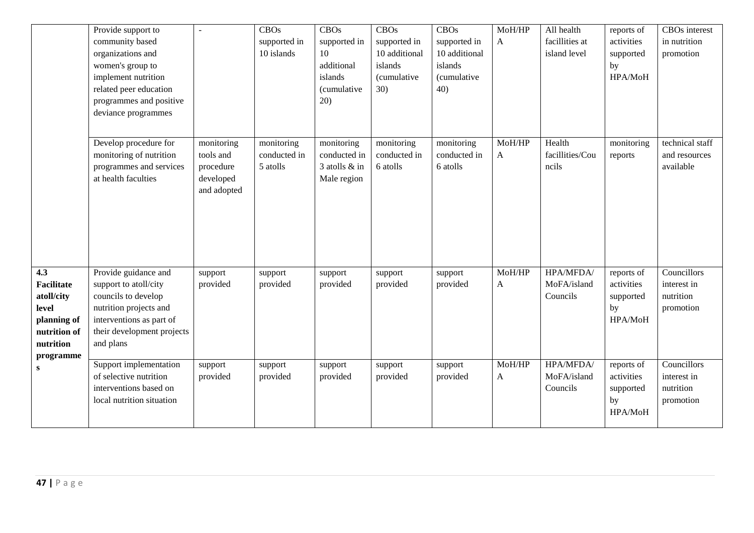|                                                                                                   | Provide support to<br>community based<br>organizations and<br>women's group to<br>implement nutrition<br>related peer education<br>programmes and positive<br>deviance programmes |                                                                  | <b>CBOs</b><br>supported in<br>10 islands | <b>CBOs</b><br>supported in<br>10<br>additional<br>islands<br>(cumulative<br>20) | <b>CBOs</b><br>supported in<br>10 additional<br>islands<br>(cumulative<br>30) | <b>CBOs</b><br>supported in<br>10 additional<br>islands<br><i>(cumulative</i><br>40) | MoH/HP<br>$\mathbf{A}$ | All health<br>facillities at<br>island level | reports of<br>activities<br>supported<br>by<br>HPA/MoH | CBOs interest<br>in nutrition<br>promotion           |
|---------------------------------------------------------------------------------------------------|-----------------------------------------------------------------------------------------------------------------------------------------------------------------------------------|------------------------------------------------------------------|-------------------------------------------|----------------------------------------------------------------------------------|-------------------------------------------------------------------------------|--------------------------------------------------------------------------------------|------------------------|----------------------------------------------|--------------------------------------------------------|------------------------------------------------------|
|                                                                                                   | Develop procedure for<br>monitoring of nutrition<br>programmes and services<br>at health faculties                                                                                | monitoring<br>tools and<br>procedure<br>developed<br>and adopted | monitoring<br>conducted in<br>5 atolls    | monitoring<br>conducted in<br>3 atolls & in<br>Male region                       | monitoring<br>conducted in<br>6 atolls                                        | monitoring<br>conducted in<br>6 atolls                                               | MoH/HP<br>A            | Health<br>facillities/Cou<br>ncils           | monitoring<br>reports                                  | technical staff<br>and resources<br>available        |
| 4.3<br>Facilitate<br>atoll/city<br>level<br>planning of<br>nutrition of<br>nutrition<br>programme | Provide guidance and<br>support to atoll/city<br>councils to develop<br>nutrition projects and<br>interventions as part of<br>their development projects<br>and plans             | support<br>provided                                              | support<br>provided                       | support<br>provided                                                              | support<br>provided                                                           | support<br>provided                                                                  | MoH/HP<br>A            | HPA/MFDA/<br>MoFA/island<br>Councils         | reports of<br>activities<br>supported<br>by<br>HPA/MoH | Councillors<br>interest in<br>nutrition<br>promotion |
| S                                                                                                 | Support implementation<br>of selective nutrition<br>interventions based on<br>local nutrition situation                                                                           | support<br>provided                                              | support<br>provided                       | support<br>provided                                                              | support<br>provided                                                           | support<br>provided                                                                  | MoH/HP<br>A            | HPA/MFDA/<br>MoFA/island<br>Councils         | reports of<br>activities<br>supported<br>by<br>HPA/MoH | Councillors<br>interest in<br>nutrition<br>promotion |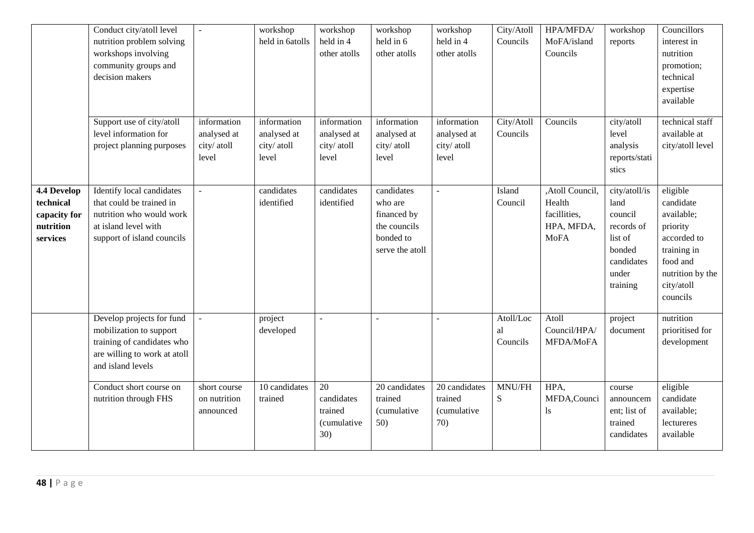|                                                                   | Conduct city/atoll level<br>nutrition problem solving<br>workshops involving<br>community groups and<br>decision makers                 |                                                    | workshop<br>held in 6atolls                        | workshop<br>held in 4<br>other atolls             | workshop<br>held in 6<br>other atolls                                                | workshop<br>held in 4<br>other atolls                 | City/Atoll<br>Councils      | HPA/MFDA/<br>MoFA/island<br>Councils                                   | workshop<br>reports                                                                                    | Councillors<br>interest in<br>nutrition<br>promotion;<br>technical<br>expertise<br>available                                            |
|-------------------------------------------------------------------|-----------------------------------------------------------------------------------------------------------------------------------------|----------------------------------------------------|----------------------------------------------------|---------------------------------------------------|--------------------------------------------------------------------------------------|-------------------------------------------------------|-----------------------------|------------------------------------------------------------------------|--------------------------------------------------------------------------------------------------------|-----------------------------------------------------------------------------------------------------------------------------------------|
|                                                                   | Support use of city/atoll<br>level information for<br>project planning purposes                                                         | information<br>analysed at<br>city/ atoll<br>level | information<br>analysed at<br>city/ atoll<br>level | information<br>analysed at<br>city/atoll<br>level | information<br>analysed at<br>city/ atoll<br>level                                   | information<br>analysed at<br>city/ atoll<br>level    | City/Atoll<br>Councils      | Councils                                                               | city/atoll<br>level<br>analysis<br>reports/stati<br>stics                                              | technical staff<br>available at<br>city/atoll level                                                                                     |
| 4.4 Develop<br>technical<br>capacity for<br>nutrition<br>services | Identify local candidates<br>that could be trained in<br>nutrition who would work<br>at island level with<br>support of island councils |                                                    | candidates<br>identified                           | candidates<br>identified                          | candidates<br>who are<br>financed by<br>the councils<br>bonded to<br>serve the atoll |                                                       | Island<br>Council           | ,Atoll Council,<br>Health<br>facillities,<br>HPA, MFDA,<br><b>MoFA</b> | city/atoll/is<br>land<br>council<br>records of<br>list of<br>bonded<br>candidates<br>under<br>training | eligible<br>candidate<br>available;<br>priority<br>accorded to<br>training in<br>food and<br>nutrition by the<br>city/atoll<br>councils |
|                                                                   | Develop projects for fund<br>mobilization to support<br>training of candidates who<br>are willing to work at atoll<br>and island levels |                                                    | project<br>developed                               |                                                   |                                                                                      |                                                       | Atoll/Loc<br>al<br>Councils | Atoll<br>Council/HPA/<br>MFDA/MoFA                                     | project<br>document                                                                                    | nutrition<br>prioritised for<br>development                                                                                             |
|                                                                   | Conduct short course on<br>nutrition through FHS                                                                                        | short course<br>on nutrition<br>announced          | 10 candidates<br>trained                           | 20<br>candidates<br>trained<br>(cumulative<br>30) | 20 candidates<br>trained<br><i>(cumulative</i><br>50)                                | 20 candidates<br>trained<br><i>(cumulative</i><br>70) | MNU/FH<br>S                 | HPA,<br>MFDA, Counci<br>ls.                                            | course<br>announcem<br>ent; list of<br>trained<br>candidates                                           | eligible<br>candidate<br>available;<br>lectureres<br>available                                                                          |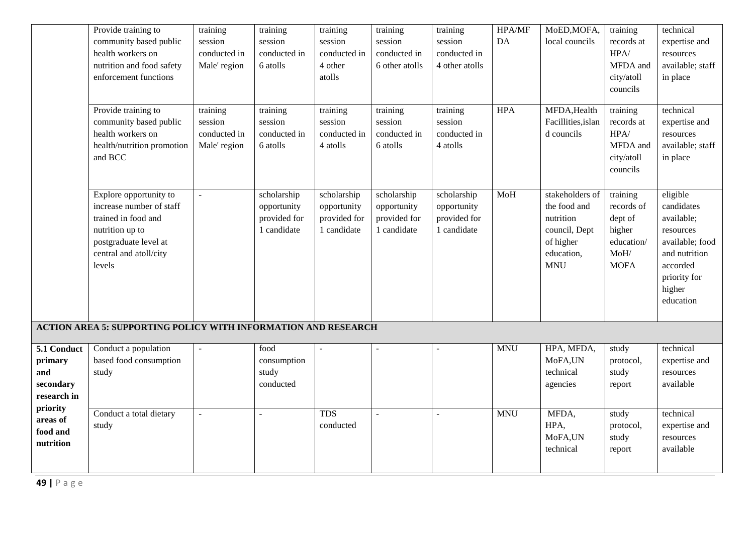|                                                           | Provide training to<br>community based public<br>health workers on<br>nutrition and food safety<br>enforcement functions                                  | training<br>session<br>conducted in<br>Male' region | training<br>session<br>conducted in<br>6 atolls           | training<br>session<br>conducted in<br>4 other<br>atolls  | training<br>session<br>conducted in<br>6 other atolls     | training<br>session<br>conducted in<br>4 other atolls     | HPA/MF<br>DA | MoED, MOFA,<br>local councils                                                                          | training<br>records at<br>HPA/<br>MFDA and<br>city/atoll<br>councils             | technical<br>expertise and<br>resources<br>available; staff<br>in place                                                                  |
|-----------------------------------------------------------|-----------------------------------------------------------------------------------------------------------------------------------------------------------|-----------------------------------------------------|-----------------------------------------------------------|-----------------------------------------------------------|-----------------------------------------------------------|-----------------------------------------------------------|--------------|--------------------------------------------------------------------------------------------------------|----------------------------------------------------------------------------------|------------------------------------------------------------------------------------------------------------------------------------------|
|                                                           | Provide training to<br>community based public<br>health workers on<br>health/nutrition promotion<br>and BCC                                               | training<br>session<br>conducted in<br>Male' region | training<br>session<br>conducted in<br>6 atolls           | training<br>session<br>conducted in<br>4 atolls           | training<br>session<br>conducted in<br>6 atolls           | training<br>session<br>conducted in<br>4 atolls           | <b>HPA</b>   | MFDA, Health<br>Facillities, islan<br>d councils                                                       | training<br>records at<br>HPA/<br>MFDA and<br>city/atoll<br>councils             | technical<br>expertise and<br>resources<br>available; staff<br>in place                                                                  |
|                                                           | Explore opportunity to<br>increase number of staff<br>trained in food and<br>nutrition up to<br>postgraduate level at<br>central and atoll/city<br>levels | $\sim$                                              | scholarship<br>opportunity<br>provided for<br>1 candidate | scholarship<br>opportunity<br>provided for<br>1 candidate | scholarship<br>opportunity<br>provided for<br>1 candidate | scholarship<br>opportunity<br>provided for<br>1 candidate | MoH          | stakeholders of<br>the food and<br>nutrition<br>council, Dept<br>of higher<br>education,<br><b>MNU</b> | training<br>records of<br>dept of<br>higher<br>education/<br>MoH/<br><b>MOFA</b> | eligible<br>candidates<br>available;<br>resources<br>available; food<br>and nutrition<br>accorded<br>priority for<br>higher<br>education |
|                                                           | <b>ACTION AREA 5: SUPPORTING POLICY WITH INFORMATION AND RESEARCH</b>                                                                                     |                                                     |                                                           |                                                           |                                                           |                                                           |              |                                                                                                        |                                                                                  |                                                                                                                                          |
| 5.1 Conduct<br>primary<br>and<br>secondary<br>research in | Conduct a population<br>based food consumption<br>study                                                                                                   | $\blacksquare$                                      | food<br>consumption<br>study<br>conducted                 |                                                           |                                                           |                                                           | <b>MNU</b>   | HPA, MFDA,<br>MoFA,UN<br>technical<br>agencies                                                         | study<br>protocol,<br>study<br>report                                            | technical<br>expertise and<br>resources<br>available                                                                                     |
| priority<br>areas of<br>food and<br>nutrition             | Conduct a total dietary<br>study                                                                                                                          | ÷,                                                  |                                                           | <b>TDS</b><br>conducted                                   | $\sim$                                                    | $\overline{a}$                                            | <b>MNU</b>   | MFDA,<br>HPA,<br>MoFA,UN<br>technical                                                                  | study<br>protocol,<br>study<br>report                                            | technical<br>expertise and<br>resources<br>available                                                                                     |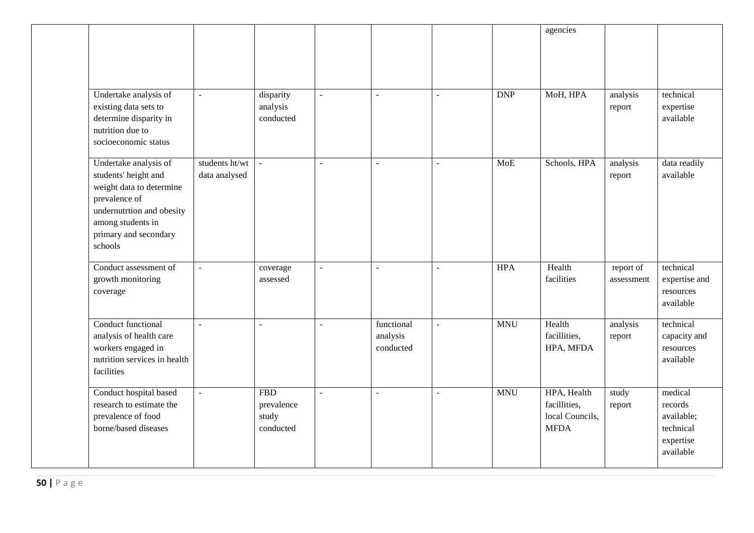|                                                                                                                                                                                  |                                 |                                                |                |                                     |                |            | agencies                                                      |                         |                                                                         |
|----------------------------------------------------------------------------------------------------------------------------------------------------------------------------------|---------------------------------|------------------------------------------------|----------------|-------------------------------------|----------------|------------|---------------------------------------------------------------|-------------------------|-------------------------------------------------------------------------|
| Undertake analysis of<br>existing data sets to<br>determine disparity in<br>nutrition due to<br>socioeconomic status                                                             | $\blacksquare$                  | disparity<br>analysis<br>conducted             | $\overline{a}$ | $\sim$                              | $\overline{a}$ | <b>DNP</b> | MoH, HPA                                                      | analysis<br>report      | technical<br>expertise<br>available                                     |
| Undertake analysis of<br>students' height and<br>weight data to determine<br>prevalence of<br>undernutrtion and obesity<br>among students in<br>primary and secondary<br>schools | students ht/wt<br>data analysed | ÷,                                             | $\equiv$       | $\sim$                              | $\blacksquare$ | <b>MoE</b> | Schools, HPA                                                  | analysis<br>report      | data readily<br>available                                               |
| Conduct assessment of<br>growth monitoring<br>coverage                                                                                                                           | $\overline{a}$                  | coverage<br>assessed                           | $\mathbb{Z}^2$ |                                     | ÷.             | <b>HPA</b> | Health<br>facilities                                          | report of<br>assessment | technical<br>expertise and<br>resources<br>available                    |
| Conduct functional<br>analysis of health care<br>workers engaged in<br>nutrition services in health<br>facilities                                                                | $\mathbb{L}$                    | $\overline{a}$                                 | $\equiv$       | functional<br>analysis<br>conducted | $\mathbb{L}$   | <b>MNU</b> | Health<br>facillities,<br>HPA, MFDA                           | analysis<br>report      | technical<br>capacity and<br>resources<br>available                     |
| Conduct hospital based<br>research to estimate the<br>prevalence of food<br>borne/based diseases                                                                                 | $\overline{a}$                  | <b>FBD</b><br>prevalence<br>study<br>conducted | $\mathbb{L}$   |                                     | $\overline{a}$ | <b>MNU</b> | HPA, Health<br>facillities,<br>local Councils,<br><b>MFDA</b> | study<br>report         | medical<br>records<br>available;<br>technical<br>expertise<br>available |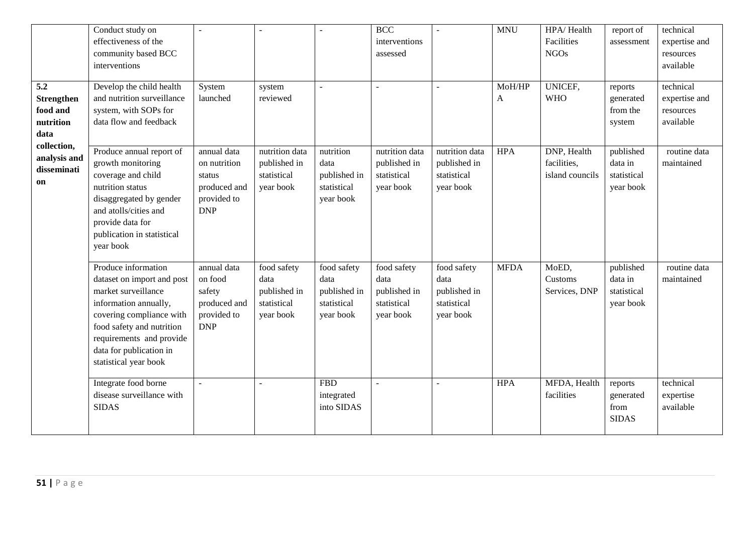|                                                                   | Conduct study on<br>effectiveness of the<br>community based BCC<br>interventions                                                                                                                                                           |                                                                                    |                                                                 |                                                                 | <b>BCC</b><br>interventions<br>assessed                         | $\sim$                                                          | <b>MNU</b>             | HPA/Health<br>Facilities<br><b>NGOs</b>       | report of<br>assessment                          | technical<br>expertise and<br>resources<br>available |
|-------------------------------------------------------------------|--------------------------------------------------------------------------------------------------------------------------------------------------------------------------------------------------------------------------------------------|------------------------------------------------------------------------------------|-----------------------------------------------------------------|-----------------------------------------------------------------|-----------------------------------------------------------------|-----------------------------------------------------------------|------------------------|-----------------------------------------------|--------------------------------------------------|------------------------------------------------------|
| 5.2<br>Strengthen<br>food and<br>nutrition<br>data<br>collection, | Develop the child health<br>and nutrition surveillance<br>system, with SOPs for<br>data flow and feedback                                                                                                                                  | System<br>launched                                                                 | system<br>reviewed                                              |                                                                 | $\overline{a}$                                                  | $\overline{a}$                                                  | MoH/HP<br>$\mathbf{A}$ | <b>UNICEF,</b><br><b>WHO</b>                  | reports<br>generated<br>from the<br>system       | technical<br>expertise and<br>resources<br>available |
| analysis and<br>disseminati<br>on                                 | Produce annual report of<br>growth monitoring<br>coverage and child<br>nutrition status<br>disaggregated by gender<br>and atolls/cities and<br>provide data for<br>publication in statistical<br>year book                                 | annual data<br>on nutrition<br>status<br>produced and<br>provided to<br><b>DNP</b> | nutrition data<br>published in<br>statistical<br>year book      | nutrition<br>data<br>published in<br>statistical<br>year book   | nutrition data<br>published in<br>statistical<br>year book      | nutrition data<br>published in<br>statistical<br>year book      | <b>HPA</b>             | DNP, Health<br>facilities,<br>island councils | published<br>data in<br>statistical<br>year book | routine data<br>maintained                           |
|                                                                   | Produce information<br>dataset on import and post<br>market surveillance<br>information annually,<br>covering compliance with<br>food safety and nutrition<br>requirements and provide<br>data for publication in<br>statistical year book | annual data<br>on food<br>safety<br>produced and<br>provided to<br><b>DNP</b>      | food safety<br>data<br>published in<br>statistical<br>year book | food safety<br>data<br>published in<br>statistical<br>year book | food safety<br>data<br>published in<br>statistical<br>year book | food safety<br>data<br>published in<br>statistical<br>year book | <b>MFDA</b>            | MoED,<br>Customs<br>Services, DNP             | published<br>data in<br>statistical<br>year book | routine data<br>maintained                           |
|                                                                   | Integrate food borne<br>disease surveillance with<br><b>SIDAS</b>                                                                                                                                                                          |                                                                                    |                                                                 | <b>FBD</b><br>integrated<br>into SIDAS                          | $\mathbf{r}$                                                    | ÷.                                                              | <b>HPA</b>             | MFDA, Health<br>facilities                    | reports<br>generated<br>from<br><b>SIDAS</b>     | technical<br>expertise<br>available                  |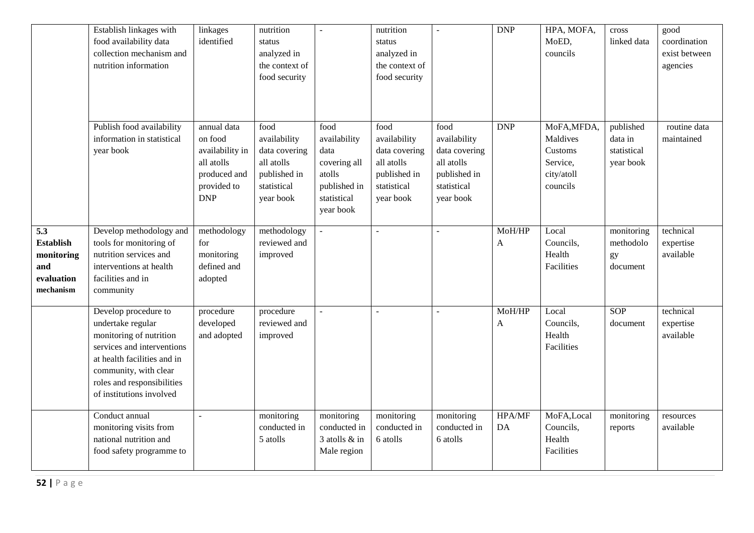|                                                                         | Establish linkages with<br>food availability data<br>collection mechanism and<br>nutrition information                                                                                                               | linkages<br>identified                                                                               | nutrition<br>status<br>analyzed in<br>the context of<br>food security                           | $\sim$                                                                                             | nutrition<br>status<br>analyzed in<br>the context of<br>food security                           | $\mathbf{r}$                                                                                    | <b>DNP</b>             | HPA, MOFA,<br>MoED,<br>councils                                          | cross<br>linked data                             | good<br>coordination<br>exist between<br>agencies |
|-------------------------------------------------------------------------|----------------------------------------------------------------------------------------------------------------------------------------------------------------------------------------------------------------------|------------------------------------------------------------------------------------------------------|-------------------------------------------------------------------------------------------------|----------------------------------------------------------------------------------------------------|-------------------------------------------------------------------------------------------------|-------------------------------------------------------------------------------------------------|------------------------|--------------------------------------------------------------------------|--------------------------------------------------|---------------------------------------------------|
|                                                                         | Publish food availability<br>information in statistical<br>year book                                                                                                                                                 | annual data<br>on food<br>availability in<br>all atolls<br>produced and<br>provided to<br><b>DNP</b> | food<br>availability<br>data covering<br>all atolls<br>published in<br>statistical<br>year book | food<br>availability<br>data<br>covering all<br>atolls<br>published in<br>statistical<br>year book | food<br>availability<br>data covering<br>all atolls<br>published in<br>statistical<br>year book | food<br>availability<br>data covering<br>all atolls<br>published in<br>statistical<br>year book | <b>DNP</b>             | MoFA, MFDA,<br>Maldives<br>Customs<br>Service,<br>city/atoll<br>councils | published<br>data in<br>statistical<br>year book | routine data<br>maintained                        |
| 5.3<br><b>Establish</b><br>monitoring<br>and<br>evaluation<br>mechanism | Develop methodology and<br>tools for monitoring of<br>nutrition services and<br>interventions at health<br>facilities and in<br>community                                                                            | methodology<br>for<br>monitoring<br>defined and<br>adopted                                           | methodology<br>reviewed and<br>improved                                                         | $\mathbb{Z}^2$                                                                                     | $\mathbf{r}$                                                                                    | $\mathbf{r}$                                                                                    | MoH/HP<br>$\mathbf{A}$ | Local<br>Councils,<br>Health<br>Facilities                               | monitoring<br>methodolo<br>gy<br>document        | technical<br>expertise<br>available               |
|                                                                         | Develop procedure to<br>undertake regular<br>monitoring of nutrition<br>services and interventions<br>at health facilities and in<br>community, with clear<br>roles and responsibilities<br>of institutions involved | procedure<br>developed<br>and adopted                                                                | procedure<br>reviewed and<br>improved                                                           | $\sim$                                                                                             |                                                                                                 |                                                                                                 | MoH/HP<br>$\mathbf{A}$ | Local<br>Councils,<br>Health<br>Facilities                               | SOP<br>document                                  | technical<br>expertise<br>available               |
|                                                                         | Conduct annual<br>monitoring visits from<br>national nutrition and<br>food safety programme to                                                                                                                       |                                                                                                      | monitoring<br>conducted in<br>5 atolls                                                          | monitoring<br>conducted in<br>3 atolls & in<br>Male region                                         | monitoring<br>conducted in<br>6 atolls                                                          | monitoring<br>conducted in<br>6 atolls                                                          | <b>HPA/MF</b><br>DA    | MoFA,Local<br>Councils,<br>Health<br>Facilities                          | monitoring<br>reports                            | resources<br>available                            |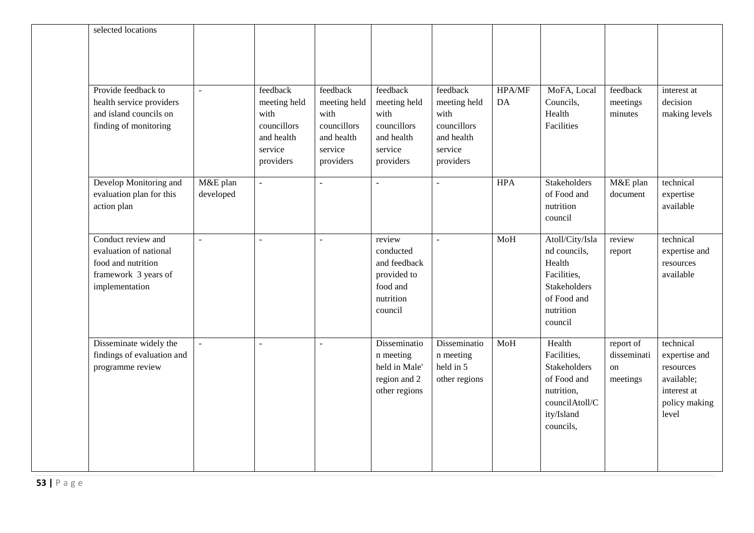| selected locations                                                                                           |                          |                                                                                       |                                                                                       |                                                                                        |                                                                                       |              |                                                                                                                        |                                            |                                                                                                |
|--------------------------------------------------------------------------------------------------------------|--------------------------|---------------------------------------------------------------------------------------|---------------------------------------------------------------------------------------|----------------------------------------------------------------------------------------|---------------------------------------------------------------------------------------|--------------|------------------------------------------------------------------------------------------------------------------------|--------------------------------------------|------------------------------------------------------------------------------------------------|
| Provide feedback to<br>health service providers<br>and island councils on<br>finding of monitoring           | $\overline{a}$           | feedback<br>meeting held<br>with<br>councillors<br>and health<br>service<br>providers | feedback<br>meeting held<br>with<br>councillors<br>and health<br>service<br>providers | feedback<br>meeting held<br>with<br>councillors<br>and health<br>service<br>providers  | feedback<br>meeting held<br>with<br>councillors<br>and health<br>service<br>providers | HPA/MF<br>DA | MoFA, Local<br>Councils,<br>Health<br>Facilities                                                                       | feedback<br>meetings<br>minutes            | interest at<br>decision<br>making levels                                                       |
| Develop Monitoring and<br>evaluation plan for this<br>action plan                                            | M&E plan<br>developed    | $\mathbf{r}$                                                                          | $\blacksquare$                                                                        | $\blacksquare$                                                                         | $\omega$                                                                              | <b>HPA</b>   | Stakeholders<br>of Food and<br>nutrition<br>council                                                                    | M&E plan<br>document                       | technical<br>expertise<br>available                                                            |
| Conduct review and<br>evaluation of national<br>food and nutrition<br>framework 3 years of<br>implementation | $\overline{\phantom{a}}$ |                                                                                       | $\blacksquare$                                                                        | review<br>conducted<br>and feedback<br>provided to<br>food and<br>nutrition<br>council | $\sim$                                                                                | MoH          | Atoll/City/Isla<br>nd councils,<br>Health<br>Facilities,<br><b>Stakeholders</b><br>of Food and<br>nutrition<br>council | review<br>report                           | technical<br>expertise and<br>resources<br>available                                           |
| Disseminate widely the<br>findings of evaluation and<br>programme review                                     | $\overline{a}$           | $\overline{\phantom{a}}$                                                              | $\overline{\phantom{a}}$                                                              | Disseminatio<br>n meeting<br>held in Male'<br>region and 2<br>other regions            | Disseminatio<br>n meeting<br>held in 5<br>other regions                               | MoH          | Health<br>Facilities,<br><b>Stakeholders</b><br>of Food and<br>nutrition,<br>councilAtoll/C<br>ity/Island<br>councils, | report of<br>disseminati<br>on<br>meetings | technical<br>expertise and<br>resources<br>available;<br>interest at<br>policy making<br>level |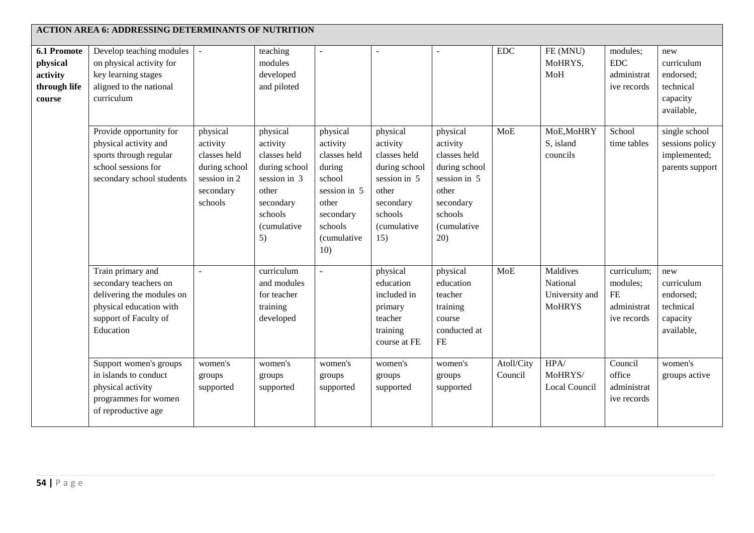|                                                                      | <b>ACTION AREA 6: ADDRESSING DETERMINANTS OF NUTRITION</b>                                                                               |                                                                                               |                                                                                                                                    |                                                                                                                                        |                                                                                                                              |                                                                                                                                     |                       |                                                         |                                                                    |                                                                       |
|----------------------------------------------------------------------|------------------------------------------------------------------------------------------------------------------------------------------|-----------------------------------------------------------------------------------------------|------------------------------------------------------------------------------------------------------------------------------------|----------------------------------------------------------------------------------------------------------------------------------------|------------------------------------------------------------------------------------------------------------------------------|-------------------------------------------------------------------------------------------------------------------------------------|-----------------------|---------------------------------------------------------|--------------------------------------------------------------------|-----------------------------------------------------------------------|
| <b>6.1 Promote</b><br>physical<br>activity<br>through life<br>course | Develop teaching modules<br>on physical activity for<br>key learning stages<br>aligned to the national<br>curriculum                     | $\bar{\phantom{a}}$                                                                           | teaching<br>modules<br>developed<br>and piloted                                                                                    | $\overline{\phantom{a}}$                                                                                                               |                                                                                                                              |                                                                                                                                     | $\rm{EDC}$            | FE (MNU)<br>MoHRYS,<br>MoH                              | modules;<br><b>EDC</b><br>administrat<br>ive records               | new<br>curriculum<br>endorsed;<br>technical<br>capacity<br>available, |
|                                                                      | Provide opportunity for<br>physical activity and<br>sports through regular<br>school sessions for<br>secondary school students           | physical<br>activity<br>classes held<br>during school<br>session in 2<br>secondary<br>schools | physical<br>activity<br>classes held<br>during school<br>session in 3<br>other<br>secondary<br>schools<br><i>(cumulative</i><br>5) | physical<br>activity<br>classes held<br>during<br>school<br>session in 5<br>other<br>secondary<br>schools<br><i>(cumulative</i><br>10) | physical<br>activity<br>classes held<br>during school<br>session in 5<br>other<br>secondary<br>schools<br>(cumulative<br>15) | physical<br>activity<br>classes held<br>during school<br>session in 5<br>other<br>secondary<br>schools<br><i>(cumulative</i><br>20) | <b>MoE</b>            | MoE, MoHRY<br>S, island<br>councils                     | School<br>time tables                                              | single school<br>sessions policy<br>implemented;<br>parents support   |
|                                                                      | Train primary and<br>secondary teachers on<br>delivering the modules on<br>physical education with<br>support of Faculty of<br>Education |                                                                                               | curriculum<br>and modules<br>for teacher<br>training<br>developed                                                                  |                                                                                                                                        | physical<br>education<br>included in<br>primary<br>teacher<br>training<br>course at FE                                       | physical<br>education<br>teacher<br>training<br>course<br>conducted at<br>$\rm FE$                                                  | MoE                   | Maldives<br>National<br>University and<br><b>MoHRYS</b> | curriculum;<br>modules;<br><b>FE</b><br>administrat<br>ive records | new<br>curriculum<br>endorsed;<br>technical<br>capacity<br>available, |
|                                                                      | Support women's groups<br>in islands to conduct<br>physical activity<br>programmes for women<br>of reproductive age                      | women's<br>groups<br>supported                                                                | women's<br>groups<br>supported                                                                                                     | women's<br>groups<br>supported                                                                                                         | women's<br>groups<br>supported                                                                                               | women's<br>groups<br>supported                                                                                                      | Atoll/City<br>Council | HPA/<br>MoHRYS/<br>Local Council                        | Council<br>office<br>administrat<br>ive records                    | women's<br>groups active                                              |

# **54 |** P a g e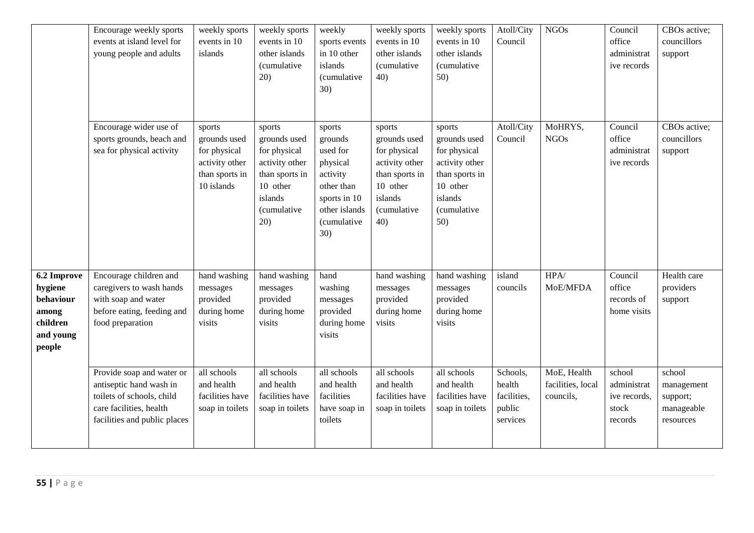|                                                                                 | Encourage weekly sports<br>events at island level for<br>young people and adults                                                             | weekly sports<br>events in 10<br>islands                                                 | weekly sports<br>events in 10<br>other islands<br>(cumulative<br>20)                                                    | weekly<br>sports events<br>in 10 other<br>islands<br>(cumulative<br>30)                                                           | weekly sports<br>events in 10<br>other islands<br>(cumulative<br>40)                                                           | weekly sports<br>events in 10<br>other islands<br><i>(cumulative</i><br>50)                                                    | Atoll/City<br>Council                                   | <b>NGOs</b>                                   | Council<br>office<br>administrat<br>ive records           | CBOs active;<br>councillors<br>support                      |
|---------------------------------------------------------------------------------|----------------------------------------------------------------------------------------------------------------------------------------------|------------------------------------------------------------------------------------------|-------------------------------------------------------------------------------------------------------------------------|-----------------------------------------------------------------------------------------------------------------------------------|--------------------------------------------------------------------------------------------------------------------------------|--------------------------------------------------------------------------------------------------------------------------------|---------------------------------------------------------|-----------------------------------------------|-----------------------------------------------------------|-------------------------------------------------------------|
|                                                                                 | Encourage wider use of<br>sports grounds, beach and<br>sea for physical activity                                                             | sports<br>grounds used<br>for physical<br>activity other<br>than sports in<br>10 islands | sports<br>grounds used<br>for physical<br>activity other<br>than sports in<br>10 other<br>islands<br>(cumulative<br>20) | sports<br>grounds<br>used for<br>physical<br>activity<br>other than<br>sports in 10<br>other islands<br><i>(cumulative</i><br>30) | sports<br>grounds used<br>for physical<br>activity other<br>than sports in<br>10 other<br>islands<br><i>(cumulative</i><br>40) | sports<br>grounds used<br>for physical<br>activity other<br>than sports in<br>10 other<br>islands<br><i>(cumulative</i><br>50) | Atoll/City<br>Council                                   | MoHRYS,<br><b>NGOs</b>                        | Council<br>office<br>administrat<br>ive records           | CBOs active;<br>councillors<br>support                      |
| 6.2 Improve<br>hygiene<br>behaviour<br>among<br>children<br>and young<br>people | Encourage children and<br>caregivers to wash hands<br>with soap and water<br>before eating, feeding and<br>food preparation                  | hand washing<br>messages<br>provided<br>during home<br>visits                            | hand washing<br>messages<br>provided<br>during home<br>visits                                                           | hand<br>washing<br>messages<br>provided<br>during home<br>visits                                                                  | hand washing<br>messages<br>provided<br>during home<br>visits                                                                  | hand washing<br>messages<br>provided<br>during home<br>visits                                                                  | island<br>councils                                      | $\overline{HP}A/$<br>MoE/MFDA                 | Council<br>office<br>records of<br>home visits            | Health care<br>providers<br>support                         |
|                                                                                 | Provide soap and water or<br>antiseptic hand wash in<br>toilets of schools, child<br>care facilities, health<br>facilities and public places | all schools<br>and health<br>facilities have<br>soap in toilets                          | all schools<br>and health<br>facilities have<br>soap in toilets                                                         | all schools<br>and health<br>facilities<br>have soap in<br>toilets                                                                | all schools<br>and health<br>facilities have<br>soap in toilets                                                                | all schools<br>and health<br>facilities have<br>soap in toilets                                                                | Schools,<br>health<br>facilities,<br>public<br>services | MoE, Health<br>facilities, local<br>councils, | school<br>administrat<br>ive records,<br>stock<br>records | school<br>management<br>support;<br>manageable<br>resources |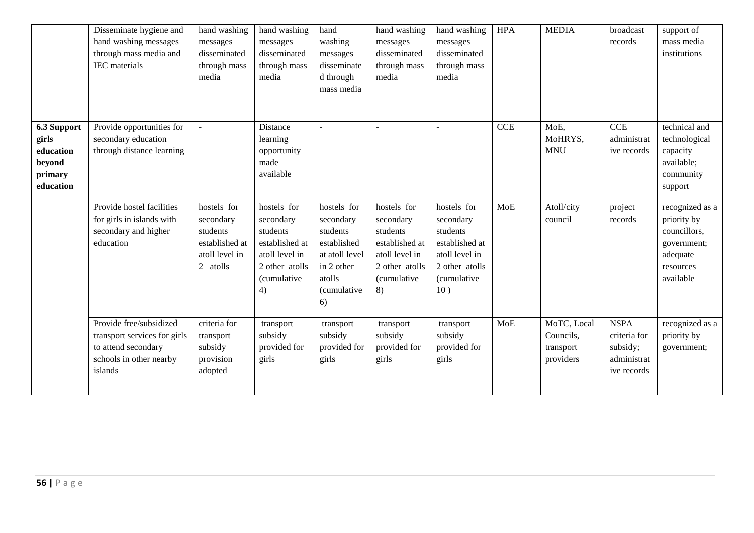|                                                                     | Disseminate hygiene and<br>hand washing messages<br>through mass media and<br>IEC materials                          | hand washing<br>messages<br>disseminated<br>through mass<br>media                    | hand washing<br>messages<br>disseminated<br>through mass<br>media                                               | hand<br>washing<br>messages<br>disseminate<br>d through<br>mass media                                              | hand washing<br>messages<br>disseminated<br>through mass<br>media                                               | hand washing<br>messages<br>disseminated<br>through mass<br>media                                                         | <b>HPA</b> | <b>MEDIA</b>                                       | broadcast<br>records                                                  | support of<br>mass media<br>institutions                                                            |
|---------------------------------------------------------------------|----------------------------------------------------------------------------------------------------------------------|--------------------------------------------------------------------------------------|-----------------------------------------------------------------------------------------------------------------|--------------------------------------------------------------------------------------------------------------------|-----------------------------------------------------------------------------------------------------------------|---------------------------------------------------------------------------------------------------------------------------|------------|----------------------------------------------------|-----------------------------------------------------------------------|-----------------------------------------------------------------------------------------------------|
| 6.3 Support<br>girls<br>education<br>beyond<br>primary<br>education | Provide opportunities for<br>secondary education<br>through distance learning                                        |                                                                                      | Distance<br>learning<br>opportunity<br>made<br>available                                                        |                                                                                                                    |                                                                                                                 |                                                                                                                           | CCE        | MoE,<br>MoHRYS,<br><b>MNU</b>                      | $\overline{CCE}$<br>administrat<br>ive records                        | technical and<br>technological<br>capacity<br>available;<br>community<br>support                    |
|                                                                     | Provide hostel facilities<br>for girls in islands with<br>secondary and higher<br>education                          | hostels for<br>secondary<br>students<br>established at<br>atoll level in<br>2 atolls | hostels for<br>secondary<br>students<br>established at<br>atoll level in<br>2 other atolls<br>(cumulative<br>4) | hostels for<br>secondary<br>students<br>established<br>at atoll level<br>in 2 other<br>atolls<br>(cumulative<br>6) | hostels for<br>secondary<br>students<br>established at<br>atoll level in<br>2 other atolls<br>(cumulative<br>8) | hostels for<br>secondary<br>students<br>established at<br>atoll level in<br>2 other atolls<br><i>(cumulative</i> )<br>10) | <b>MoE</b> | Atoll/city<br>council                              | project<br>records                                                    | recognized as a<br>priority by<br>councillors,<br>government;<br>adequate<br>resources<br>available |
|                                                                     | Provide free/subsidized<br>transport services for girls<br>to attend secondary<br>schools in other nearby<br>islands | criteria for<br>transport<br>subsidy<br>provision<br>adopted                         | transport<br>subsidy<br>provided for<br>girls                                                                   | transport<br>subsidy<br>provided for<br>girls                                                                      | transport<br>subsidy<br>provided for<br>girls                                                                   | transport<br>subsidy<br>provided for<br>girls                                                                             | <b>MoE</b> | MoTC, Local<br>Councils,<br>transport<br>providers | <b>NSPA</b><br>criteria for<br>subsidy;<br>administrat<br>ive records | recognized as a<br>priority by<br>government;                                                       |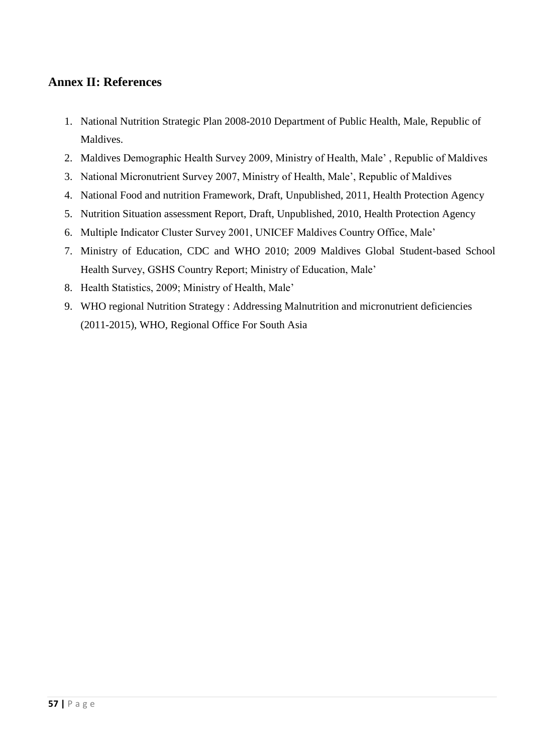# **Annex II: References**

- 1. National Nutrition Strategic Plan 2008-2010 Department of Public Health, Male, Republic of Maldives.
- 2. Maldives Demographic Health Survey 2009, Ministry of Health, Male' , Republic of Maldives
- 3. National Micronutrient Survey 2007, Ministry of Health, Male', Republic of Maldives
- 4. National Food and nutrition Framework, Draft, Unpublished, 2011, Health Protection Agency
- 5. Nutrition Situation assessment Report, Draft, Unpublished, 2010, Health Protection Agency
- 6. Multiple Indicator Cluster Survey 2001, UNICEF Maldives Country Office, Male'
- 7. Ministry of Education, CDC and WHO 2010; 2009 Maldives Global Student-based School Health Survey, GSHS Country Report; Ministry of Education, Male'
- 8. Health Statistics, 2009; Ministry of Health, Male'
- 9. WHO regional Nutrition Strategy : Addressing Malnutrition and micronutrient deficiencies (2011-2015), WHO, Regional Office For South Asia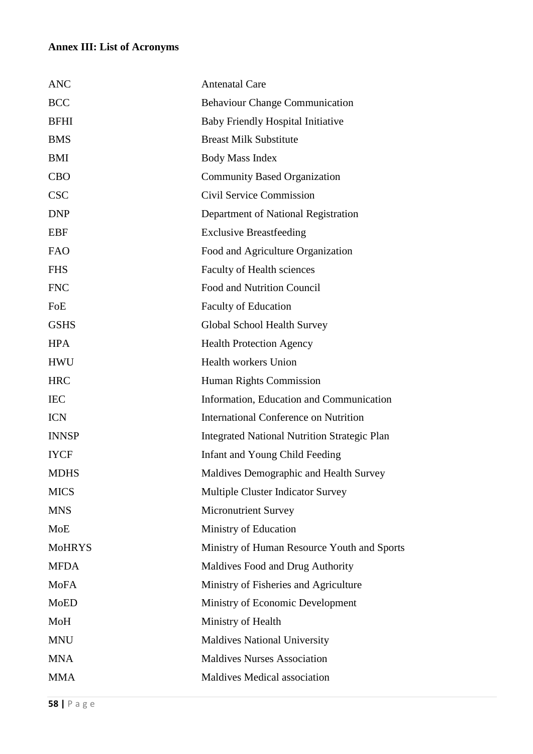# **Annex III: List of Acronyms**

| <b>ANC</b>    | <b>Antenatal Care</b>                               |
|---------------|-----------------------------------------------------|
| <b>BCC</b>    | <b>Behaviour Change Communication</b>               |
| <b>BFHI</b>   | <b>Baby Friendly Hospital Initiative</b>            |
| <b>BMS</b>    | <b>Breast Milk Substitute</b>                       |
| <b>BMI</b>    | <b>Body Mass Index</b>                              |
| <b>CBO</b>    | <b>Community Based Organization</b>                 |
| <b>CSC</b>    | Civil Service Commission                            |
| <b>DNP</b>    | Department of National Registration                 |
| <b>EBF</b>    | <b>Exclusive Breastfeeding</b>                      |
| <b>FAO</b>    | Food and Agriculture Organization                   |
| <b>FHS</b>    | <b>Faculty of Health sciences</b>                   |
| <b>FNC</b>    | Food and Nutrition Council                          |
| FoE           | <b>Faculty of Education</b>                         |
| <b>GSHS</b>   | Global School Health Survey                         |
| <b>HPA</b>    | <b>Health Protection Agency</b>                     |
| <b>HWU</b>    | <b>Health workers Union</b>                         |
| <b>HRC</b>    | Human Rights Commission                             |
| <b>IEC</b>    | Information, Education and Communication            |
| <b>ICN</b>    | <b>International Conference on Nutrition</b>        |
| <b>INNSP</b>  | <b>Integrated National Nutrition Strategic Plan</b> |
| <b>IYCF</b>   | Infant and Young Child Feeding                      |
| <b>MDHS</b>   | Maldives Demographic and Health Survey              |
| <b>MICS</b>   | Multiple Cluster Indicator Survey                   |
| <b>MNS</b>    | <b>Micronutrient Survey</b>                         |
| <b>MoE</b>    | Ministry of Education                               |
| <b>MoHRYS</b> | Ministry of Human Resource Youth and Sports         |
| <b>MFDA</b>   | Maldives Food and Drug Authority                    |
| <b>MoFA</b>   | Ministry of Fisheries and Agriculture               |
| <b>MoED</b>   | Ministry of Economic Development                    |
| MoH           | Ministry of Health                                  |
| <b>MNU</b>    | <b>Maldives National University</b>                 |
| <b>MNA</b>    | <b>Maldives Nurses Association</b>                  |
| <b>MMA</b>    | <b>Maldives Medical association</b>                 |
|               |                                                     |